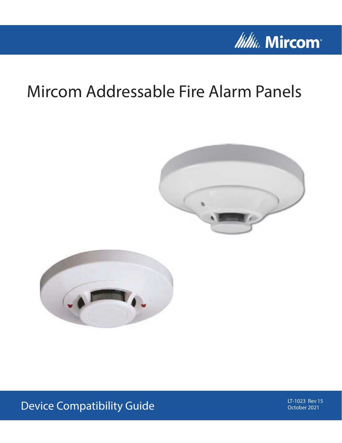

# Mircom Addressable Fire Alarm Panels





Device Compatibility Guide **Compatibility** Guide

**LT-1023 Rev 1**5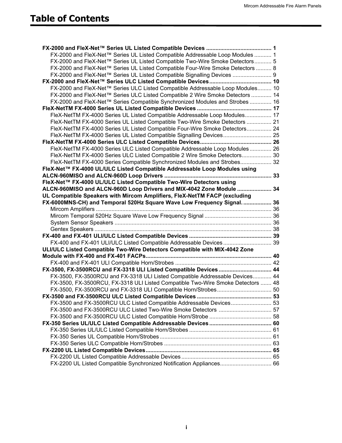| FX-2000 and FleX-Net™ Series UL Listed Compatible Addressable Loop Modules  1   |    |
|---------------------------------------------------------------------------------|----|
| FX-2000 and FleX-Net™ Series UL Listed Compatible Two-Wire Smoke Detectors 5    |    |
| FX-2000 and FleX-Net™ Series UL Listed Compatible Four-Wire Smoke Detectors  8  |    |
| FX-2000 and FleX-Net™ Series UL Listed Compatible Signalling Devices  9         |    |
|                                                                                 |    |
| FX-2000 and FleX-Net™ Series ULC Listed Compatible Addressable Loop Modules 10  |    |
| FX-2000 and FleX-Net™ Series ULC Listed Compatible 2 Wire Smoke Detectors  14   |    |
| FX-2000 and FleX-Net™ Series Compatible Synchronized Modules and Strobes  16    |    |
|                                                                                 |    |
| FleX-NetTM FX-4000 Series UL Listed Compatible Addressable Loop Modules 17      |    |
| FleX-NetTM FX-4000 Series UL Listed Compatible Two-Wire Smoke Detectors  21     |    |
| FleX-NetTM FX-4000 Series UL Listed Compatible Four-Wire Smoke Detectors 24     |    |
| FleX-NetTM FX-4000 Series UL Listed Compatible Signalling Devices 25            |    |
|                                                                                 |    |
| FleX-NetTM FX-4000 Series ULC Listed Compatible Addressable Loop Modules 26     |    |
| FleX-NetTM FX-4000 Series ULC Listed Compatible 2 Wire Smoke Detectors 30       |    |
| FleX-NetTM FX-4000 Series Compatible Synchronized Modules and Strobes 32        |    |
| FleX-Net™ FX-4000 UL/ULC Listed Compatible Addressable Loop Modules using       |    |
|                                                                                 |    |
| FleX-Net™ FX-4000 UL/ULC Listed Compatible Two-Wire Detectors using             |    |
| ALCN-960MISO and ALCN-960D Loop Drivers and MIX-4042 Zone Module  34            |    |
| UL Compatible Speakers with Mircom Amplifiers, FleX-NetTM FACP (excluding       |    |
| FX-6000MNS-CH) and Temporal 520Hz Square Wave Low Frequency Signal 36           |    |
|                                                                                 |    |
|                                                                                 |    |
|                                                                                 |    |
|                                                                                 |    |
|                                                                                 |    |
| FX-400 and FX-401 ULI/ULC Listed Compatible Addressable Devices  39             |    |
| ULI/ULC Listed Compatible Two-Wire Detectors Compatible with MIX-4042 Zone      |    |
|                                                                                 |    |
|                                                                                 |    |
| FX-3500, FX-3500RCU and FX-3318 ULI Listed Compatible Devices 44                |    |
| FX-3500, FX-3500RCU and FX-3318 ULI Listed Compatible Addressable Devices 44    |    |
| FX-3500, FX-3500RCU, FX-3318 ULI Listed Compatible Two-Wire Smoke Detectors  48 |    |
|                                                                                 |    |
| FX-3500 and FX-3500RCU ULC Listed Compatible Devices                            | 53 |
| FX-3500 and FX-3500RCU ULC Listed Compatible Addressable Devices 53             |    |
|                                                                                 |    |
|                                                                                 |    |
|                                                                                 |    |
|                                                                                 |    |
|                                                                                 |    |
|                                                                                 |    |
|                                                                                 |    |
|                                                                                 |    |
| FX-2200 UL Listed Compatible Synchronized Notification Appliances 66            |    |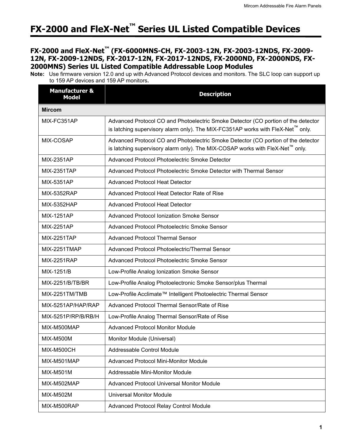# **FX-2000 and FleX-Net™ Series UL Listed Compatible Devices**

#### **FX-2000 and FleX-Net™ (FX-6000MNS-CH, FX-2003-12N, FX-2003-12NDS, FX-2009- 12N, FX-2009-12NDS, FX-2017-12N, FX-2017-12NDS, FX-2000ND, FX-2000NDS, FX-2000MNS) Series UL Listed Compatible Addressable Loop Modules**

**Note:** Use firmware version 12.0 and up with Advanced Protocol devices and monitors. The SLC loop can support up to 159 AP devices and 159 AP monitors**.** 

| <b>Manufacturer &amp;</b><br><b>Model</b> | <b>Description</b>                                                                                                                                                               |
|-------------------------------------------|----------------------------------------------------------------------------------------------------------------------------------------------------------------------------------|
| <b>Mircom</b>                             |                                                                                                                                                                                  |
| MIX-FC351AP                               | Advanced Protocol CO and Photoelectric Smoke Detector (CO portion of the detector<br>is latching supervisory alarm only). The MIX-FC351AP works with FleX-Net <sup>™</sup> only. |
| MIX-COSAP                                 | Advanced Protocol CO and Photoelectric Smoke Detector (CO portion of the detector<br>is latching supervisory alarm only). The MIX-COSAP works with FleX-Net <sup>™</sup> only.   |
| <b>MIX-2351AP</b>                         | Advanced Protocol Photoelectric Smoke Detector                                                                                                                                   |
| <b>MIX-2351TAP</b>                        | Advanced Protocol Photoelectric Smoke Detector with Thermal Sensor                                                                                                               |
| MIX-5351AP                                | <b>Advanced Protocol Heat Detector</b>                                                                                                                                           |
| <b>MIX-5352RAP</b>                        | Advanced Protocol Heat Detector Rate of Rise                                                                                                                                     |
| <b>MIX-5352HAP</b>                        | <b>Advanced Protocol Heat Detector</b>                                                                                                                                           |
| <b>MIX-1251AP</b>                         | <b>Advanced Protocol Ionization Smoke Sensor</b>                                                                                                                                 |
| <b>MIX-2251AP</b>                         | Advanced Protocol Photoelectric Smoke Sensor                                                                                                                                     |
| <b>MIX-2251TAP</b>                        | <b>Advanced Protocol Thermal Sensor</b>                                                                                                                                          |
| MIX-2251TMAP                              | Advanced Protocol Photoelectric/Thermal Sensor                                                                                                                                   |
| <b>MIX-2251RAP</b>                        | Advanced Protocol Photoelectric Smoke Sensor                                                                                                                                     |
| MIX-1251/B                                | Low-Profile Analog Ionization Smoke Sensor                                                                                                                                       |
| MIX-2251/B/TB/BR                          | Low-Profile Analog Photoelectronic Smoke Sensor/plus Thermal                                                                                                                     |
| MIX-2251TM/TMB                            | Low-Profile Acclimate™ Intelligent Photoelectric Thermal Sensor                                                                                                                  |
| MIX-5251AP/HAP/RAP                        | Advanced Protocol Thermal Sensor/Rate of Rise                                                                                                                                    |
| MIX-5251P/RP/B/RB/H                       | Low-Profile Analog Thermal Sensor/Rate of Rise                                                                                                                                   |
| MIX-M500MAP                               | <b>Advanced Protocol Monitor Module</b>                                                                                                                                          |
| MIX-M500M                                 | Monitor Module (Universal)                                                                                                                                                       |
| MIX-M500CH                                | Addressable Control Module                                                                                                                                                       |
| MIX-M501MAP                               | <b>Advanced Protocol Mini-Monitor Module</b>                                                                                                                                     |
| MIX-M501M                                 | Addressable Mini-Monitor Module                                                                                                                                                  |
| MIX-M502MAP                               | Advanced Protocol Universal Monitor Module                                                                                                                                       |
| <b>MIX-M502M</b>                          | <b>Universal Monitor Module</b>                                                                                                                                                  |
| MIX-M500RAP                               | Advanced Protocol Relay Control Module                                                                                                                                           |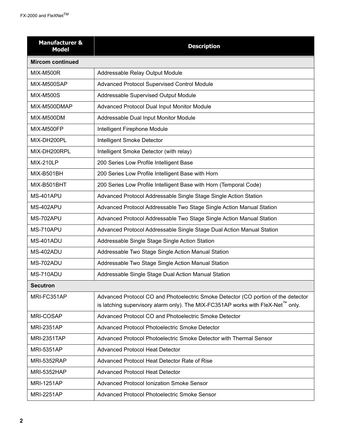| <b>Manufacturer &amp;</b><br><b>Model</b> | <b>Description</b>                                                                                                                                                               |
|-------------------------------------------|----------------------------------------------------------------------------------------------------------------------------------------------------------------------------------|
| <b>Mircom continued</b>                   |                                                                                                                                                                                  |
| <b>MIX-M500R</b>                          | Addressable Relay Output Module                                                                                                                                                  |
| MIX-M500SAP                               | Advanced Protocol Supervised Control Module                                                                                                                                      |
| <b>MIX-M500S</b>                          | Addressable Supervised Output Module                                                                                                                                             |
| MIX-M500DMAP                              | Advanced Protocol Dual Input Monitor Module                                                                                                                                      |
| MIX-M500DM                                | Addressable Dual Input Monitor Module                                                                                                                                            |
| MIX-M500FP                                | Intelligent Firephone Module                                                                                                                                                     |
| MIX-DH200PL                               | Intelligent Smoke Detector                                                                                                                                                       |
| MIX-DH200RPL                              | Intelligent Smoke Detector (with relay)                                                                                                                                          |
| <b>MIX-210LP</b>                          | 200 Series Low Profile Intelligent Base                                                                                                                                          |
| MIX-B501BH                                | 200 Series Low Profile Intelligent Base with Horn                                                                                                                                |
| MIX-B501BHT                               | 200 Series Low Profile Intelligent Base with Horn (Temporal Code)                                                                                                                |
| MS-401APU                                 | Advanced Protocol Addressable Single Stage Single Action Station                                                                                                                 |
| MS-402APU                                 | Advanced Protocol Addressable Two Stage Single Action Manual Station                                                                                                             |
| MS-702APU                                 | Advanced Protocol Addressable Two Stage Single Action Manual Station                                                                                                             |
| MS-710APU                                 | Advanced Protocol Addressable Single Stage Dual Action Manual Station                                                                                                            |
| MS-401ADU                                 | Addressable Single Stage Single Action Station                                                                                                                                   |
| MS-402ADU                                 | Addressable Two Stage Single Action Manual Station                                                                                                                               |
| MS-702ADU                                 | Addressable Two Stage Single Action Manual Station                                                                                                                               |
| MS-710ADU                                 | Addressable Single Stage Dual Action Manual Station                                                                                                                              |
| <b>Secutron</b>                           |                                                                                                                                                                                  |
| MRI-FC351AP                               | Advanced Protocol CO and Photoelectric Smoke Detector (CO portion of the detector<br>is latching supervisory alarm only). The MIX-FC351AP works with FleX-Net <sup>™</sup> only. |
| <b>MRI-COSAP</b>                          | Advanced Protocol CO and Photoelectric Smoke Detector                                                                                                                            |
| <b>MRI-2351AP</b>                         | Advanced Protocol Photoelectric Smoke Detector                                                                                                                                   |
| <b>MRI-2351TAP</b>                        | Advanced Protocol Photoelectric Smoke Detector with Thermal Sensor                                                                                                               |
| <b>MRI-5351AP</b>                         | <b>Advanced Protocol Heat Detector</b>                                                                                                                                           |
| <b>MRI-5352RAP</b>                        | Advanced Protocol Heat Detector Rate of Rise                                                                                                                                     |
| <b>MRI-5352HAP</b>                        | <b>Advanced Protocol Heat Detector</b>                                                                                                                                           |
| <b>MRI-1251AP</b>                         | <b>Advanced Protocol Ionization Smoke Sensor</b>                                                                                                                                 |
| <b>MRI-2251AP</b>                         | Advanced Protocol Photoelectric Smoke Sensor                                                                                                                                     |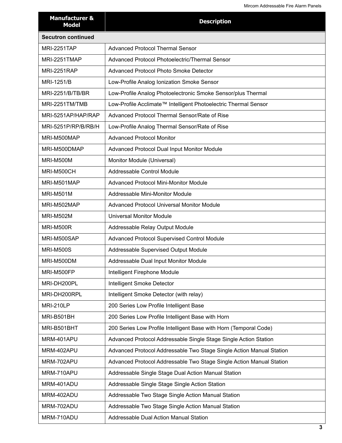| <b>Manufacturer &amp;</b><br><b>Model</b> | <b>Description</b>                                                   |
|-------------------------------------------|----------------------------------------------------------------------|
| <b>Secutron continued</b>                 |                                                                      |
| <b>MRI-2251TAP</b>                        | <b>Advanced Protocol Thermal Sensor</b>                              |
| MRI-2251TMAP                              | Advanced Protocol Photoelectric/Thermal Sensor                       |
| MRI-2251RAP                               | <b>Advanced Protocol Photo Smoke Detector</b>                        |
| MRI-1251/B                                | Low-Profile Analog Ionization Smoke Sensor                           |
| <b>MRI-2251/B/TB/BR</b>                   | Low-Profile Analog Photoelectronic Smoke Sensor/plus Thermal         |
| MRI-2251TM/TMB                            | Low-Profile Acclimate™ Intelligent Photoelectric Thermal Sensor      |
| MRI-5251AP/HAP/RAP                        | Advanced Protocol Thermal Sensor/Rate of Rise                        |
| MRI-5251P/RP/B/RB/H                       | Low-Profile Analog Thermal Sensor/Rate of Rise                       |
| MRI-M500MAP                               | <b>Advanced Protocol Monitor</b>                                     |
| MRI-M500DMAP                              | Advanced Protocol Dual Input Monitor Module                          |
| <b>MRI-M500M</b>                          | Monitor Module (Universal)                                           |
| <b>MRI-M500CH</b>                         | Addressable Control Module                                           |
| MRI-M501MAP                               | <b>Advanced Protocol Mini-Monitor Module</b>                         |
| <b>MRI-M501M</b>                          | Addressable Mini-Monitor Module                                      |
| MRI-M502MAP                               | <b>Advanced Protocol Universal Monitor Module</b>                    |
| <b>MRI-M502M</b>                          | <b>Universal Monitor Module</b>                                      |
| MRI-M500R                                 | Addressable Relay Output Module                                      |
| MRI-M500SAP                               | Advanced Protocol Supervised Control Module                          |
| <b>MRI-M500S</b>                          | Addressable Supervised Output Module                                 |
| MRI-M500DM                                | Addressable Dual Input Monitor Module                                |
| MRI-M500FP                                | Intelligent Firephone Module                                         |
| MRI-DH200PL                               | Intelligent Smoke Detector                                           |
| MRI-DH200RPL                              | Intelligent Smoke Detector (with relay)                              |
| <b>MRI-210LP</b>                          | 200 Series Low Profile Intelligent Base                              |
| MRI-B501BH                                | 200 Series Low Profile Intelligent Base with Horn                    |
| MRI-B501BHT                               | 200 Series Low Profile Intelligent Base with Horn (Temporal Code)    |
| MRM-401APU                                | Advanced Protocol Addressable Single Stage Single Action Station     |
| MRM-402APU                                | Advanced Protocol Addressable Two Stage Single Action Manual Station |
| MRM-702APU                                | Advanced Protocol Addressable Two Stage Single Action Manual Station |
| MRM-710APU                                | Addressable Single Stage Dual Action Manual Station                  |
| MRM-401ADU                                | Addressable Single Stage Single Action Station                       |
| MRM-402ADU                                | Addressable Two Stage Single Action Manual Station                   |
| MRM-702ADU                                | Addressable Two Stage Single Action Manual Station                   |
| MRM-710ADU                                | Addressable Dual Action Manual Station                               |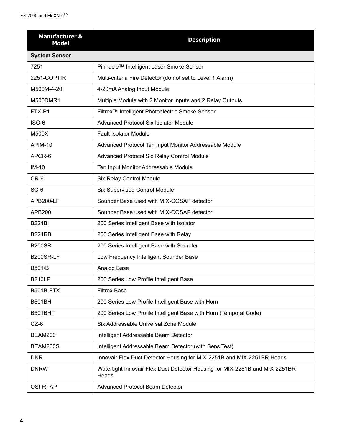| <b>Manufacturer &amp;</b><br><b>Model</b> | <b>Description</b>                                                                   |
|-------------------------------------------|--------------------------------------------------------------------------------------|
| <b>System Sensor</b>                      |                                                                                      |
| 7251                                      | Pinnacle™ Intelligent Laser Smoke Sensor                                             |
| 2251-COPTIR                               | Multi-criteria Fire Detector (do not set to Level 1 Alarm)                           |
| M500M-4-20                                | 4-20mA Analog Input Module                                                           |
| M500DMR1                                  | Multiple Module with 2 Monitor Inputs and 2 Relay Outputs                            |
| FTX-P1                                    | Filtrex <sup>™</sup> Intelligent Photoelectric Smoke Sensor                          |
| ISO-6                                     | Advanced Protocol Six Isolator Module                                                |
| M500X                                     | <b>Fault Isolator Module</b>                                                         |
| APIM-10                                   | Advanced Protocol Ten Input Monitor Addressable Module                               |
| APCR-6                                    | Advanced Protocol Six Relay Control Module                                           |
| $IM-10$                                   | Ten Input Monitor Addressable Module                                                 |
| CR-6                                      | Six Relay Control Module                                                             |
| SC-6                                      | <b>Six Supervised Control Module</b>                                                 |
| APB200-LF                                 | Sounder Base used with MIX-COSAP detector                                            |
| APB200                                    | Sounder Base used with MIX-COSAP detector                                            |
| <b>B224BI</b>                             | 200 Series Intelligent Base with Isolator                                            |
| <b>B224RB</b>                             | 200 Series Intelligent Base with Relay                                               |
| <b>B200SR</b>                             | 200 Series Intelligent Base with Sounder                                             |
| B200SR-LF                                 | Low Frequency Intelligent Sounder Base                                               |
| <b>B501/B</b>                             | Analog Base                                                                          |
| <b>B210LP</b>                             | 200 Series Low Profile Intelligent Base                                              |
| B501B-FTX                                 | <b>Filtrex Base</b>                                                                  |
| <b>B501BH</b>                             | 200 Series Low Profile Intelligent Base with Horn                                    |
| B501BHT                                   | 200 Series Low Profile Intelligent Base with Horn (Temporal Code)                    |
| $CZ-6$                                    | Six Addressable Universal Zone Module                                                |
| BEAM200                                   | Intelligent Addressable Beam Detector                                                |
| BEAM200S                                  | Intelligent Addressable Beam Detector (with Sens Test)                               |
| <b>DNR</b>                                | Innovair Flex Duct Detector Housing for MIX-2251B and MIX-2251BR Heads               |
| <b>DNRW</b>                               | Watertight Innovair Flex Duct Detector Housing for MIX-2251B and MIX-2251BR<br>Heads |
| OSI-RI-AP                                 | <b>Advanced Protocol Beam Detector</b>                                               |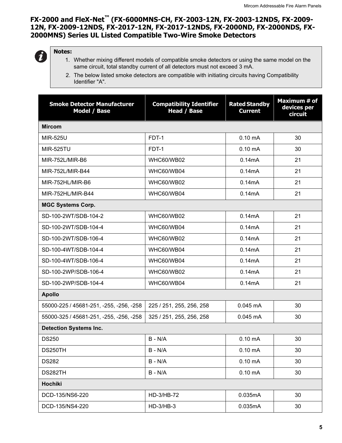#### **FX-2000 and FleX-Net™ (FX-6000MNS-CH, FX-2003-12N, FX-2003-12NDS, FX-2009- 12N, FX-2009-12NDS, FX-2017-12N, FX-2017-12NDS, FX-2000ND, FX-2000NDS, FX-2000MNS) Series UL Listed Compatible Two-Wire Smoke Detectors**



#### **Notes:**

- 1. Whether mixing different models of compatible smoke detectors or using the same model on the same circuit, total standby current of all detectors must not exceed 3 mA.
- 2. The below listed smoke detectors are compatible with initiating circuits having Compatibility Identifier "A".

| <b>Smoke Detector Manufacturer</b><br>Model / Base | <b>Compatibility Identifier</b><br><b>Head / Base</b> | <b>Rated Standby</b><br><b>Current</b> | Maximum # of<br>devices per<br>circuit |
|----------------------------------------------------|-------------------------------------------------------|----------------------------------------|----------------------------------------|
| <b>Mircom</b>                                      |                                                       |                                        |                                        |
| <b>MIR-525U</b>                                    | FDT-1                                                 | $0.10 \text{ mA}$                      | 30                                     |
| <b>MIR-525TU</b>                                   | FDT-1                                                 | $0.10 \text{ mA}$                      | 30                                     |
| MIR-752L/MIR-B6                                    | <b>WHC60/WB02</b>                                     | 0.14mA                                 | 21                                     |
| MIR-752L/MIR-B44                                   | WHC60/WB04                                            | 0.14mA                                 | 21                                     |
| MIR-752HL/MIR-B6                                   | <b>WHC60/WB02</b>                                     | 0.14mA                                 | 21                                     |
| MIR-752HL/MIR-B44                                  | WHC60/WB04                                            | 0.14mA                                 | 21                                     |
| <b>MGC Systems Corp.</b>                           |                                                       |                                        |                                        |
| SD-100-2WT/SDB-104-2                               | <b>WHC60/WB02</b>                                     | 0.14mA                                 | 21                                     |
| SD-100-2WT/SDB-104-4                               | WHC60/WB04                                            | 0.14mA                                 | 21                                     |
| SD-100-2WT/SDB-106-4                               | WHC60/WB02                                            | 0.14mA                                 | 21                                     |
| SD-100-4WT/SDB-104-4                               | <b>WHC60/WB04</b>                                     | 0.14mA                                 | 21                                     |
| SD-100-4WT/SDB-106-4                               | WHC60/WB04                                            | 0.14mA                                 | 21                                     |
| SD-100-2WP/SDB-106-4                               | <b>WHC60/WB02</b>                                     | 0.14mA                                 | 21                                     |
| SD-100-2WP/SDB-104-4                               | WHC60/WB04                                            | 0.14mA                                 | 21                                     |
| <b>Apollo</b>                                      |                                                       |                                        |                                        |
| 55000-225 / 45681-251, -255, -256, -258            | 225 / 251, 255, 256, 258                              | $0.045$ mA                             | 30                                     |
| 55000-325 / 45681-251, -255, -256, -258            | 325 / 251, 255, 256, 258                              | $0.045$ mA                             | 30                                     |
| <b>Detection Systems Inc.</b>                      |                                                       |                                        |                                        |
| <b>DS250</b>                                       | $B - N/A$                                             | $0.10 \text{ mA}$                      | 30                                     |
| DS250TH                                            | $B - N/A$                                             | $0.10 \text{ mA}$                      | 30                                     |
| <b>DS282</b>                                       | $B - N/A$                                             | $0.10 \text{ mA}$                      | 30                                     |
| DS282TH                                            | $B - N/A$                                             | $0.10 \text{ mA}$                      | 30                                     |
| Hochiki                                            |                                                       |                                        |                                        |
| DCD-135/NS6-220                                    | HD-3/HB-72                                            | 0.035mA                                | 30                                     |
| DCD-135/NS4-220                                    | $HD-3/HB-3$                                           | 0.035mA                                | 30                                     |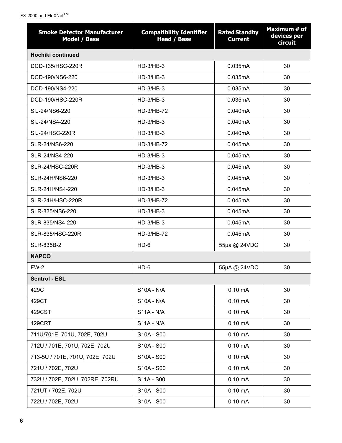| <b>Smoke Detector Manufacturer</b><br>Model / Base | <b>Compatibility Identifier</b><br><b>Head / Base</b> | <b>Rated Standby</b><br><b>Current</b> | Maximum # of<br>devices per<br>circuit |
|----------------------------------------------------|-------------------------------------------------------|----------------------------------------|----------------------------------------|
| <b>Hochiki continued</b>                           |                                                       |                                        |                                        |
| DCD-135/HSC-220R                                   | <b>HD-3/HB-3</b>                                      | 0.035mA                                | 30                                     |
| DCD-190/NS6-220                                    | $HD-3/HB-3$                                           | 0.035mA                                | 30                                     |
| DCD-190/NS4-220                                    | $HD-3/HB-3$                                           | 0.035mA                                | 30                                     |
| DCD-190/HSC-220R                                   | $HD-3/HB-3$                                           | 0.035mA                                | 30                                     |
| SIJ-24/NS6-220                                     | HD-3/HB-72                                            | 0.040mA                                | 30                                     |
| SIJ-24/NS4-220                                     | $HD-3/HB-3$                                           | 0.040mA                                | 30                                     |
| <b>SIJ-24/HSC-220R</b>                             | $HD-3/HB-3$                                           | 0.040mA                                | 30                                     |
| SLR-24/NS6-220                                     | HD-3/HB-72                                            | 0.045mA                                | 30                                     |
| SLR-24/NS4-220                                     | $HD-3/HB-3$                                           | 0.045mA                                | 30                                     |
| <b>SLR-24/HSC-220R</b>                             | $HD-3/HB-3$                                           | 0.045mA                                | 30                                     |
| SLR-24H/NS6-220                                    | $HD-3/HB-3$                                           | 0.045mA                                | 30                                     |
| SLR-24H/NS4-220                                    | $HD-3/HB-3$                                           | 0.045mA                                | 30                                     |
| SLR-24H/HSC-220R                                   | <b>HD-3/HB-72</b>                                     | 0.045mA                                | 30                                     |
| SLR-835/NS6-220                                    | $HD-3/HB-3$                                           | 0.045mA                                | 30                                     |
| SLR-835/NS4-220                                    | $HD-3/HB-3$                                           | 0.045mA                                | 30                                     |
| <b>SLR-835/HSC-220R</b>                            | HD-3/HB-72                                            | 0.045mA                                | 30                                     |
| SLR-835B-2                                         | $HD-6$                                                | 55µa @ 24VDC                           | 30                                     |
| <b>NAPCO</b>                                       |                                                       |                                        |                                        |
| $FW-2$                                             | $HD-6$                                                | 55µA @ 24VDC                           | 30                                     |
| Sentrol - ESL                                      |                                                       |                                        |                                        |
| 429C                                               | S10A - N/A                                            | $0.10 \text{ mA}$                      | 30                                     |
| 429CT                                              | <b>S10A - N/A</b>                                     | $0.10 \text{ mA}$                      | 30                                     |
| 429CST                                             | <b>S11A - N/A</b>                                     | $0.10 \text{ mA}$                      | 30                                     |
| 429CRT                                             | <b>S11A - N/A</b>                                     | $0.10 \text{ mA}$                      | 30                                     |
| 711U/701E, 701U, 702E, 702U                        | S10A - S00                                            | $0.10 \text{ mA}$                      | 30                                     |
| 712U / 701E, 701U, 702E, 702U                      | S10A - S00                                            | $0.10 \text{ mA}$                      | 30                                     |
| 713-5U / 701E, 701U, 702E, 702U                    | S10A - S00                                            | $0.10 \text{ mA}$                      | 30                                     |
| 721U / 702E, 702U                                  | S10A - S00                                            | $0.10 \text{ mA}$                      | 30                                     |
| 732U / 702E, 702U, 702RE, 702RU                    | S11A - S00                                            | $0.10 \text{ mA}$                      | 30                                     |
| 721UT / 702E, 702U                                 | S10A - S00                                            | $0.10 \text{ mA}$                      | 30                                     |
| 722U / 702E, 702U                                  | S10A - S00                                            | $0.10 \text{ mA}$                      | 30                                     |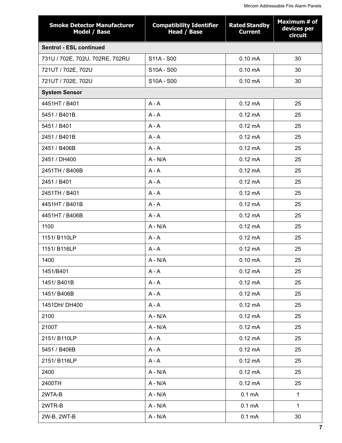| <b>Smoke Detector Manufacturer</b><br>Model / Base | <b>Compatibility Identifier</b><br>Head / Base | <b>Rated Standby</b><br><b>Current</b> | Maximum # of<br>devices per<br>circuit |
|----------------------------------------------------|------------------------------------------------|----------------------------------------|----------------------------------------|
| <b>Sentrol - ESL continued</b>                     |                                                |                                        |                                        |
| 731U / 702E, 702U, 702RE, 702RU                    | S11A - S00                                     | $0.10 \text{ mA}$                      | 30                                     |
| 721UT / 702E, 702U                                 | S10A - S00                                     | $0.10 \text{ mA}$                      | 30                                     |
| 721UT / 702E, 702U                                 | S10A - S00                                     | $0.10 \text{ mA}$                      | 30                                     |
| <b>System Sensor</b>                               |                                                |                                        |                                        |
| 4451HT / B401                                      | $A - A$                                        | $0.12 \text{ mA}$                      | 25                                     |
| 5451 / B401B                                       | $A - A$                                        | $0.12 \text{ mA}$                      | 25                                     |
| 5451 / B401                                        | $A - A$                                        | $0.12 \text{ mA}$                      | 25                                     |
| 2451 / B401B                                       | $A - A$                                        | $0.12 \text{ mA}$                      | 25                                     |
| 2451 / B406B                                       | $A - A$                                        | $0.12 \text{ mA}$                      | 25                                     |
| 2451 / DH400                                       | $A - N/A$                                      | $0.12 \text{ mA}$                      | 25                                     |
| 2451TH / B406B                                     | $A - A$                                        | $0.12 \text{ mA}$                      | 25                                     |
| 2451 / B401                                        | $A - A$                                        | $0.12 \text{ mA}$                      | 25                                     |
| 2451TH / B401                                      | $A - A$                                        | $0.12 \text{ mA}$                      | 25                                     |
| 4451HT / B401B                                     | $A - A$                                        | $0.12 \text{ mA}$                      | 25                                     |
| 4451HT / B406B                                     | $A - A$                                        | $0.12 \text{ mA}$                      | 25                                     |
| 1100                                               | $A - N/A$                                      | $0.12 \text{ mA}$                      | 25                                     |
| 1151/ B110LP                                       | $A - A$                                        | $0.12 \text{ mA}$                      | 25                                     |
| 1151/ B116LP                                       | $A - A$                                        | $0.12 \text{ mA}$                      | 25                                     |
| 1400                                               | $A - N/A$                                      | $0.10 \text{ mA}$                      | 25                                     |
| 1451/B401                                          | $A - A$                                        | $0.12 \text{ mA}$                      | 25                                     |
| 1451/B401B                                         | $A - A$                                        | $0.12 \text{ mA}$                      | 25                                     |
| 1451/B406B                                         | $A - A$                                        | $0.12 \text{ mA}$                      | 25                                     |
| 1451DH/DH400                                       | $A - A$                                        | $0.12 \text{ mA}$                      | 25                                     |
| 2100                                               | $A - N/A$                                      | $0.12 \text{ mA}$                      | 25                                     |
| 2100T                                              | $A - N/A$                                      | $0.12 \text{ mA}$                      | 25                                     |
| 2151/ B110LP                                       | $A - A$                                        | $0.12 \text{ mA}$                      | 25                                     |
| 5451 / B406B                                       | $A - A$                                        | $0.12 \text{ mA}$                      | 25                                     |
| 2151/ B116LP                                       | $A - A$                                        | $0.12 \text{ mA}$                      | 25                                     |
| 2400                                               | $A - N/A$                                      | $0.12 \text{ mA}$                      | 25                                     |
| 2400TH                                             | $A - N/A$                                      | $0.12 \text{ mA}$                      | 25                                     |
| 2WTA-B                                             | $A - N/A$                                      | 0.1 <sub>m</sub> A                     | $\mathbf{1}$                           |
| 2WTR-B                                             | $A - N/A$                                      | $0.1 \text{ mA}$                       | $\mathbf{1}$                           |
| 2W-B, 2WT-B                                        | $A - N/A$                                      | 0.1 <sub>m</sub> A                     | 30                                     |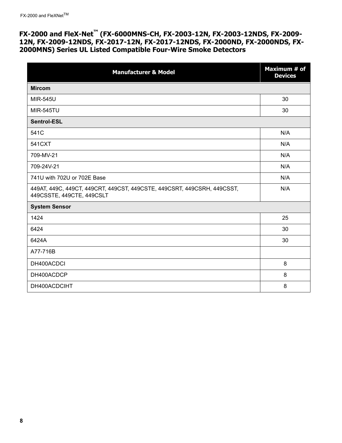#### **FX-2000 and FleX-Net™ (FX-6000MNS-CH, FX-2003-12N, FX-2003-12NDS, FX-2009- 12N, FX-2009-12NDS, FX-2017-12N, FX-2017-12NDS, FX-2000ND, FX-2000NDS, FX-2000MNS) Series UL Listed Compatible Four-Wire Smoke Detectors**

| <b>Manufacturer &amp; Model</b>                                                                      | Maximum # of<br><b>Devices</b> |
|------------------------------------------------------------------------------------------------------|--------------------------------|
| <b>Mircom</b>                                                                                        |                                |
| <b>MIR-545U</b>                                                                                      | 30                             |
| <b>MIR-545TU</b>                                                                                     | 30                             |
| Sentrol-ESL                                                                                          |                                |
| 541C                                                                                                 | N/A                            |
| 541CXT                                                                                               | N/A                            |
| 709-MV-21                                                                                            | N/A                            |
| 709-24V-21                                                                                           | N/A                            |
| 741U with 702U or 702E Base                                                                          | N/A                            |
| 449AT, 449C, 449CT, 449CRT, 449CST, 449CSTE, 449CSRT, 449CSRH, 449CSST,<br>449CSSTE, 449CTE, 449CSLT | N/A                            |
| <b>System Sensor</b>                                                                                 |                                |
| 1424                                                                                                 | 25                             |
| 6424                                                                                                 | 30                             |
| 6424A                                                                                                | 30                             |
| A77-716B                                                                                             |                                |
| DH400ACDCI                                                                                           | 8                              |
| DH400ACDCP                                                                                           | 8                              |
| DH400ACDCIHT                                                                                         | 8                              |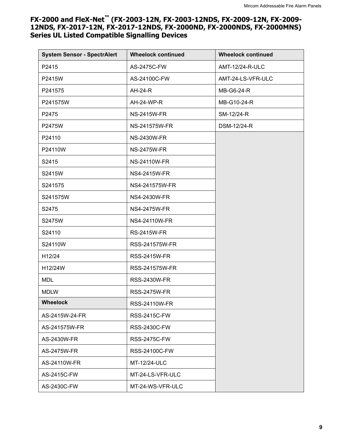#### **FX-2000 and FleX-Net™ (FX-2003-12N, FX-2003-12NDS, FX-2009-12N, FX-2009- 12NDS, FX-2017-12N, FX-2017-12NDS, FX-2000ND, FX-2000NDS, FX-2000MNS) Series UL Listed Compatible Signalling Devices**

| <b>System Sensor - SpectrAlert</b> | <b>Wheelock continued</b> | <b>Wheelock continued</b> |
|------------------------------------|---------------------------|---------------------------|
| P2415                              | AS-2475C-FW               | <b>AMT-12/24-R-ULC</b>    |
| P2415W                             | AS-24100C-FW              | AMT-24-LS-VFR-ULC         |
| P241575                            | <b>AH-24-R</b>            | MB-G6-24-R                |
| P241575W                           | AH-24-WP-R                | MB-G10-24-R               |
| P2475                              | <b>NS-2415W-FR</b>        | SM-12/24-R                |
| P2475W                             | NS-241575W-FR             | DSM-12/24-R               |
| P24110                             | <b>NS-2430W-FR</b>        |                           |
| P24110W                            | <b>NS-2475W-FR</b>        |                           |
| S2415                              | <b>NS-24110W-FR</b>       |                           |
| S2415W                             | <b>NS4-2415W-FR</b>       |                           |
| S241575                            | NS4-241575W-FR            |                           |
| S241575W                           | <b>NS4-2430W-FR</b>       |                           |
| S2475                              | <b>NS4-2475W-FR</b>       |                           |
| S2475W                             | NS4-24110W-FR             |                           |
| S24110                             | <b>RS-2415W-FR</b>        |                           |
| S24110W                            | RSS-241575W-FR            |                           |
| H12/24                             | <b>RSS-2415W-FR</b>       |                           |
| H12/24W                            | RSS-241575W-FR            |                           |
| <b>MDL</b>                         | <b>RSS-2430W-FR</b>       |                           |
| <b>MDLW</b>                        | <b>RSS-2475W-FR</b>       |                           |
| <b>Wheelock</b>                    | RSS-24110W-FR             |                           |
| AS-2415W-24-FR                     | <b>RSS-2415C-FW</b>       |                           |
| AS-241575W-FR                      | <b>RSS-2430C-FW</b>       |                           |
| AS-2430W-FR                        | <b>RSS-2475C-FW</b>       |                           |
| AS-2475W-FR                        | RSS-24100C-FW             |                           |
| AS-24110W-FR                       | MT-12/24-ULC              |                           |
| AS-2415C-FW                        | MT-24-LS-VFR-ULC          |                           |
| AS-2430C-FW                        | MT-24-WS-VFR-ULC          |                           |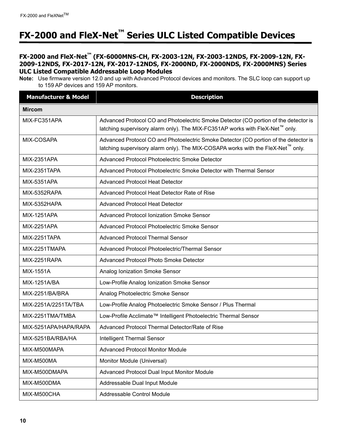# **FX-2000 and FleX-Net™ Series ULC Listed Compatible Devices**

#### **FX-2000 and FleX-Net™ (FX-6000MNS-CH, FX-2003-12N, FX-2003-12NDS, FX-2009-12N, FX-2009-12NDS, FX-2017-12N, FX-2017-12NDS, FX-2000ND, FX-2000NDS, FX-2000MNS) Series ULC Listed Compatible Addressable Loop Modules**

**Note:** Use firmware version 12.0 and up with Advanced Protocol devices and monitors. The SLC loop can support up to 159 AP devices and 159 AP monitors.

| <b>Manufacturer &amp; Model</b> | <b>Description</b>                                                                                                                                                                  |
|---------------------------------|-------------------------------------------------------------------------------------------------------------------------------------------------------------------------------------|
| <b>Mircom</b>                   |                                                                                                                                                                                     |
| MIX-FC351APA                    | Advanced Protocol CO and Photoelectric Smoke Detector (CO portion of the detector is<br>latching supervisory alarm only). The MIX-FC351AP works with FleX-Net <sup>™</sup> only.    |
| MIX-COSAPA                      | Advanced Protocol CO and Photoelectric Smoke Detector (CO portion of the detector is<br>latching supervisory alarm only). The MIX-COSAPA works with the FleX-Net <sup>™</sup> only. |
| <b>MIX-2351APA</b>              | Advanced Protocol Photoelectric Smoke Detector                                                                                                                                      |
| MIX-2351TAPA                    | Advanced Protocol Photoelectric Smoke Detector with Thermal Sensor                                                                                                                  |
| <b>MIX-5351APA</b>              | <b>Advanced Protocol Heat Detector</b>                                                                                                                                              |
| MIX-5352RAPA                    | Advanced Protocol Heat Detector Rate of Rise                                                                                                                                        |
| MIX-5352HAPA                    | <b>Advanced Protocol Heat Detector</b>                                                                                                                                              |
| <b>MIX-1251APA</b>              | <b>Advanced Protocol Ionization Smoke Sensor</b>                                                                                                                                    |
| <b>MIX-2251APA</b>              | Advanced Protocol Photoelectric Smoke Sensor                                                                                                                                        |
| MIX-2251TAPA                    | <b>Advanced Protocol Thermal Sensor</b>                                                                                                                                             |
| MIX-2251TMAPA                   | Advanced Protocol Photoelectric/Thermal Sensor                                                                                                                                      |
| MIX-2251RAPA                    | Advanced Protocol Photo Smoke Detector                                                                                                                                              |
| MIX-1551A                       | Analog Ionization Smoke Sensor                                                                                                                                                      |
| MIX-1251A/BA                    | Low-Profile Analog Ionization Smoke Sensor                                                                                                                                          |
| MIX-2251/BA/BRA                 | Analog Photoelectric Smoke Sensor                                                                                                                                                   |
| MIX-2251A/2251TA/TBA            | Low-Profile Analog Photoelectric Smoke Sensor / Plus Thermal                                                                                                                        |
| MIX-2251TMA/TMBA                | Low-Profile Acclimate™ Intelligent Photoelectric Thermal Sensor                                                                                                                     |
| MIX-5251APA/HAPA/RAPA           | Advanced Protocol Thermal Detector/Rate of Rise                                                                                                                                     |
| MIX-5251BA/RBA/HA               | <b>Intelligent Thermal Sensor</b>                                                                                                                                                   |
| MIX-M500MAPA                    | <b>Advanced Protocol Monitor Module</b>                                                                                                                                             |
| MIX-M500MA                      | Monitor Module (Universal)                                                                                                                                                          |
| MIX-M500DMAPA                   | Advanced Protocol Dual Input Monitor Module                                                                                                                                         |
| MIX-M500DMA                     | Addressable Dual Input Module                                                                                                                                                       |
| MIX-M500CHA                     | Addressable Control Module                                                                                                                                                          |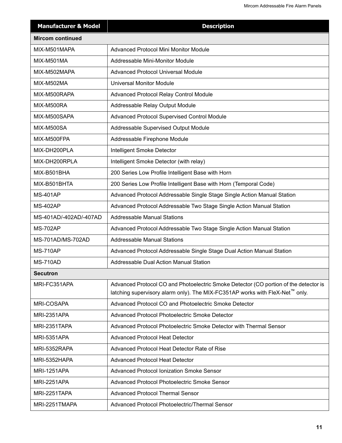| <b>Manufacturer &amp; Model</b> | <b>Description</b>                                                                                                                                                               |
|---------------------------------|----------------------------------------------------------------------------------------------------------------------------------------------------------------------------------|
| <b>Mircom continued</b>         |                                                                                                                                                                                  |
| MIX-M501MAPA                    | <b>Advanced Protocol Mini Monitor Module</b>                                                                                                                                     |
| MIX-M501MA                      | Addressable Mini-Monitor Module                                                                                                                                                  |
| MIX-M502MAPA                    | <b>Advanced Protocol Universal Module</b>                                                                                                                                        |
| MIX-M502MA                      | Universal Monitor Module                                                                                                                                                         |
| MIX-M500RAPA                    | Advanced Protocol Relay Control Module                                                                                                                                           |
| MIX-M500RA                      | Addressable Relay Output Module                                                                                                                                                  |
| MIX-M500SAPA                    | Advanced Protocol Supervised Control Module                                                                                                                                      |
| MIX-M500SA                      | Addressable Supervised Output Module                                                                                                                                             |
| MIX-M500FPA                     | Addressable Firephone Module                                                                                                                                                     |
| MIX-DH200PLA                    | Intelligent Smoke Detector                                                                                                                                                       |
| MIX-DH200RPLA                   | Intelligent Smoke Detector (with relay)                                                                                                                                          |
| MIX-B501BHA                     | 200 Series Low Profile Intelligent Base with Horn                                                                                                                                |
| MIX-B501BHTA                    | 200 Series Low Profile Intelligent Base with Horn (Temporal Code)                                                                                                                |
| <b>MS-401AP</b>                 | Advanced Protocol Addressable Single Stage Single Action Manual Station                                                                                                          |
| <b>MS-402AP</b>                 | Advanced Protocol Addressable Two Stage Single Action Manual Station                                                                                                             |
| MS-401AD/-402AD/-407AD          | <b>Addressable Manual Stations</b>                                                                                                                                               |
| <b>MS-702AP</b>                 | Advanced Protocol Addressable Two Stage Single Action Manual Station                                                                                                             |
| MS-701AD/MS-702AD               | <b>Addressable Manual Stations</b>                                                                                                                                               |
| <b>MS-710AP</b>                 | Advanced Protocol Addressable Single Stage Dual Action Manual Station                                                                                                            |
| <b>MS-710AD</b>                 | Addressable Dual Action Manual Station                                                                                                                                           |
| <b>Secutron</b>                 |                                                                                                                                                                                  |
| MRI-FC351APA                    | Advanced Protocol CO and Photoelectric Smoke Detector (CO portion of the detector is<br>latching supervisory alarm only). The MIX-FC351AP works with FleX-Net <sup>1</sup> only. |
| <b>MRI-COSAPA</b>               | Advanced Protocol CO and Photoelectric Smoke Detector                                                                                                                            |
| <b>MRI-2351APA</b>              | Advanced Protocol Photoelectric Smoke Detector                                                                                                                                   |
| MRI-2351TAPA                    | Advanced Protocol Photoelectric Smoke Detector with Thermal Sensor                                                                                                               |
| <b>MRI-5351APA</b>              | <b>Advanced Protocol Heat Detector</b>                                                                                                                                           |
| MRI-5352RAPA                    | Advanced Protocol Heat Detector Rate of Rise                                                                                                                                     |
| MRI-5352HAPA                    | <b>Advanced Protocol Heat Detector</b>                                                                                                                                           |
| <b>MRI-1251APA</b>              | <b>Advanced Protocol Ionization Smoke Sensor</b>                                                                                                                                 |
| <b>MRI-2251APA</b>              | Advanced Protocol Photoelectric Smoke Sensor                                                                                                                                     |
| MRI-2251TAPA                    | <b>Advanced Protocol Thermal Sensor</b>                                                                                                                                          |
| MRI-2251TMAPA                   | Advanced Protocol Photoelectric/Thermal Sensor                                                                                                                                   |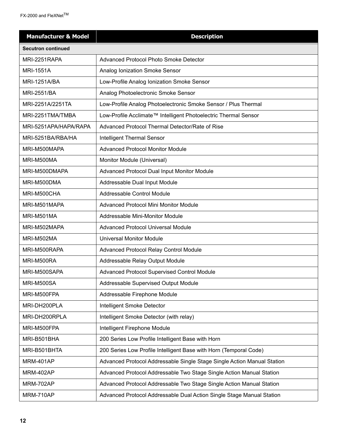| <b>Manufacturer &amp; Model</b> | <b>Description</b>                                                      |
|---------------------------------|-------------------------------------------------------------------------|
| <b>Secutron continued</b>       |                                                                         |
| MRI-2251RAPA                    | Advanced Protocol Photo Smoke Detector                                  |
| <b>MRI-1551A</b>                | Analog Ionization Smoke Sensor                                          |
| <b>MRI-1251A/BA</b>             | Low-Profile Analog Ionization Smoke Sensor                              |
| <b>MRI-2551/BA</b>              | Analog Photoelectronic Smoke Sensor                                     |
| MRI-2251A/2251TA                | Low-Profile Analog Photoelectronic Smoke Sensor / Plus Thermal          |
| MRI-2251TMA/TMBA                | Low-Profile Acclimate™ Intelligent Photoelectric Thermal Sensor         |
| MRI-5251APA/HAPA/RAPA           | Advanced Protocol Thermal Detector/Rate of Rise                         |
| MRI-5251BA/RBA/HA               | Intelligent Thermal Sensor                                              |
| MRI-M500MAPA                    | <b>Advanced Protocol Monitor Module</b>                                 |
| MRI-M500MA                      | Monitor Module (Universal)                                              |
| MRI-M500DMAPA                   | Advanced Protocol Dual Input Monitor Module                             |
| MRI-M500DMA                     | Addressable Dual Input Module                                           |
| MRI-M500CHA                     | Addressable Control Module                                              |
| MRI-M501MAPA                    | Advanced Protocol Mini Monitor Module                                   |
| MRI-M501MA                      | Addressable Mini-Monitor Module                                         |
| MRI-M502MAPA                    | Advanced Protocol Universal Module                                      |
| MRI-M502MA                      | <b>Universal Monitor Module</b>                                         |
| MRI-M500RAPA                    | <b>Advanced Protocol Relay Control Module</b>                           |
| MRI-M500RA                      | Addressable Relay Output Module                                         |
| MRI-M500SAPA                    | Advanced Protocol Supervised Control Module                             |
| MRI-M500SA                      | Addressable Supervised Output Module                                    |
| MRI-M500FPA                     | Addressable Firephone Module                                            |
| MRI-DH200PLA                    | Intelligent Smoke Detector                                              |
| MRI-DH200RPLA                   | Intelligent Smoke Detector (with relay)                                 |
| MRI-M500FPA                     | Intelligent Firephone Module                                            |
| MRI-B501BHA                     | 200 Series Low Profile Intelligent Base with Horn                       |
| MRI-B501BHTA                    | 200 Series Low Profile Intelligent Base with Horn (Temporal Code)       |
| MRM-401AP                       | Advanced Protocol Addressable Single Stage Single Action Manual Station |
| MRM-402AP                       | Advanced Protocol Addressable Two Stage Single Action Manual Station    |
| MRM-702AP                       | Advanced Protocol Addressable Two Stage Single Action Manual Station    |
| MRM-710AP                       | Advanced Protocol Addressable Dual Action Single Stage Manual Station   |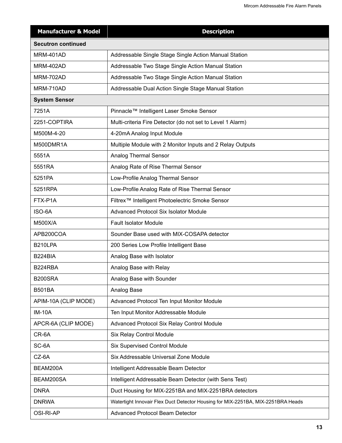| <b>Manufacturer &amp; Model</b> | <b>Description</b>                                                               |
|---------------------------------|----------------------------------------------------------------------------------|
| <b>Secutron continued</b>       |                                                                                  |
| MRM-401AD                       | Addressable Single Stage Single Action Manual Station                            |
| MRM-402AD                       | Addressable Two Stage Single Action Manual Station                               |
| MRM-702AD                       | Addressable Two Stage Single Action Manual Station                               |
| MRM-710AD                       | Addressable Dual Action Single Stage Manual Station                              |
| <b>System Sensor</b>            |                                                                                  |
| 7251A                           | Pinnacle™ Intelligent Laser Smoke Sensor                                         |
| 2251-COPTIRA                    | Multi-criteria Fire Detector (do not set to Level 1 Alarm)                       |
| M500M-4-20                      | 4-20mA Analog Input Module                                                       |
| M500DMR1A                       | Multiple Module with 2 Monitor Inputs and 2 Relay Outputs                        |
| 5551A                           | <b>Analog Thermal Sensor</b>                                                     |
| 5551RA                          | Analog Rate of Rise Thermal Sensor                                               |
| 5251PA                          | Low-Profile Analog Thermal Sensor                                                |
| 5251RPA                         | Low-Profile Analog Rate of Rise Thermal Sensor                                   |
| FTX-P1A                         | Filtrex <sup>™</sup> Intelligent Photoelectric Smoke Sensor                      |
| ISO-6A                          | Advanced Protocol Six Isolator Module                                            |
| M500X/A                         | <b>Fault Isolator Module</b>                                                     |
| APB200COA                       | Sounder Base used with MIX-COSAPA detector                                       |
| B210LPA                         | 200 Series Low Profile Intelligent Base                                          |
| B224BIA                         | Analog Base with Isolator                                                        |
| B224RBA                         | Analog Base with Relay                                                           |
| <b>B200SRA</b>                  | Analog Base with Sounder                                                         |
| <b>B501BA</b>                   | Analog Base                                                                      |
| APIM-10A (CLIP MODE)            | Advanced Protocol Ten Input Monitor Module                                       |
| <b>IM-10A</b>                   | Ten Input Monitor Addressable Module                                             |
| APCR-6A (CLIP MODE)             | Advanced Protocol Six Relay Control Module                                       |
| CR-6A                           | Six Relay Control Module                                                         |
| SC-6A                           | <b>Six Supervised Control Module</b>                                             |
| CZ-6A                           | Six Addressable Universal Zone Module                                            |
| BEAM200A                        | Intelligent Addressable Beam Detector                                            |
| BEAM200SA                       | Intelligent Addressable Beam Detector (with Sens Test)                           |
| <b>DNRA</b>                     | Duct Housing for MIX-2251BA and MIX-2251BRA detectors                            |
| <b>DNRWA</b>                    | Watertight Innovair Flex Duct Detector Housing for MIX-2251BA, MIX-2251BRA Heads |
| OSI-RI-AP                       | <b>Advanced Protocol Beam Detector</b>                                           |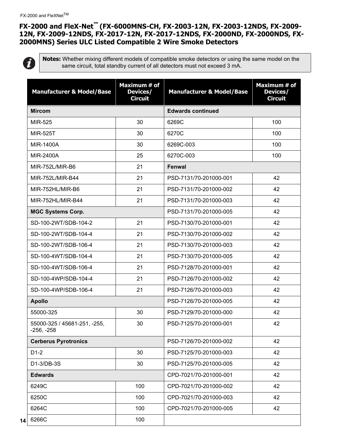#### **FX-2000 and FleX-Net™ (FX-6000MNS-CH, FX-2003-12N, FX-2003-12NDS, FX-2009- 12N, FX-2009-12NDS, FX-2017-12N, FX-2017-12NDS, FX-2000ND, FX-2000NDS, FX-2000MNS) Series ULC Listed Compatible 2 Wire Smoke Detectors**



**Notes:** Whether mixing different models of compatible smoke detectors or using the same model on the same circuit, total standby current of all detectors must not exceed 3 mA.

| <b>Manufacturer &amp; Model/Base</b>         | Maximum # of<br>Devices/<br><b>Circuit</b> | <b>Manufacturer &amp; Model/Base</b> | Maximum # of<br>Devices/<br><b>Circuit</b> |
|----------------------------------------------|--------------------------------------------|--------------------------------------|--------------------------------------------|
| <b>Mircom</b>                                |                                            | <b>Edwards continued</b>             |                                            |
| MIR-525                                      | 30                                         | 6269C                                | 100                                        |
| <b>MIR-525T</b>                              | 30                                         | 6270C                                | 100                                        |
| <b>MIR-1400A</b>                             | 30                                         | 6269C-003                            | 100                                        |
| MIR-2400A                                    | 25                                         | 6270C-003                            | 100                                        |
| MIR-752L/MIR-B6                              | 21                                         | Fenwal                               |                                            |
| MIR-752L/MIR-B44                             | 21                                         | PSD-7131/70-201000-001               | 42                                         |
| MIR-752HL/MIR-B6                             | 21                                         | PSD-7131/70-201000-002               | 42                                         |
| MIR-752HL/MIR-B44                            | 21                                         | PSD-7131/70-201000-003               | 42                                         |
| <b>MGC Systems Corp.</b>                     |                                            | PSD-7131/70-201000-005               | 42                                         |
| SD-100-2WT/SDB-104-2                         | 21                                         | PSD-7130/70-201000-001               | 42                                         |
| SD-100-2WT/SDB-104-4                         | 21                                         | PSD-7130/70-201000-002               | 42                                         |
| SD-100-2WT/SDB-106-4                         | 21                                         | PSD-7130/70-201000-003               | 42                                         |
| SD-100-4WT/SDB-104-4                         | 21                                         | PSD-7130/70-201000-005               | 42                                         |
| SD-100-4WT/SDB-106-4                         | 21                                         | PSD-7128/70-201000-001               | 42                                         |
| SD-100-4WP/SDB-104-4                         | 21                                         | PSD-7126/70-201000-002               | 42                                         |
| SD-100-4WP/SDB-106-4                         | 21                                         | PSD-7126/70-201000-003               | 42                                         |
| <b>Apollo</b>                                |                                            | PSD-7126/70-201000-005               | 42                                         |
| 55000-325                                    | 30                                         | PSD-7129/70-201000-000               | 42                                         |
| 55000-325 / 45681-251, -255,<br>$-256, -258$ | 30                                         | PSD-7125/70-201000-001               | 42                                         |
| <b>Cerberus Pyrotronics</b>                  |                                            | PSD-7126/70-201000-002               | 42                                         |
| $D1-2$                                       | 30                                         | PSD-7125/70-201000-003               | 42                                         |
| D1-3/DB-3S                                   | 30                                         | PSD-7125/70-201000-005               | 42                                         |
| <b>Edwards</b>                               |                                            | CPD-7021/70-201000-001               | 42                                         |
| 6249C                                        | 100                                        | CPD-7021/70-201000-002               | 42                                         |
| 6250C                                        | 100                                        | CPD-7021/70-201000-003               | 42                                         |
| 6264C                                        | 100                                        | CPD-7021/70-201000-005               | 42                                         |
| 6266C                                        | 100                                        |                                      |                                            |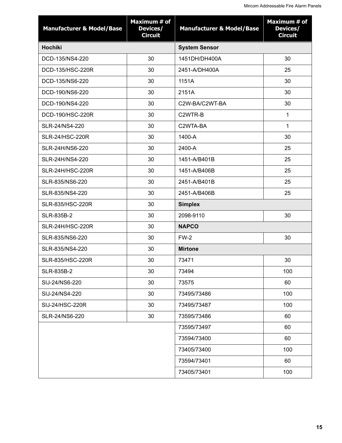| <b>Manufacturer &amp; Model/Base</b> | Maximum # of<br>Devices/<br><b>Circuit</b> | <b>Manufacturer &amp; Model/Base</b> | Maximum # of<br>Devices/<br><b>Circuit</b> |  |
|--------------------------------------|--------------------------------------------|--------------------------------------|--------------------------------------------|--|
| <b>Hochiki</b>                       |                                            | <b>System Sensor</b>                 |                                            |  |
| DCD-135/NS4-220                      | 30                                         | 1451DH/DH400A                        | 30                                         |  |
| DCD-135/HSC-220R                     | 30                                         | 2451-A/DH400A                        | 25                                         |  |
| DCD-135/NS6-220                      | 30                                         | 1151A                                | 30                                         |  |
| DCD-190/NS6-220                      | 30                                         | 2151A                                | 30                                         |  |
| DCD-190/NS4-220                      | 30                                         | C2W-BA/C2WT-BA                       | 30                                         |  |
| DCD-190/HSC-220R                     | 30                                         | C2WTR-B                              | $\mathbf{1}$                               |  |
| SLR-24/NS4-220                       | 30                                         | C2WTA-BA                             | 1                                          |  |
| <b>SLR-24/HSC-220R</b>               | 30                                         | 1400-A                               | 30                                         |  |
| SLR-24H/NS6-220                      | 30                                         | 2400-A                               | 25                                         |  |
| SLR-24H/NS4-220                      | 30                                         | 1451-A/B401B                         | 25                                         |  |
| <b>SLR-24H/HSC-220R</b>              | 30                                         | 1451-A/B406B                         | 25                                         |  |
| SLR-835/NS6-220                      | 30                                         | 2451-A/B401B                         | 25                                         |  |
| SLR-835/NS4-220                      | 30                                         | 2451-A/B406B                         | 25                                         |  |
| <b>SLR-835/HSC-220R</b>              | 30                                         | <b>Simplex</b>                       |                                            |  |
| SLR-835B-2                           | 30                                         | 2098-9110                            | 30                                         |  |
| SLR-24H/HSC-220R                     | 30                                         | <b>NAPCO</b>                         |                                            |  |
| SLR-835/NS6-220                      | 30                                         | $FW-2$                               | 30                                         |  |
| SLR-835/NS4-220                      | 30                                         | <b>Mirtone</b>                       |                                            |  |
| <b>SLR-835/HSC-220R</b>              | 30                                         | 73471                                | 30                                         |  |
| SLR-835B-2                           | 30                                         | 73494                                | 100                                        |  |
| SIJ-24/NS6-220                       | 30                                         | 73575                                | 60                                         |  |
| SIJ-24/NS4-220                       | 30                                         | 73495/73486                          | 100                                        |  |
| <b>SIJ-24/HSC-220R</b>               | 30                                         | 73495/73487                          | 100                                        |  |
| SLR-24/NS6-220                       | 30                                         | 73595/73486                          | 60                                         |  |
|                                      |                                            | 73595/73497                          | 60                                         |  |
|                                      |                                            | 73594/73400                          | 60                                         |  |
|                                      |                                            | 73405/73400                          | 100                                        |  |
|                                      |                                            | 73594/73401                          | 60                                         |  |
|                                      |                                            | 73405/73401                          | 100                                        |  |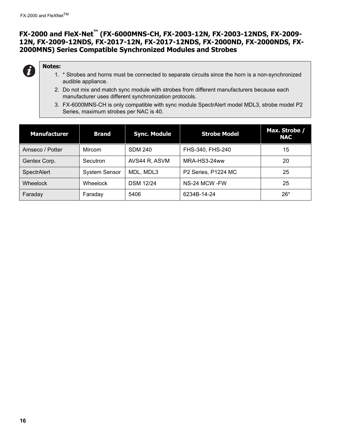#### **FX-2000 and FleX-Net™ (FX-6000MNS-CH, FX-2003-12N, FX-2003-12NDS, FX-2009- 12N, FX-2009-12NDS, FX-2017-12N, FX-2017-12NDS, FX-2000ND, FX-2000NDS, FX-2000MNS) Series Compatible Synchronized Modules and Strobes**



#### **Notes:**

- 1. \* Strobes and horns must be connected to separate circuits since the horn is a non-synchronized audible appliance.
- 2. Do not mix and match sync module with strobes from different manufacturers because each manufacturer uses different synchronization protocols.
- 3. FX-6000MNS-CH is only compatible with sync module SpectrAlert model MDL3, strobe model P2 Series, maximum strobes per NAC is 40.

| <b>Manufacturer</b> | Brand                | <b>Sync. Module</b> | <b>Strobe Model</b> | Max. Strobe /<br><b>NAC</b> |
|---------------------|----------------------|---------------------|---------------------|-----------------------------|
| Amseco / Potter     | Mircom               | <b>SDM 240</b>      | FHS-340, FHS-240    | 15                          |
| Gentex Corp.        | Secutron             | AVS44 R, ASVM       | MRA-HS3-24ww        | 20                          |
| <b>SpectrAlert</b>  | <b>System Sensor</b> | MDL, MDL3           | P2 Series, P1224 MC | 25                          |
| Wheelock            | Wheelock             | <b>DSM 12/24</b>    | NS-24 MCW -FW       | 25                          |
| Faraday             | Faraday              | 5406                | 6234B-14-24         | $26*$                       |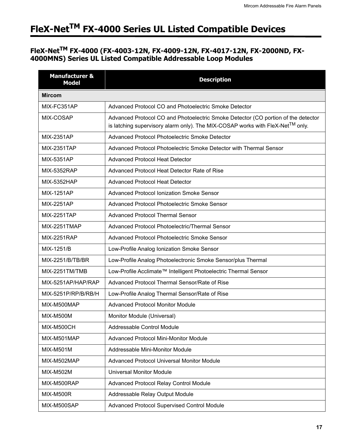# **FleX-NetTM FX-4000 Series UL Listed Compatible Devices**

#### **FleX-NetTM FX-4000 (FX-4003-12N, FX-4009-12N, FX-4017-12N, FX-2000ND, FX-4000MNS) Series UL Listed Compatible Addressable Loop Modules**

| <b>Manufacturer &amp;</b><br><b>Model</b> | <b>Description</b>                                                                                                                                                              |
|-------------------------------------------|---------------------------------------------------------------------------------------------------------------------------------------------------------------------------------|
| <b>Mircom</b>                             |                                                                                                                                                                                 |
| MIX-FC351AP                               | Advanced Protocol CO and Photoelectric Smoke Detector                                                                                                                           |
| MIX-COSAP                                 | Advanced Protocol CO and Photoelectric Smoke Detector (CO portion of the detector<br>is latching supervisory alarm only). The MIX-COSAP works with FleX-Net <sup>TM</sup> only. |
| <b>MIX-2351AP</b>                         | Advanced Protocol Photoelectric Smoke Detector                                                                                                                                  |
| <b>MIX-2351TAP</b>                        | Advanced Protocol Photoelectric Smoke Detector with Thermal Sensor                                                                                                              |
| <b>MIX-5351AP</b>                         | <b>Advanced Protocol Heat Detector</b>                                                                                                                                          |
| <b>MIX-5352RAP</b>                        | Advanced Protocol Heat Detector Rate of Rise                                                                                                                                    |
| <b>MIX-5352HAP</b>                        | Advanced Protocol Heat Detector                                                                                                                                                 |
| <b>MIX-1251AP</b>                         | <b>Advanced Protocol Ionization Smoke Sensor</b>                                                                                                                                |
| <b>MIX-2251AP</b>                         | Advanced Protocol Photoelectric Smoke Sensor                                                                                                                                    |
| <b>MIX-2251TAP</b>                        | <b>Advanced Protocol Thermal Sensor</b>                                                                                                                                         |
| MIX-2251TMAP                              | Advanced Protocol Photoelectric/Thermal Sensor                                                                                                                                  |
| <b>MIX-2251RAP</b>                        | Advanced Protocol Photoelectric Smoke Sensor                                                                                                                                    |
| MIX-1251/B                                | Low-Profile Analog Ionization Smoke Sensor                                                                                                                                      |
| MIX-2251/B/TB/BR                          | Low-Profile Analog Photoelectronic Smoke Sensor/plus Thermal                                                                                                                    |
| MIX-2251TM/TMB                            | Low-Profile Acclimate™ Intelligent Photoelectric Thermal Sensor                                                                                                                 |
| MIX-5251AP/HAP/RAP                        | Advanced Protocol Thermal Sensor/Rate of Rise                                                                                                                                   |
| MIX-5251P/RP/B/RB/H                       | Low-Profile Analog Thermal Sensor/Rate of Rise                                                                                                                                  |
| MIX-M500MAP                               | <b>Advanced Protocol Monitor Module</b>                                                                                                                                         |
| <b>MIX-M500M</b>                          | Monitor Module (Universal)                                                                                                                                                      |
| MIX-M500CH                                | Addressable Control Module                                                                                                                                                      |
| MIX-M501MAP                               | <b>Advanced Protocol Mini-Monitor Module</b>                                                                                                                                    |
| MIX-M501M                                 | Addressable Mini-Monitor Module                                                                                                                                                 |
| MIX-M502MAP                               | <b>Advanced Protocol Universal Monitor Module</b>                                                                                                                               |
| MIX-M502M                                 | <b>Universal Monitor Module</b>                                                                                                                                                 |
| MIX-M500RAP                               | Advanced Protocol Relay Control Module                                                                                                                                          |
| MIX-M500R                                 | Addressable Relay Output Module                                                                                                                                                 |
| MIX-M500SAP                               | Advanced Protocol Supervised Control Module                                                                                                                                     |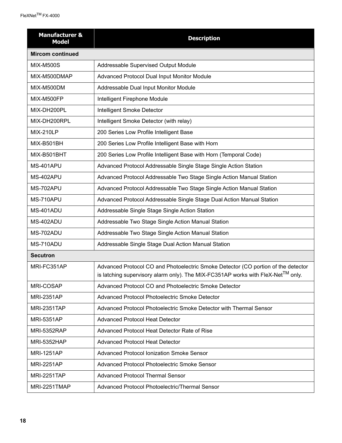| <b>Manufacturer &amp;</b><br><b>Model</b> | <b>Description</b>                                                                                                                                                                |
|-------------------------------------------|-----------------------------------------------------------------------------------------------------------------------------------------------------------------------------------|
| <b>Mircom continued</b>                   |                                                                                                                                                                                   |
| <b>MIX-M500S</b>                          | Addressable Supervised Output Module                                                                                                                                              |
| MIX-M500DMAP                              | Advanced Protocol Dual Input Monitor Module                                                                                                                                       |
| MIX-M500DM                                | Addressable Dual Input Monitor Module                                                                                                                                             |
| MIX-M500FP                                | Intelligent Firephone Module                                                                                                                                                      |
| MIX-DH200PL                               | Intelligent Smoke Detector                                                                                                                                                        |
| MIX-DH200RPL                              | Intelligent Smoke Detector (with relay)                                                                                                                                           |
| <b>MIX-210LP</b>                          | 200 Series Low Profile Intelligent Base                                                                                                                                           |
| MIX-B501BH                                | 200 Series Low Profile Intelligent Base with Horn                                                                                                                                 |
| MIX-B501BHT                               | 200 Series Low Profile Intelligent Base with Horn (Temporal Code)                                                                                                                 |
| MS-401APU                                 | Advanced Protocol Addressable Single Stage Single Action Station                                                                                                                  |
| MS-402APU                                 | Advanced Protocol Addressable Two Stage Single Action Manual Station                                                                                                              |
| MS-702APU                                 | Advanced Protocol Addressable Two Stage Single Action Manual Station                                                                                                              |
| MS-710APU                                 | Advanced Protocol Addressable Single Stage Dual Action Manual Station                                                                                                             |
| MS-401ADU                                 | Addressable Single Stage Single Action Station                                                                                                                                    |
| MS-402ADU                                 | Addressable Two Stage Single Action Manual Station                                                                                                                                |
| MS-702ADU                                 | Addressable Two Stage Single Action Manual Station                                                                                                                                |
| MS-710ADU                                 | Addressable Single Stage Dual Action Manual Station                                                                                                                               |
| <b>Secutron</b>                           |                                                                                                                                                                                   |
| MRI-FC351AP                               | Advanced Protocol CO and Photoelectric Smoke Detector (CO portion of the detector<br>is latching supervisory alarm only). The MIX-FC351AP works with FleX-Net <sup>TM</sup> only. |
| <b>MRI-COSAP</b>                          | Advanced Protocol CO and Photoelectric Smoke Detector                                                                                                                             |
| <b>MRI-2351AP</b>                         | Advanced Protocol Photoelectric Smoke Detector                                                                                                                                    |
| <b>MRI-2351TAP</b>                        | Advanced Protocol Photoelectric Smoke Detector with Thermal Sensor                                                                                                                |
| <b>MRI-5351AP</b>                         | <b>Advanced Protocol Heat Detector</b>                                                                                                                                            |
| <b>MRI-5352RAP</b>                        | Advanced Protocol Heat Detector Rate of Rise                                                                                                                                      |
| <b>MRI-5352HAP</b>                        | Advanced Protocol Heat Detector                                                                                                                                                   |
| <b>MRI-1251AP</b>                         | <b>Advanced Protocol Ionization Smoke Sensor</b>                                                                                                                                  |
| <b>MRI-2251AP</b>                         | Advanced Protocol Photoelectric Smoke Sensor                                                                                                                                      |
| <b>MRI-2251TAP</b>                        | Advanced Protocol Thermal Sensor                                                                                                                                                  |
| MRI-2251TMAP                              | Advanced Protocol Photoelectric/Thermal Sensor                                                                                                                                    |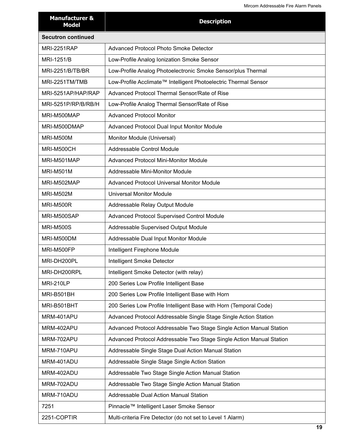| <b>Manufacturer &amp;</b><br><b>Model</b> | <b>Description</b>                                                   |
|-------------------------------------------|----------------------------------------------------------------------|
| <b>Secutron continued</b>                 |                                                                      |
| <b>MRI-2251RAP</b>                        | <b>Advanced Protocol Photo Smoke Detector</b>                        |
| MRI-1251/B                                | Low-Profile Analog Ionization Smoke Sensor                           |
| <b>MRI-2251/B/TB/BR</b>                   | Low-Profile Analog Photoelectronic Smoke Sensor/plus Thermal         |
| MRI-2251TM/TMB                            | Low-Profile Acclimate™ Intelligent Photoelectric Thermal Sensor      |
| MRI-5251AP/HAP/RAP                        | Advanced Protocol Thermal Sensor/Rate of Rise                        |
| MRI-5251P/RP/B/RB/H                       | Low-Profile Analog Thermal Sensor/Rate of Rise                       |
| MRI-M500MAP                               | <b>Advanced Protocol Monitor</b>                                     |
| MRI-M500DMAP                              | Advanced Protocol Dual Input Monitor Module                          |
| <b>MRI-M500M</b>                          | Monitor Module (Universal)                                           |
| MRI-M500CH                                | Addressable Control Module                                           |
| MRI-M501MAP                               | <b>Advanced Protocol Mini-Monitor Module</b>                         |
| <b>MRI-M501M</b>                          | Addressable Mini-Monitor Module                                      |
| MRI-M502MAP                               | <b>Advanced Protocol Universal Monitor Module</b>                    |
| <b>MRI-M502M</b>                          | <b>Universal Monitor Module</b>                                      |
| MRI-M500R                                 | Addressable Relay Output Module                                      |
| MRI-M500SAP                               | Advanced Protocol Supervised Control Module                          |
| <b>MRI-M500S</b>                          | Addressable Supervised Output Module                                 |
| MRI-M500DM                                | Addressable Dual Input Monitor Module                                |
| MRI-M500FP                                | Intelligent Firephone Module                                         |
| MRI-DH200PL                               | Intelligent Smoke Detector                                           |
| MRI-DH200RPL                              | Intelligent Smoke Detector (with relay)                              |
| <b>MRI-210LP</b>                          | 200 Series Low Profile Intelligent Base                              |
| MRI-B501BH                                | 200 Series Low Profile Intelligent Base with Horn                    |
| MRI-B501BHT                               | 200 Series Low Profile Intelligent Base with Horn (Temporal Code)    |
| MRM-401APU                                | Advanced Protocol Addressable Single Stage Single Action Station     |
| MRM-402APU                                | Advanced Protocol Addressable Two Stage Single Action Manual Station |
| MRM-702APU                                | Advanced Protocol Addressable Two Stage Single Action Manual Station |
| MRM-710APU                                | Addressable Single Stage Dual Action Manual Station                  |
| MRM-401ADU                                | Addressable Single Stage Single Action Station                       |
| MRM-402ADU                                | Addressable Two Stage Single Action Manual Station                   |
| MRM-702ADU                                | Addressable Two Stage Single Action Manual Station                   |
| MRM-710ADU                                | Addressable Dual Action Manual Station                               |
| 7251                                      | Pinnacle™ Intelligent Laser Smoke Sensor                             |
| 2251-COPTIR                               | Multi-criteria Fire Detector (do not set to Level 1 Alarm)           |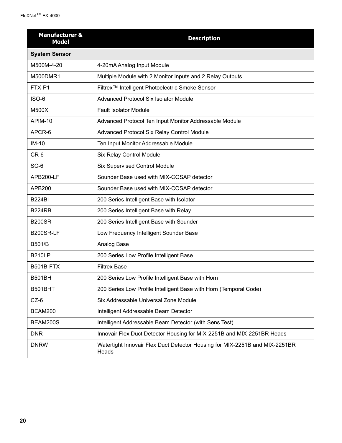| <b>Manufacturer &amp;</b><br><b>Model</b> | <b>Description</b>                                                                   |
|-------------------------------------------|--------------------------------------------------------------------------------------|
| <b>System Sensor</b>                      |                                                                                      |
| M500M-4-20                                | 4-20mA Analog Input Module                                                           |
| M500DMR1                                  | Multiple Module with 2 Monitor Inputs and 2 Relay Outputs                            |
| FTX-P1                                    | Filtrex <sup>™</sup> Intelligent Photoelectric Smoke Sensor                          |
| ISO-6                                     | <b>Advanced Protocol Six Isolator Module</b>                                         |
| M500X                                     | <b>Fault Isolator Module</b>                                                         |
| APIM-10                                   | Advanced Protocol Ten Input Monitor Addressable Module                               |
| APCR-6                                    | Advanced Protocol Six Relay Control Module                                           |
| $IM-10$                                   | Ten Input Monitor Addressable Module                                                 |
| CR-6                                      | Six Relay Control Module                                                             |
| SC-6                                      | Six Supervised Control Module                                                        |
| APB200-LF                                 | Sounder Base used with MIX-COSAP detector                                            |
| APB200                                    | Sounder Base used with MIX-COSAP detector                                            |
| <b>B224BI</b>                             | 200 Series Intelligent Base with Isolator                                            |
| <b>B224RB</b>                             | 200 Series Intelligent Base with Relay                                               |
| <b>B200SR</b>                             | 200 Series Intelligent Base with Sounder                                             |
| B200SR-LF                                 | Low Frequency Intelligent Sounder Base                                               |
| B501/B                                    | Analog Base                                                                          |
| <b>B210LP</b>                             | 200 Series Low Profile Intelligent Base                                              |
| B501B-FTX                                 | <b>Filtrex Base</b>                                                                  |
| <b>B501BH</b>                             | 200 Series Low Profile Intelligent Base with Horn                                    |
| B501BHT                                   | 200 Series Low Profile Intelligent Base with Horn (Temporal Code)                    |
| $CZ-6$                                    | Six Addressable Universal Zone Module                                                |
| BEAM200                                   | Intelligent Addressable Beam Detector                                                |
| BEAM200S                                  | Intelligent Addressable Beam Detector (with Sens Test)                               |
| <b>DNR</b>                                | Innovair Flex Duct Detector Housing for MIX-2251B and MIX-2251BR Heads               |
| <b>DNRW</b>                               | Watertight Innovair Flex Duct Detector Housing for MIX-2251B and MIX-2251BR<br>Heads |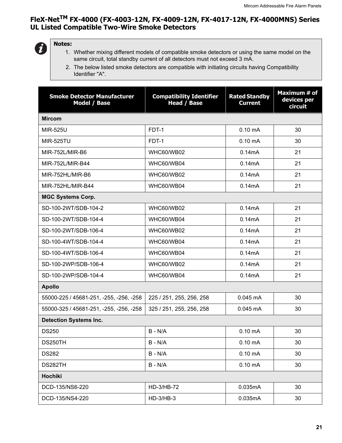### **FleX-NetTM FX-4000 (FX-4003-12N, FX-4009-12N, FX-4017-12N, FX-4000MNS) Series UL Listed Compatible Two-Wire Smoke Detectors**



#### **Notes:**

- 1. Whether mixing different models of compatible smoke detectors or using the same model on the same circuit, total standby current of all detectors must not exceed 3 mA.
- 2. The below listed smoke detectors are compatible with initiating circuits having Compatibility Identifier "A".

| <b>Smoke Detector Manufacturer</b><br>Model / Base | <b>Compatibility Identifier</b><br><b>Head / Base</b> | <b>Rated Standby</b><br><b>Current</b> | Maximum # of<br>devices per<br>circuit |
|----------------------------------------------------|-------------------------------------------------------|----------------------------------------|----------------------------------------|
| <b>Mircom</b>                                      |                                                       |                                        |                                        |
| MIR-525U                                           | FDT-1                                                 | $0.10 \text{ mA}$                      | 30                                     |
| <b>MIR-525TU</b>                                   | FDT-1                                                 | $0.10 \text{ mA}$                      | 30                                     |
| MIR-752L/MIR-B6                                    | <b>WHC60/WB02</b>                                     | 0.14mA                                 | 21                                     |
| MIR-752L/MIR-B44                                   | <b>WHC60/WB04</b>                                     | 0.14mA                                 | 21                                     |
| MIR-752HL/MIR-B6                                   | <b>WHC60/WB02</b>                                     | 0.14mA                                 | 21                                     |
| MIR-752HL/MIR-B44                                  | WHC60/WB04                                            | 0.14mA                                 | 21                                     |
| <b>MGC Systems Corp.</b>                           |                                                       |                                        |                                        |
| SD-100-2WT/SDB-104-2                               | <b>WHC60/WB02</b>                                     | 0.14mA                                 | 21                                     |
| SD-100-2WT/SDB-104-4                               | WHC60/WB04                                            | 0.14mA                                 | 21                                     |
| SD-100-2WT/SDB-106-4                               | <b>WHC60/WB02</b>                                     | 0.14mA                                 | 21                                     |
| SD-100-4WT/SDB-104-4                               | <b>WHC60/WB04</b>                                     | 0.14mA                                 | 21                                     |
| SD-100-4WT/SDB-106-4                               | WHC60/WB04                                            | 0.14mA                                 | 21                                     |
| SD-100-2WP/SDB-106-4                               | <b>WHC60/WB02</b>                                     | 0.14mA                                 | 21                                     |
| SD-100-2WP/SDB-104-4                               | WHC60/WB04                                            | 0.14mA                                 | 21                                     |
| <b>Apollo</b>                                      |                                                       |                                        |                                        |
| 55000-225 / 45681-251, -255, -256, -258            | 225 / 251, 255, 256, 258                              | $0.045$ mA                             | 30                                     |
| 55000-325 / 45681-251, -255, -256, -258            | 325 / 251, 255, 256, 258                              | $0.045$ mA                             | 30                                     |
| <b>Detection Systems Inc.</b>                      |                                                       |                                        |                                        |
| <b>DS250</b>                                       | $B - N/A$                                             | $0.10 \text{ mA}$                      | 30                                     |
| DS250TH                                            | $B - N/A$                                             | $0.10 \text{ mA}$                      | 30                                     |
| <b>DS282</b>                                       | $B - N/A$                                             | $0.10 \text{ mA}$                      | 30                                     |
| DS282TH                                            | $B - N/A$                                             | $0.10 \text{ mA}$                      | 30                                     |
| Hochiki                                            |                                                       |                                        |                                        |
| DCD-135/NS6-220                                    | HD-3/HB-72                                            | 0.035mA                                | 30                                     |
| DCD-135/NS4-220                                    | $HD-3/HB-3$                                           | 0.035mA                                | 30                                     |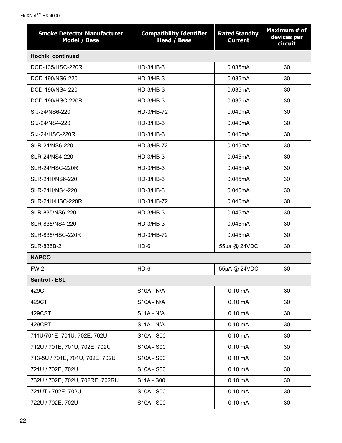| <b>Smoke Detector Manufacturer</b><br>Model / Base | <b>Compatibility Identifier</b><br><b>Head / Base</b> | <b>Rated Standby</b><br><b>Current</b> | Maximum # of<br>devices per<br>circuit |
|----------------------------------------------------|-------------------------------------------------------|----------------------------------------|----------------------------------------|
| Hochiki continued                                  |                                                       |                                        |                                        |
| DCD-135/HSC-220R                                   | $HD-3/HB-3$                                           | 0.035mA                                | 30                                     |
| DCD-190/NS6-220                                    | $HD-3/HB-3$                                           | 0.035mA                                | 30                                     |
| DCD-190/NS4-220                                    | $HD-3/HB-3$                                           | 0.035mA                                | 30                                     |
| DCD-190/HSC-220R                                   | $HD-3/HB-3$                                           | 0.035mA                                | 30                                     |
| SIJ-24/NS6-220                                     | <b>HD-3/HB-72</b>                                     | 0.040mA                                | 30                                     |
| SIJ-24/NS4-220                                     | $HD-3/HB-3$                                           | 0.040mA                                | 30                                     |
| SIJ-24/HSC-220R                                    | $HD-3/HB-3$                                           | 0.040mA                                | 30                                     |
| SLR-24/NS6-220                                     | <b>HD-3/HB-72</b>                                     | 0.045mA                                | 30                                     |
| SLR-24/NS4-220                                     | $HD-3/HB-3$                                           | 0.045mA                                | 30                                     |
| <b>SLR-24/HSC-220R</b>                             | $HD-3/HB-3$                                           | 0.045mA                                | 30                                     |
| SLR-24H/NS6-220                                    | $HD-3/HB-3$                                           | 0.045mA                                | 30                                     |
| SLR-24H/NS4-220                                    | $HD-3/HB-3$                                           | 0.045mA                                | 30                                     |
| SLR-24H/HSC-220R                                   | HD-3/HB-72                                            | 0.045mA                                | 30                                     |
| SLR-835/NS6-220                                    | $HD-3/HB-3$                                           | 0.045mA                                | 30                                     |
| SLR-835/NS4-220                                    | $HD-3/HB-3$                                           | 0.045mA                                | 30                                     |
| SLR-835/HSC-220R                                   | HD-3/HB-72                                            | 0.045mA                                | 30                                     |
| SLR-835B-2                                         | $HD-6$                                                | 55µa @ 24VDC                           | 30                                     |
| <b>NAPCO</b>                                       |                                                       |                                        |                                        |
| $FW-2$                                             | $HD-6$                                                | 55µA @ 24VDC                           | 30                                     |
| Sentrol - ESL                                      |                                                       |                                        |                                        |
| 429C                                               | S10A - N/A                                            | $0.10 \text{ mA}$                      | 30                                     |
| 429CT                                              | S10A - N/A                                            | $0.10 \text{ mA}$                      | 30                                     |
| 429CST                                             | S11A - N/A                                            | $0.10 \text{ mA}$                      | 30                                     |
| 429CRT                                             | S11A - N/A                                            | $0.10 \text{ mA}$                      | 30                                     |
| 711U/701E, 701U, 702E, 702U                        | S10A - S00                                            | $0.10 \text{ mA}$                      | 30                                     |
| 712U / 701E, 701U, 702E, 702U                      | S10A - S00                                            | $0.10 \text{ mA}$                      | 30                                     |
| 713-5U / 701E, 701U, 702E, 702U                    | S10A - S00                                            | $0.10 \text{ mA}$                      | 30                                     |
| 721U / 702E, 702U                                  | S10A - S00                                            | $0.10 \text{ mA}$                      | 30                                     |
| 732U / 702E, 702U, 702RE, 702RU                    | S11A - S00                                            | $0.10 \text{ mA}$                      | 30                                     |
| 721UT / 702E, 702U                                 | S10A - S00                                            | $0.10 \text{ mA}$                      | 30                                     |
| 722U / 702E, 702U                                  | S10A - S00                                            | $0.10 \text{ mA}$                      | 30                                     |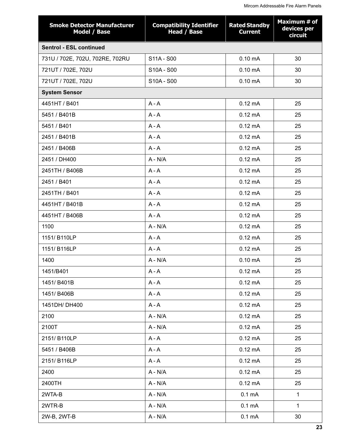| <b>Smoke Detector Manufacturer</b><br>Model / Base | <b>Compatibility Identifier</b><br>Head / Base | <b>Rated Standby</b><br><b>Current</b> | Maximum # of<br>devices per<br>circuit |
|----------------------------------------------------|------------------------------------------------|----------------------------------------|----------------------------------------|
| <b>Sentrol - ESL continued</b>                     |                                                |                                        |                                        |
| 731U / 702E, 702U, 702RE, 702RU                    | S11A - S00                                     | $0.10 \text{ mA}$                      | 30                                     |
| 721UT / 702E, 702U                                 | S10A - S00                                     | $0.10 \text{ mA}$                      | 30                                     |
| 721UT / 702E, 702U                                 | S10A - S00                                     | $0.10 \text{ mA}$                      | 30                                     |
| <b>System Sensor</b>                               |                                                |                                        |                                        |
| 4451HT / B401                                      | $A - A$                                        | $0.12 \text{ mA}$                      | 25                                     |
| 5451 / B401B                                       | $A - A$                                        | $0.12 \text{ mA}$                      | 25                                     |
| 5451 / B401                                        | $A - A$                                        | $0.12 \text{ mA}$                      | 25                                     |
| 2451 / B401B                                       | $A - A$                                        | $0.12 \text{ mA}$                      | 25                                     |
| 2451 / B406B                                       | $A - A$                                        | $0.12 \text{ mA}$                      | 25                                     |
| 2451 / DH400                                       | $A - N/A$                                      | $0.12 \text{ mA}$                      | 25                                     |
| 2451TH / B406B                                     | $A - A$                                        | $0.12 \text{ mA}$                      | 25                                     |
| 2451 / B401                                        | $A - A$                                        | $0.12 \text{ mA}$                      | 25                                     |
| 2451TH / B401                                      | $A - A$                                        | $0.12 \text{ mA}$                      | 25                                     |
| 4451HT / B401B                                     | $A - A$                                        | $0.12 \text{ mA}$                      | 25                                     |
| 4451HT / B406B                                     | $A - A$                                        | $0.12 \text{ mA}$                      | 25                                     |
| 1100                                               | $A - N/A$                                      | $0.12 \text{ mA}$                      | 25                                     |
| 1151/ B110LP                                       | $A - A$                                        | $0.12 \text{ mA}$                      | 25                                     |
| 1151/ B116LP                                       | $A - A$                                        | $0.12 \text{ mA}$                      | 25                                     |
| 1400                                               | $A - N/A$                                      | $0.10 \text{ mA}$                      | 25                                     |
| 1451/B401                                          | $A - A$                                        | $0.12 \text{ mA}$                      | 25                                     |
| 1451/B401B                                         | $A - A$                                        | $0.12 \text{ mA}$                      | 25                                     |
| 1451/B406B                                         | $A - A$                                        | $0.12 \text{ mA}$                      | 25                                     |
| 1451DH/DH400                                       | $A - A$                                        | $0.12 \text{ mA}$                      | 25                                     |
| 2100                                               | $A - N/A$                                      | $0.12 \text{ mA}$                      | 25                                     |
| 2100T                                              | $A - N/A$                                      | $0.12 \text{ mA}$                      | 25                                     |
| 2151/ B110LP                                       | $A - A$                                        | $0.12 \text{ mA}$                      | 25                                     |
| 5451 / B406B                                       | $A - A$                                        | $0.12 \text{ mA}$                      | 25                                     |
| 2151/ B116LP                                       | $A - A$                                        | $0.12 \text{ mA}$                      | 25                                     |
| 2400                                               | $A - N/A$                                      | $0.12 \text{ mA}$                      | 25                                     |
| 2400TH                                             | $A - N/A$                                      | $0.12 \text{ mA}$                      | 25                                     |
| 2WTA-B                                             | $A - N/A$                                      | 0.1 <sub>m</sub> A                     | $\mathbf{1}$                           |
| 2WTR-B                                             | $A - N/A$                                      | $0.1 \text{ mA}$                       | $\mathbf{1}$                           |
| 2W-B, 2WT-B                                        | $A - N/A$                                      | 0.1 <sub>m</sub> A                     | 30                                     |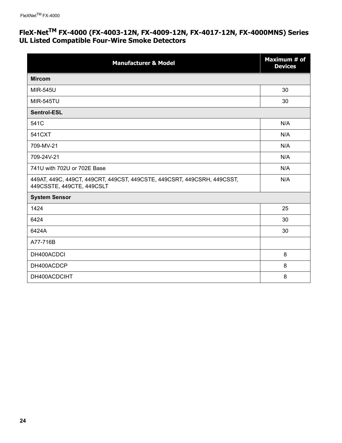#### **FleX-NetTM FX-4000 (FX-4003-12N, FX-4009-12N, FX-4017-12N, FX-4000MNS) Series UL Listed Compatible Four-Wire Smoke Detectors**

| <b>Manufacturer &amp; Model</b>                                                                      | Maximum # of<br><b>Devices</b> |
|------------------------------------------------------------------------------------------------------|--------------------------------|
| <b>Mircom</b>                                                                                        |                                |
| <b>MIR-545U</b>                                                                                      | 30                             |
| <b>MIR-545TU</b>                                                                                     | 30                             |
| Sentrol-ESL                                                                                          |                                |
| 541C                                                                                                 | N/A                            |
| 541CXT                                                                                               | N/A                            |
| 709-MV-21                                                                                            | N/A                            |
| 709-24V-21                                                                                           | N/A                            |
| 741U with 702U or 702E Base                                                                          | N/A                            |
| 449AT, 449C, 449CT, 449CRT, 449CST, 449CSTE, 449CSRT, 449CSRH, 449CSST,<br>449CSSTE, 449CTE, 449CSLT | N/A                            |
| <b>System Sensor</b>                                                                                 |                                |
| 1424                                                                                                 | 25                             |
| 6424                                                                                                 | 30                             |
| 6424A                                                                                                | 30                             |
| A77-716B                                                                                             |                                |
| DH400ACDCI                                                                                           | 8                              |
| DH400ACDCP                                                                                           | 8                              |
| DH400ACDCIHT                                                                                         | 8                              |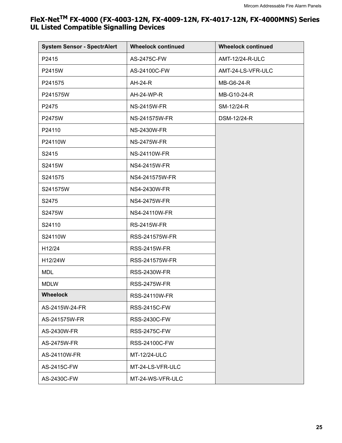#### **FleX-NetTM FX-4000 (FX-4003-12N, FX-4009-12N, FX-4017-12N, FX-4000MNS) Series UL Listed Compatible Signalling Devices**

| <b>System Sensor - SpectrAlert</b> | <b>Wheelock continued</b> | <b>Wheelock continued</b> |
|------------------------------------|---------------------------|---------------------------|
| P2415                              | AS-2475C-FW               | <b>AMT-12/24-R-ULC</b>    |
| P2415W                             | AS-24100C-FW              | AMT-24-LS-VFR-ULC         |
| P241575                            | <b>AH-24-R</b>            | MB-G6-24-R                |
| P241575W                           | AH-24-WP-R                | MB-G10-24-R               |
| P2475                              | <b>NS-2415W-FR</b>        | SM-12/24-R                |
| P2475W                             | NS-241575W-FR             | DSM-12/24-R               |
| P24110                             | <b>NS-2430W-FR</b>        |                           |
| P24110W                            | <b>NS-2475W-FR</b>        |                           |
| S2415                              | <b>NS-24110W-FR</b>       |                           |
| S2415W                             | <b>NS4-2415W-FR</b>       |                           |
| S241575                            | NS4-241575W-FR            |                           |
| S241575W                           | NS4-2430W-FR              |                           |
| S2475                              | <b>NS4-2475W-FR</b>       |                           |
| S2475W                             | NS4-24110W-FR             |                           |
| S24110                             | <b>RS-2415W-FR</b>        |                           |
| S24110W                            | RSS-241575W-FR            |                           |
| H12/24                             | <b>RSS-2415W-FR</b>       |                           |
| H12/24W                            | RSS-241575W-FR            |                           |
| <b>MDL</b>                         | <b>RSS-2430W-FR</b>       |                           |
| <b>MDLW</b>                        | <b>RSS-2475W-FR</b>       |                           |
| <b>Wheelock</b>                    | RSS-24110W-FR             |                           |
| AS-2415W-24-FR                     | <b>RSS-2415C-FW</b>       |                           |
| AS-241575W-FR                      | <b>RSS-2430C-FW</b>       |                           |
| AS-2430W-FR                        | <b>RSS-2475C-FW</b>       |                           |
| AS-2475W-FR                        | RSS-24100C-FW             |                           |
| AS-24110W-FR                       | MT-12/24-ULC              |                           |
| AS-2415C-FW                        | MT-24-LS-VFR-ULC          |                           |
| AS-2430C-FW                        | MT-24-WS-VFR-ULC          |                           |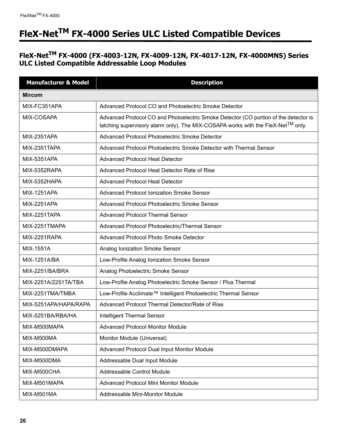# **FleX-NetTM FX-4000 Series ULC Listed Compatible Devices**

#### **FleX-NetTM FX-4000 (FX-4003-12N, FX-4009-12N, FX-4017-12N, FX-4000MNS) Series ULC Listed Compatible Addressable Loop Modules**

| <b>Manufacturer &amp; Model</b> | <b>Description</b>                                                                                                                                                                  |
|---------------------------------|-------------------------------------------------------------------------------------------------------------------------------------------------------------------------------------|
| <b>Mircom</b>                   |                                                                                                                                                                                     |
| MIX-FC351APA                    | Advanced Protocol CO and Photoelectric Smoke Detector                                                                                                                               |
| MIX-COSAPA                      | Advanced Protocol CO and Photoelectric Smoke Detector (CO portion of the detector is<br>latching supervisory alarm only). The MIX-COSAPA works with the FleX-Net <sup>™</sup> only. |
| <b>MIX-2351APA</b>              | Advanced Protocol Photoelectric Smoke Detector                                                                                                                                      |
| MIX-2351TAPA                    | Advanced Protocol Photoelectric Smoke Detector with Thermal Sensor                                                                                                                  |
| <b>MIX-5351APA</b>              | <b>Advanced Protocol Heat Detector</b>                                                                                                                                              |
| MIX-5352RAPA                    | Advanced Protocol Heat Detector Rate of Rise                                                                                                                                        |
| MIX-5352HAPA                    | <b>Advanced Protocol Heat Detector</b>                                                                                                                                              |
| <b>MIX-1251APA</b>              | Advanced Protocol Ionization Smoke Sensor                                                                                                                                           |
| <b>MIX-2251APA</b>              | Advanced Protocol Photoelectric Smoke Sensor                                                                                                                                        |
| MIX-2251TAPA                    | <b>Advanced Protocol Thermal Sensor</b>                                                                                                                                             |
| MIX-2251TMAPA                   | Advanced Protocol Photoelectric/Thermal Sensor                                                                                                                                      |
| MIX-2251RAPA                    | Advanced Protocol Photo Smoke Detector                                                                                                                                              |
| <b>MIX-1551A</b>                | Analog Ionization Smoke Sensor                                                                                                                                                      |
| MIX-1251A/BA                    | Low-Profile Analog Ionization Smoke Sensor                                                                                                                                          |
| MIX-2251/BA/BRA                 | Analog Photoelectric Smoke Sensor                                                                                                                                                   |
| MIX-2251A/2251TA/TBA            | Low-Profile Analog Photoelectric Smoke Sensor / Plus Thermal                                                                                                                        |
| MIX-2251TMA/TMBA                | Low-Profile Acclimate™ Intelligent Photoelectric Thermal Sensor                                                                                                                     |
| MIX-5251APA/HAPA/RAPA           | Advanced Protocol Thermal Detector/Rate of Rise                                                                                                                                     |
| MIX-5251BA/RBA/HA               | Intelligent Thermal Sensor                                                                                                                                                          |
| MIX-M500MAPA                    | <b>Advanced Protocol Monitor Module</b>                                                                                                                                             |
| MIX-M500MA                      | Monitor Module (Universal)                                                                                                                                                          |
| MIX-M500DMAPA                   | Advanced Protocol Dual Input Monitor Module                                                                                                                                         |
| MIX-M500DMA                     | Addressable Dual Input Module                                                                                                                                                       |
| MIX-M500CHA                     | Addressable Control Module                                                                                                                                                          |
| MIX-M501MAPA                    | Advanced Protocol Mini Monitor Module                                                                                                                                               |
| MIX-M501MA                      | Addressable Mini-Monitor Module                                                                                                                                                     |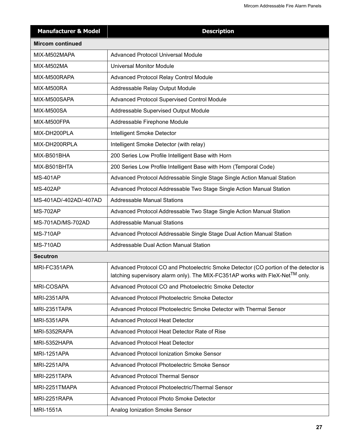| <b>Manufacturer &amp; Model</b> | <b>Description</b>                                                                                                                                                                |
|---------------------------------|-----------------------------------------------------------------------------------------------------------------------------------------------------------------------------------|
| <b>Mircom continued</b>         |                                                                                                                                                                                   |
| MIX-M502MAPA                    | <b>Advanced Protocol Universal Module</b>                                                                                                                                         |
| MIX-M502MA                      | <b>Universal Monitor Module</b>                                                                                                                                                   |
| MIX-M500RAPA                    | <b>Advanced Protocol Relay Control Module</b>                                                                                                                                     |
| MIX-M500RA                      | Addressable Relay Output Module                                                                                                                                                   |
| MIX-M500SAPA                    | Advanced Protocol Supervised Control Module                                                                                                                                       |
| MIX-M500SA                      | Addressable Supervised Output Module                                                                                                                                              |
| MIX-M500FPA                     | Addressable Firephone Module                                                                                                                                                      |
| MIX-DH200PLA                    | Intelligent Smoke Detector                                                                                                                                                        |
| MIX-DH200RPLA                   | Intelligent Smoke Detector (with relay)                                                                                                                                           |
| MIX-B501BHA                     | 200 Series Low Profile Intelligent Base with Horn                                                                                                                                 |
| MIX-B501BHTA                    | 200 Series Low Profile Intelligent Base with Horn (Temporal Code)                                                                                                                 |
| <b>MS-401AP</b>                 | Advanced Protocol Addressable Single Stage Single Action Manual Station                                                                                                           |
| <b>MS-402AP</b>                 | Advanced Protocol Addressable Two Stage Single Action Manual Station                                                                                                              |
| MS-401AD/-402AD/-407AD          | <b>Addressable Manual Stations</b>                                                                                                                                                |
| <b>MS-702AP</b>                 | Advanced Protocol Addressable Two Stage Single Action Manual Station                                                                                                              |
| MS-701AD/MS-702AD               | <b>Addressable Manual Stations</b>                                                                                                                                                |
| <b>MS-710AP</b>                 | Advanced Protocol Addressable Single Stage Dual Action Manual Station                                                                                                             |
| <b>MS-710AD</b>                 | Addressable Dual Action Manual Station                                                                                                                                            |
| <b>Secutron</b>                 |                                                                                                                                                                                   |
| MRI-FC351APA                    | Advanced Protocol CO and Photoelectric Smoke Detector (CO portion of the detector is<br>latching supervisory alarm only). The MIX-FC351AP works with FleX-Net <sup>TM</sup> only. |
| <b>MRI-COSAPA</b>               | Advanced Protocol CO and Photoelectric Smoke Detector                                                                                                                             |
| <b>MRI-2351APA</b>              | Advanced Protocol Photoelectric Smoke Detector                                                                                                                                    |
| MRI-2351TAPA                    | Advanced Protocol Photoelectric Smoke Detector with Thermal Sensor                                                                                                                |
| <b>MRI-5351APA</b>              | <b>Advanced Protocol Heat Detector</b>                                                                                                                                            |
| MRI-5352RAPA                    | Advanced Protocol Heat Detector Rate of Rise                                                                                                                                      |
| MRI-5352HAPA                    | <b>Advanced Protocol Heat Detector</b>                                                                                                                                            |
| <b>MRI-1251APA</b>              | <b>Advanced Protocol Ionization Smoke Sensor</b>                                                                                                                                  |
| <b>MRI-2251APA</b>              | Advanced Protocol Photoelectric Smoke Sensor                                                                                                                                      |
| MRI-2251TAPA                    | <b>Advanced Protocol Thermal Sensor</b>                                                                                                                                           |
| MRI-2251TMAPA                   | Advanced Protocol Photoelectric/Thermal Sensor                                                                                                                                    |
| MRI-2251RAPA                    | Advanced Protocol Photo Smoke Detector                                                                                                                                            |
| <b>MRI-1551A</b>                | Analog Ionization Smoke Sensor                                                                                                                                                    |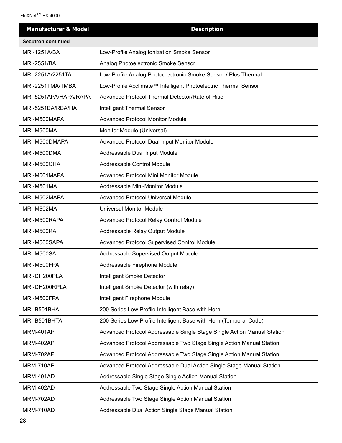| <b>Manufacturer &amp; Model</b> | <b>Description</b>                                                      |
|---------------------------------|-------------------------------------------------------------------------|
| <b>Secutron continued</b>       |                                                                         |
| <b>MRI-1251A/BA</b>             | Low-Profile Analog Ionization Smoke Sensor                              |
| <b>MRI-2551/BA</b>              | Analog Photoelectronic Smoke Sensor                                     |
| MRI-2251A/2251TA                | Low-Profile Analog Photoelectronic Smoke Sensor / Plus Thermal          |
| MRI-2251TMA/TMBA                | Low-Profile Acclimate™ Intelligent Photoelectric Thermal Sensor         |
| MRI-5251APA/HAPA/RAPA           | Advanced Protocol Thermal Detector/Rate of Rise                         |
| MRI-5251BA/RBA/HA               | Intelligent Thermal Sensor                                              |
| MRI-M500MAPA                    | <b>Advanced Protocol Monitor Module</b>                                 |
| MRI-M500MA                      | Monitor Module (Universal)                                              |
| MRI-M500DMAPA                   | Advanced Protocol Dual Input Monitor Module                             |
| MRI-M500DMA                     | Addressable Dual Input Module                                           |
| MRI-M500CHA                     | Addressable Control Module                                              |
| MRI-M501MAPA                    | Advanced Protocol Mini Monitor Module                                   |
| MRI-M501MA                      | Addressable Mini-Monitor Module                                         |
| MRI-M502MAPA                    | <b>Advanced Protocol Universal Module</b>                               |
| MRI-M502MA                      | <b>Universal Monitor Module</b>                                         |
| MRI-M500RAPA                    | Advanced Protocol Relay Control Module                                  |
| MRI-M500RA                      | Addressable Relay Output Module                                         |
| MRI-M500SAPA                    | Advanced Protocol Supervised Control Module                             |
| MRI-M500SA                      | Addressable Supervised Output Module                                    |
| MRI-M500FPA                     | Addressable Firephone Module                                            |
| MRI-DH200PLA                    | Intelligent Smoke Detector                                              |
| MRI-DH200RPLA                   | Intelligent Smoke Detector (with relay)                                 |
| MRI-M500FPA                     | Intelligent Firephone Module                                            |
| MRI-B501BHA                     | 200 Series Low Profile Intelligent Base with Horn                       |
| MRI-B501BHTA                    | 200 Series Low Profile Intelligent Base with Horn (Temporal Code)       |
| MRM-401AP                       | Advanced Protocol Addressable Single Stage Single Action Manual Station |
| MRM-402AP                       | Advanced Protocol Addressable Two Stage Single Action Manual Station    |
| MRM-702AP                       | Advanced Protocol Addressable Two Stage Single Action Manual Station    |
| MRM-710AP                       | Advanced Protocol Addressable Dual Action Single Stage Manual Station   |
| MRM-401AD                       | Addressable Single Stage Single Action Manual Station                   |
| MRM-402AD                       | Addressable Two Stage Single Action Manual Station                      |
| MRM-702AD                       | Addressable Two Stage Single Action Manual Station                      |
| MRM-710AD                       | Addressable Dual Action Single Stage Manual Station                     |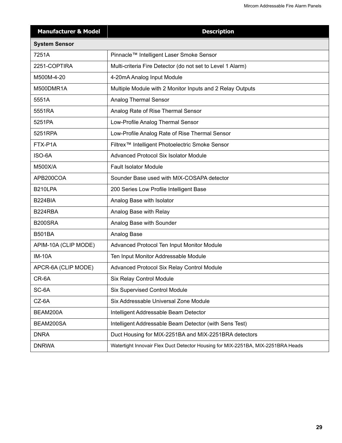| <b>Manufacturer &amp; Model</b> | <b>Description</b>                                                               |
|---------------------------------|----------------------------------------------------------------------------------|
| <b>System Sensor</b>            |                                                                                  |
| 7251A                           | Pinnacle™ Intelligent Laser Smoke Sensor                                         |
| 2251-COPTIRA                    | Multi-criteria Fire Detector (do not set to Level 1 Alarm)                       |
| M500M-4-20                      | 4-20mA Analog Input Module                                                       |
| M500DMR1A                       | Multiple Module with 2 Monitor Inputs and 2 Relay Outputs                        |
| 5551A                           | <b>Analog Thermal Sensor</b>                                                     |
| 5551RA                          | Analog Rate of Rise Thermal Sensor                                               |
| 5251PA                          | Low-Profile Analog Thermal Sensor                                                |
| 5251RPA                         | Low-Profile Analog Rate of Rise Thermal Sensor                                   |
| FTX-P1A                         | Filtrex <sup>™</sup> Intelligent Photoelectric Smoke Sensor                      |
| ISO-6A                          | Advanced Protocol Six Isolator Module                                            |
| M500X/A                         | <b>Fault Isolator Module</b>                                                     |
| APB200COA                       | Sounder Base used with MIX-COSAPA detector                                       |
| B210LPA                         | 200 Series Low Profile Intelligent Base                                          |
| B224BIA                         | Analog Base with Isolator                                                        |
| B224RBA                         | Analog Base with Relay                                                           |
| <b>B200SRA</b>                  | Analog Base with Sounder                                                         |
| <b>B501BA</b>                   | Analog Base                                                                      |
| APIM-10A (CLIP MODE)            | Advanced Protocol Ten Input Monitor Module                                       |
| <b>IM-10A</b>                   | Ten Input Monitor Addressable Module                                             |
| APCR-6A (CLIP MODE)             | Advanced Protocol Six Relay Control Module                                       |
| CR-6A                           | Six Relay Control Module                                                         |
| SC-6A                           | <b>Six Supervised Control Module</b>                                             |
| CZ-6A                           | Six Addressable Universal Zone Module                                            |
| BEAM200A                        | Intelligent Addressable Beam Detector                                            |
| BEAM200SA                       | Intelligent Addressable Beam Detector (with Sens Test)                           |
| <b>DNRA</b>                     | Duct Housing for MIX-2251BA and MIX-2251BRA detectors                            |
| <b>DNRWA</b>                    | Watertight Innovair Flex Duct Detector Housing for MIX-2251BA, MIX-2251BRA Heads |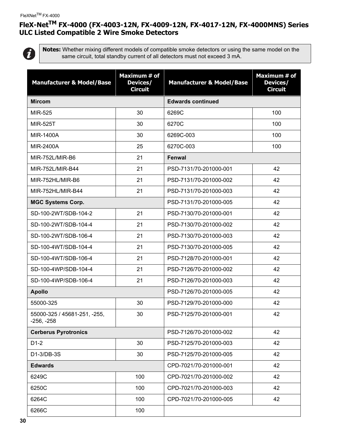#### **FleX-NetTM FX-4000 (FX-4003-12N, FX-4009-12N, FX-4017-12N, FX-4000MNS) Series ULC Listed Compatible 2 Wire Smoke Detectors**

7

**Notes:** Whether mixing different models of compatible smoke detectors or using the same model on the same circuit, total standby current of all detectors must not exceed 3 mA.

| <b>Manufacturer &amp; Model/Base</b>       | Maximum # of<br>Devices/<br><b>Circuit</b> | <b>Manufacturer &amp; Model/Base</b> | Maximum # of<br>Devices/<br><b>Circuit</b> |  |
|--------------------------------------------|--------------------------------------------|--------------------------------------|--------------------------------------------|--|
| <b>Mircom</b>                              |                                            | <b>Edwards continued</b>             |                                            |  |
| MIR-525                                    | 30                                         | 6269C                                | 100                                        |  |
| <b>MIR-525T</b>                            | 30                                         | 6270C                                | 100                                        |  |
| MIR-1400A                                  | 30                                         | 6269C-003                            | 100                                        |  |
| MIR-2400A                                  | 25                                         | 6270C-003                            | 100                                        |  |
| MIR-752L/MIR-B6                            | 21                                         | Fenwal                               |                                            |  |
| MIR-752L/MIR-B44                           | 21                                         | PSD-7131/70-201000-001               | 42                                         |  |
| MIR-752HL/MIR-B6                           | 21                                         | PSD-7131/70-201000-002               | 42                                         |  |
| MIR-752HL/MIR-B44                          | 21                                         | PSD-7131/70-201000-003               | 42                                         |  |
| <b>MGC Systems Corp.</b>                   |                                            | PSD-7131/70-201000-005               | 42                                         |  |
| SD-100-2WT/SDB-104-2                       | 21                                         | PSD-7130/70-201000-001               | 42                                         |  |
| SD-100-2WT/SDB-104-4                       | 21                                         | PSD-7130/70-201000-002               | 42                                         |  |
| SD-100-2WT/SDB-106-4                       | 21                                         | PSD-7130/70-201000-003               | 42                                         |  |
| SD-100-4WT/SDB-104-4                       | 21                                         | PSD-7130/70-201000-005               | 42                                         |  |
| SD-100-4WT/SDB-106-4                       | 21                                         | PSD-7128/70-201000-001               | 42                                         |  |
| SD-100-4WP/SDB-104-4                       | 21                                         | PSD-7126/70-201000-002               | 42                                         |  |
| SD-100-4WP/SDB-106-4                       | 21                                         | PSD-7126/70-201000-003               | 42                                         |  |
| <b>Apollo</b>                              |                                            | 42<br>PSD-7126/70-201000-005         |                                            |  |
| 55000-325                                  | 30                                         | PSD-7129/70-201000-000               | 42                                         |  |
| 55000-325 / 45681-251, -255,<br>-256, -258 | 30                                         | PSD-7125/70-201000-001               | 42                                         |  |
| <b>Cerberus Pyrotronics</b>                |                                            | PSD-7126/70-201000-002               | 42                                         |  |
| $D1-2$                                     | 30                                         | PSD-7125/70-201000-003               | 42                                         |  |
| D1-3/DB-3S                                 | 30                                         | PSD-7125/70-201000-005               | 42                                         |  |
| <b>Edwards</b>                             |                                            | CPD-7021/70-201000-001               | 42                                         |  |
| 6249C                                      | 100                                        | CPD-7021/70-201000-002               | 42                                         |  |
| 6250C                                      | 100                                        | CPD-7021/70-201000-003               | 42                                         |  |
| 6264C                                      | 100                                        | CPD-7021/70-201000-005               | 42                                         |  |
| 6266C                                      | 100                                        |                                      |                                            |  |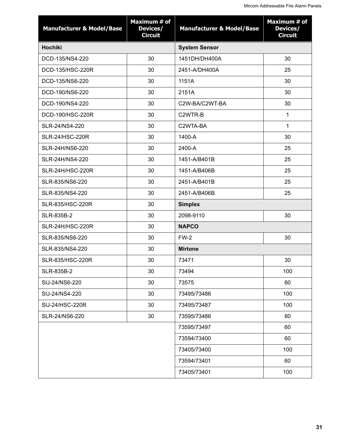| <b>Manufacturer &amp; Model/Base</b> | Maximum # of<br>Devices/<br><b>Circuit</b> | <b>Manufacturer &amp; Model/Base</b> | Maximum # of<br>Devices/<br><b>Circuit</b> |  |  |
|--------------------------------------|--------------------------------------------|--------------------------------------|--------------------------------------------|--|--|
| <b>Hochiki</b>                       |                                            | <b>System Sensor</b>                 |                                            |  |  |
| DCD-135/NS4-220                      | 30                                         | 1451DH/DH400A                        | 30                                         |  |  |
| DCD-135/HSC-220R                     | 30                                         | 2451-A/DH400A                        | 25                                         |  |  |
| DCD-135/NS6-220                      | 30                                         | 1151A                                | 30                                         |  |  |
| DCD-190/NS6-220                      | 30                                         | 2151A                                | 30                                         |  |  |
| DCD-190/NS4-220                      | 30                                         | C2W-BA/C2WT-BA                       | 30                                         |  |  |
| DCD-190/HSC-220R                     | 30                                         | C2WTR-B                              | $\mathbf{1}$                               |  |  |
| SLR-24/NS4-220                       | 30                                         | C2WTA-BA                             | 1                                          |  |  |
| <b>SLR-24/HSC-220R</b>               | 30                                         | 1400-A                               | 30                                         |  |  |
| SLR-24H/NS6-220                      | 30                                         | 2400-A                               | 25                                         |  |  |
| SLR-24H/NS4-220                      | 30                                         | 1451-A/B401B                         | 25                                         |  |  |
| SLR-24H/HSC-220R                     | 30                                         | 1451-A/B406B                         | 25                                         |  |  |
| SLR-835/NS6-220                      | 30                                         | 2451-A/B401B                         | 25                                         |  |  |
| SLR-835/NS4-220                      | 30                                         | 2451-A/B406B                         | 25                                         |  |  |
| <b>SLR-835/HSC-220R</b>              | 30                                         | <b>Simplex</b>                       |                                            |  |  |
| SLR-835B-2                           | 30                                         | 2098-9110                            | 30                                         |  |  |
| SLR-24H/HSC-220R                     | 30                                         | <b>NAPCO</b>                         |                                            |  |  |
| SLR-835/NS6-220                      | 30                                         | $FW-2$                               | 30                                         |  |  |
| SLR-835/NS4-220                      | 30                                         | <b>Mirtone</b>                       |                                            |  |  |
| SLR-835/HSC-220R                     | 30                                         | 73471                                | 30                                         |  |  |
| SLR-835B-2                           | 30                                         | 73494                                | 100                                        |  |  |
| SIJ-24/NS6-220                       | 30                                         | 73575                                | 60                                         |  |  |
| SIJ-24/NS4-220                       | 30                                         | 73495/73486                          | 100                                        |  |  |
| <b>SIJ-24/HSC-220R</b>               | 30                                         | 73495/73487                          | 100                                        |  |  |
| SLR-24/NS6-220                       | 30                                         | 73595/73486                          | 60                                         |  |  |
|                                      |                                            | 73595/73497                          | 60                                         |  |  |
|                                      |                                            | 73594/73400                          | 60                                         |  |  |
|                                      |                                            | 73405/73400                          | 100                                        |  |  |
|                                      |                                            | 73594/73401                          | 60                                         |  |  |
|                                      |                                            | 73405/73401                          | 100                                        |  |  |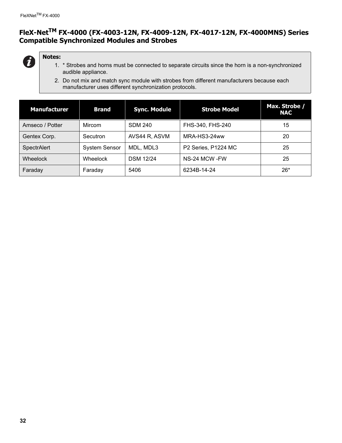#### **FleX-NetTM FX-4000 (FX-4003-12N, FX-4009-12N, FX-4017-12N, FX-4000MNS) Series Compatible Synchronized Modules and Strobes**



#### **Notes:**

- 1. \* Strobes and horns must be connected to separate circuits since the horn is a non-synchronized audible appliance.
- 2. Do not mix and match sync module with strobes from different manufacturers because each manufacturer uses different synchronization protocols.

| <b>Manufacturer</b> | <b>Brand</b>         | <b>Sync. Module</b> | <b>Strobe Model</b> | Max. Strobe /<br><b>NAC</b> |
|---------------------|----------------------|---------------------|---------------------|-----------------------------|
| Amseco / Potter     | Mircom               | <b>SDM 240</b>      | FHS-340, FHS-240    | 15                          |
| Gentex Corp.        | Secutron             | AVS44 R, ASVM       | MRA-HS3-24ww        | 20                          |
| <b>SpectrAlert</b>  | <b>System Sensor</b> | MDL, MDL3           | P2 Series, P1224 MC | 25                          |
| Wheelock            | Wheelock             | <b>DSM 12/24</b>    | NS-24 MCW -FW       | 25                          |
| Faraday             | Faraday              | 5406                | 6234B-14-24         | $26*$                       |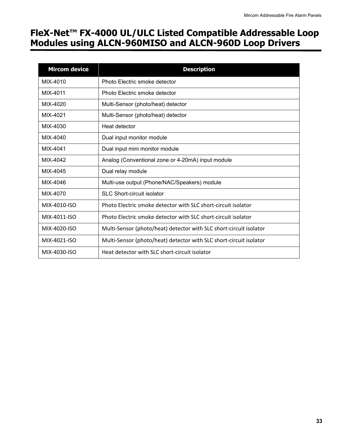# **FleX-Net™ FX-4000 UL/ULC Listed Compatible Addressable Loop Modules using ALCN-960MISO and ALCN-960D Loop Drivers**

| <b>Mircom device</b> | <b>Description</b>                                                 |
|----------------------|--------------------------------------------------------------------|
| MIX-4010             | Photo Electric smoke detector                                      |
| MIX-4011             | Photo Electric smoke detector                                      |
| MIX-4020             | Multi-Sensor (photo/heat) detector                                 |
| MIX-4021             | Multi-Sensor (photo/heat) detector                                 |
| MIX-4030             | Heat detector                                                      |
| MIX-4040             | Dual input monitor module                                          |
| MIX-4041             | Dual input mini monitor module                                     |
| MIX-4042             | Analog (Conventional zone or 4-20mA) input module                  |
| MIX-4045             | Dual relay module                                                  |
| MIX-4046             | Multi-use output (Phone/NAC/Speakers) module                       |
| MIX-4070             | SLC Short-circuit isolator                                         |
| MIX-4010-ISO         | Photo Electric smoke detector with SLC short-circuit isolator      |
| MIX-4011-ISO         | Photo Electric smoke detector with SLC short-circuit isolator      |
| MIX-4020-ISO         | Multi-Sensor (photo/heat) detector with SLC short-circuit isolator |
| MIX-4021-ISO         | Multi-Sensor (photo/heat) detector with SLC short-circuit isolator |
| MIX-4030-ISO         | Heat detector with SLC short-circuit isolator                      |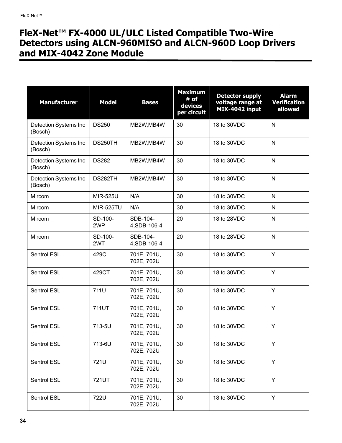# **FleX-Net™ FX-4000 UL/ULC Listed Compatible Two-Wire Detectors using ALCN-960MISO and ALCN-960D Loop Drivers and MIX-4042 Zone Module**

| <b>Manufacturer</b>              | <b>Model</b>     | <b>Bases</b>              | <b>Maximum</b><br># of<br>devices<br>per circuit | <b>Detector supply</b><br>voltage range at<br>MIX-4042 input | <b>Alarm</b><br><b>Verification</b><br>allowed |
|----------------------------------|------------------|---------------------------|--------------------------------------------------|--------------------------------------------------------------|------------------------------------------------|
| Detection Systems Inc<br>(Bosch) | <b>DS250</b>     | MB2W,MB4W                 | 30                                               | 18 to 30VDC                                                  | $\mathsf{N}$                                   |
| Detection Systems Inc<br>(Bosch) | DS250TH          | MB2W,MB4W                 | 30                                               | 18 to 30VDC                                                  | N.                                             |
| Detection Systems Inc<br>(Bosch) | <b>DS282</b>     | MB2W, MB4W                | 30                                               | 18 to 30VDC                                                  | $\mathsf{N}$                                   |
| Detection Systems Inc<br>(Bosch) | DS282TH          | MB2W,MB4W                 | 30                                               | 18 to 30VDC                                                  | N                                              |
| Mircom                           | <b>MIR-525U</b>  | N/A                       | 30                                               | 18 to 30VDC                                                  | $\mathsf{N}$                                   |
| Mircom                           | <b>MIR-525TU</b> | N/A                       | 30                                               | 18 to 30VDC                                                  | $\mathsf{N}$                                   |
| Mircom                           | SD-100-<br>2WP   | SDB-104-<br>4, SDB-106-4  | 20                                               | 18 to 28VDC                                                  | N                                              |
| Mircom                           | SD-100-<br>2WT   | SDB-104-<br>4, SDB-106-4  | 20                                               | 18 to 28VDC                                                  | $\mathsf{N}$                                   |
| Sentrol ESL                      | 429C             | 701E, 701U,<br>702E, 702U | 30                                               | 18 to 30VDC                                                  | Y                                              |
| Sentrol ESL                      | 429CT            | 701E, 701U,<br>702E, 702U | 30                                               | 18 to 30VDC                                                  | Y                                              |
| Sentrol ESL                      | 711U             | 701E, 701U,<br>702E, 702U | 30                                               | 18 to 30VDC                                                  | Y                                              |
| Sentrol ESL                      | 711UT            | 701E, 701U,<br>702E, 702U | 30                                               | 18 to 30VDC                                                  | Y                                              |
| Sentrol ESL                      | 713-5U           | 701E, 701U,<br>702E, 702U | 30                                               | 18 to 30VDC                                                  | Y                                              |
| Sentrol ESL                      | 713-6U           | 701E, 701U,<br>702E, 702U | 30                                               | 18 to 30VDC                                                  | Y                                              |
| Sentrol ESL                      | 721U             | 701E, 701U,<br>702E, 702U | 30                                               | 18 to 30VDC                                                  | Y                                              |
| Sentrol ESL                      | 721UT            | 701E, 701U,<br>702E, 702U | 30                                               | 18 to 30VDC                                                  | Y                                              |
| Sentrol ESL                      | 722U             | 701E, 701U,<br>702E, 702U | 30                                               | 18 to 30VDC                                                  | Y                                              |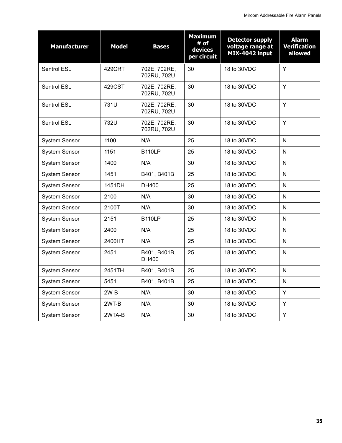| <b>Manufacturer</b>  | <b>Model</b> | <b>Bases</b>                | <b>Maximum</b><br># of<br>devices<br>per circuit | <b>Detector supply</b><br>voltage range at<br>MIX-4042 input | <b>Alarm</b><br><b>Verification</b><br>allowed |
|----------------------|--------------|-----------------------------|--------------------------------------------------|--------------------------------------------------------------|------------------------------------------------|
| Sentrol ESL          | 429CRT       | 702E, 702RE,<br>702RU, 702U | 30                                               | 18 to 30VDC                                                  | Y                                              |
| Sentrol ESL          | 429CST       | 702E, 702RE,<br>702RU, 702U | 30                                               | 18 to 30VDC                                                  | Y                                              |
| Sentrol ESL          | 731U         | 702E, 702RE,<br>702RU, 702U | 30                                               | 18 to 30VDC                                                  | Y                                              |
| Sentrol ESL          | 732U         | 702E, 702RE,<br>702RU, 702U | 30                                               | 18 to 30VDC                                                  | Y                                              |
| <b>System Sensor</b> | 1100         | N/A                         | 25                                               | 18 to 30VDC                                                  | $\mathsf{N}$                                   |
| <b>System Sensor</b> | 1151         | <b>B110LP</b>               | 25                                               | 18 to 30VDC                                                  | $\mathsf{N}$                                   |
| <b>System Sensor</b> | 1400         | N/A                         | 30                                               | 18 to 30VDC                                                  | $\overline{N}$                                 |
| <b>System Sensor</b> | 1451         | B401, B401B                 | 25                                               | 18 to 30VDC                                                  | $\mathsf{N}$                                   |
| <b>System Sensor</b> | 1451DH       | DH400                       | 25                                               | 18 to 30VDC                                                  | N                                              |
| System Sensor        | 2100         | N/A                         | 30                                               | 18 to 30VDC                                                  | $\mathsf{N}$                                   |
| <b>System Sensor</b> | 2100T        | N/A                         | 30                                               | 18 to 30VDC                                                  | $\mathsf{N}$                                   |
| <b>System Sensor</b> | 2151         | <b>B110LP</b>               | 25                                               | 18 to 30VDC                                                  | $\mathsf{N}$                                   |
| <b>System Sensor</b> | 2400         | N/A                         | 25                                               | 18 to 30VDC                                                  | $\mathsf{N}$                                   |
| <b>System Sensor</b> | 2400HT       | N/A                         | 25                                               | 18 to 30VDC                                                  | $\mathsf{N}$                                   |
| <b>System Sensor</b> | 2451         | B401, B401B,<br>DH400       | 25                                               | 18 to 30VDC                                                  | $\mathsf{N}$                                   |
| <b>System Sensor</b> | 2451TH       | B401, B401B                 | 25                                               | 18 to 30VDC                                                  | N                                              |
| <b>System Sensor</b> | 5451         | B401, B401B                 | 25                                               | 18 to 30VDC                                                  | $\mathsf{N}$                                   |
| <b>System Sensor</b> | $2W-B$       | N/A                         | 30                                               | 18 to 30VDC                                                  | Y                                              |
| <b>System Sensor</b> | 2WT-B        | N/A                         | 30                                               | 18 to 30VDC                                                  | Y                                              |
| <b>System Sensor</b> | 2WTA-B       | N/A                         | 30                                               | 18 to 30VDC                                                  | Y                                              |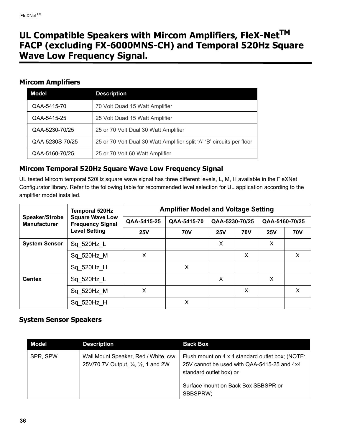# **UL Compatible Speakers with Mircom Amplifiers, FleX-NetTM FACP (excluding FX-6000MNS-CH) and Temporal 520Hz Square Wave Low Frequency Signal.**

#### **Mircom Amplifiers**

| Model           | <b>Description</b>                                                    |
|-----------------|-----------------------------------------------------------------------|
| QAA-5415-70     | 70 Volt Quad 15 Watt Amplifier                                        |
| QAA-5415-25     | 25 Volt Quad 15 Watt Amplifier                                        |
| QAA-5230-70/25  | 25 or 70 Volt Dual 30 Watt Amplifier                                  |
| QAA-5230S-70/25 | 25 or 70 Volt Dual 30 Watt Amplifier split 'A' 'B' circuits per floor |
| QAA-5160-70/25  | 25 or 70 Volt 60 Watt Amplifier                                       |

#### **Mircom Temporal 520Hz Square Wave Low Frequency Signal**

UL tested Mircom temporal 520Hz square wave signal has three different levels, L, M, H available in the FleXNet Configurator library. Refer to the following table for recommended level selection for UL application according to the amplifier model installed.

|                                       | <b>Temporal 520Hz</b><br><b>Square Wave Low</b><br><b>Frequency Signal</b><br><b>Level Setting</b> | <b>Amplifier Model and Voltage Setting</b> |             |                |            |                |            |
|---------------------------------------|----------------------------------------------------------------------------------------------------|--------------------------------------------|-------------|----------------|------------|----------------|------------|
| Speaker/Strobe<br><b>Manufacturer</b> |                                                                                                    | QAA-5415-25                                | QAA-5415-70 | QAA-5230-70/25 |            | QAA-5160-70/25 |            |
|                                       |                                                                                                    | <b>25V</b>                                 | <b>70V</b>  | <b>25V</b>     | <b>70V</b> | <b>25V</b>     | <b>70V</b> |
| <b>System Sensor</b>                  | Sq 520Hz L                                                                                         |                                            |             | X              |            | X              |            |
|                                       | Sq 520Hz M                                                                                         | X                                          |             |                | X          |                | $\times$   |
|                                       | Sq 520Hz H                                                                                         |                                            | X           |                |            |                |            |
| <b>Gentex</b>                         | Sq 520Hz L                                                                                         |                                            |             | X              |            | X              |            |
|                                       | Sq 520Hz M                                                                                         | X                                          |             |                | X          |                | X          |
|                                       | Sq 520Hz H                                                                                         |                                            | X           |                |            |                |            |

#### **System Sensor Speakers**

| Model    | <b>Description</b>                                                           | <b>Back Box</b>                                                                                                                                                   |
|----------|------------------------------------------------------------------------------|-------------------------------------------------------------------------------------------------------------------------------------------------------------------|
| SPR, SPW | Wall Mount Speaker, Red / White, c/w<br>25V/70.7V Output, 1/4, 1/2, 1 and 2W | Flush mount on 4 x 4 standard outlet box; (NOTE:<br>25V cannot be used with QAA-5415-25 and 4x4<br>standard outlet box) or<br>Surface mount on Back Box SBBSPR or |
|          |                                                                              | SBBSPRW:                                                                                                                                                          |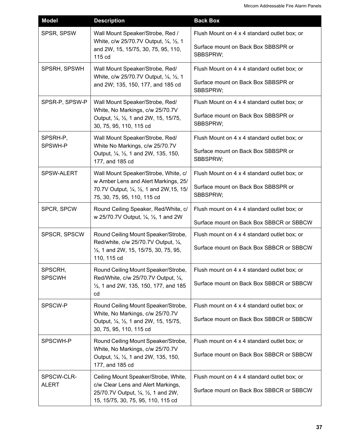| <b>Model</b>                                                                                                     | <b>Description</b>                                                                                                              | <b>Back Box</b>                                 |
|------------------------------------------------------------------------------------------------------------------|---------------------------------------------------------------------------------------------------------------------------------|-------------------------------------------------|
| SPSR, SPSW                                                                                                       | Wall Mount Speaker/Strobe, Red /<br>White, c/w 25/70.7V Output, 1/4, 1/2, 1                                                     | Flush Mount on 4 x 4 standard outlet box; or    |
|                                                                                                                  | and 2W, 15, 15/75, 30, 75, 95, 110,<br>115 cd                                                                                   | Surface mount on Back Box SBBSPR or<br>SBBSPRW; |
| SPSRH, SPSWH                                                                                                     | Wall Mount Speaker/Strobe, Red/                                                                                                 | Flush Mount on 4 x 4 standard outlet box; or    |
|                                                                                                                  | White, c/w 25/70.7V Output, 1/4, 1/2, 1<br>and 2W; 135, 150, 177, and 185 cd                                                    | Surface mount on Back Box SBBSPR or<br>SBBSPRW; |
| SPSR-P, SPSW-P                                                                                                   | Wall Mount Speaker/Strobe, Red/                                                                                                 | Flush Mount on 4 x 4 standard outlet box; or    |
|                                                                                                                  | White, No Markings, c/w 25/70.7V<br>Output, 1/ <sub>4</sub> , 1/ <sub>2</sub> , 1 and 2W, 15, 15/75,<br>30, 75, 95, 110, 115 cd | Surface mount on Back Box SBBSPR or<br>SBBSPRW; |
| SPSRH-P,                                                                                                         | Wall Mount Speaker/Strobe, Red/                                                                                                 | Flush Mount on 4 x 4 standard outlet box; or    |
| SPSWH-P                                                                                                          | White No Markings, c/w 25/70.7V<br>Output, 1/ <sub>4</sub> , 1/ <sub>2</sub> , 1 and 2W, 135, 150,<br>177, and 185 cd           | Surface mount on Back Box SBBSPR or<br>SBBSPRW; |
| SPSW-ALERT                                                                                                       | Wall Mount Speaker/Strobe, White, c/                                                                                            | Flush Mount on 4 x 4 standard outlet box; or    |
| w Amber Lens and Alert Markings, 25/<br>70.7V Output, 1/4, 1/2, 1 and 2W, 15, 15/<br>75, 30, 75, 95, 110, 115 cd |                                                                                                                                 | Surface mount on Back Box SBBSPR or<br>SBBSPRW; |
| SPCR, SPCW                                                                                                       | Round Ceiling Speaker, Red/White, c/                                                                                            | Flush mount on 4 x 4 standard outlet box; or    |
|                                                                                                                  | w 25/70.7V Output, 1/4, 1/2, 1 and 2W                                                                                           | Surface mount on Back Box SBBCR or SBBCW        |
| SPSCR, SPSCW                                                                                                     | Round Ceiling Mount Speaker/Strobe,<br>Red/white, c/w 25/70.7V Output, 1/4,                                                     | Flush mount on 4 x 4 standard outlet box; or    |
|                                                                                                                  | 1/ <sub>2</sub> , 1 and 2W, 15, 15/75, 30, 75, 95,<br>110, 115 cd                                                               | Surface mount on Back Box SBBCR or SBBCW        |
| SPSCRH,                                                                                                          | Round Ceiling Mount Speaker/Strobe,                                                                                             | Flush mount on 4 x 4 standard outlet box; or    |
| <b>SPSCWH</b>                                                                                                    | Red/White, c/w 25/70.7V Output, 1/4,<br>1/ <sub>2</sub> , 1 and 2W, 135, 150, 177, and 185<br>cd                                | Surface mount on Back Box SBBCR or SBBCW        |
| SPSCW-P                                                                                                          | Round Ceiling Mount Speaker/Strobe,                                                                                             | Flush mount on 4 x 4 standard outlet box; or    |
|                                                                                                                  | White, No Markings, c/w 25/70.7V<br>Output, 1/ <sub>4</sub> , 1/ <sub>2</sub> , 1 and 2W, 15, 15/75,<br>30, 75, 95, 110, 115 cd | Surface mount on Back Box SBBCR or SBBCW        |
| SPSCWH-P                                                                                                         | Round Ceiling Mount Speaker/Strobe,                                                                                             | Flush mount on 4 x 4 standard outlet box; or    |
|                                                                                                                  | White, No Markings, c/w 25/70.7V<br>Output, 1/ <sub>4</sub> , 1/ <sub>2</sub> , 1 and 2W, 135, 150,<br>177, and 185 cd          | Surface mount on Back Box SBBCR or SBBCW        |
| SPSCW-CLR-                                                                                                       | Ceiling Mount Speaker/Strobe, White,                                                                                            | Flush mount on 4 x 4 standard outlet box; or    |
| <b>ALERT</b>                                                                                                     | c/w Clear Lens and Alert Markings,<br>25/70.7V Output, 1/4, 1/2, 1 and 2W,<br>15, 15/75, 30, 75, 95, 110, 115 cd                | Surface mount on Back Box SBBCR or SBBCW        |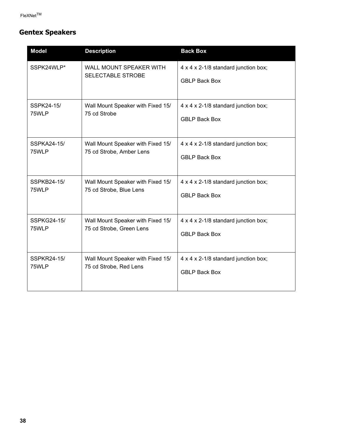### **Gentex Speakers**

| <b>Model</b> | <b>Description</b>                                  | <b>Back Box</b>                                              |
|--------------|-----------------------------------------------------|--------------------------------------------------------------|
| SSPK24WLP*   | <b>WALL MOUNT SPEAKER WITH</b><br>SELECTABLE STROBE | 4 x 4 x 2-1/8 standard junction box;<br><b>GBLP Back Box</b> |
| SSPK24-15/   | Wall Mount Speaker with Fixed 15/                   | 4 x 4 x 2-1/8 standard junction box;                         |
| 75WLP        | 75 cd Strobe                                        | <b>GBLP Back Box</b>                                         |
| SSPKA24-15/  | Wall Mount Speaker with Fixed 15/                   | 4 x 4 x 2-1/8 standard junction box;                         |
| 75WLP        | 75 cd Strobe, Amber Lens                            | <b>GBLP Back Box</b>                                         |
| SSPKB24-15/  | Wall Mount Speaker with Fixed 15/                   | 4 x 4 x 2-1/8 standard junction box;                         |
| 75WLP        | 75 cd Strobe, Blue Lens                             | <b>GBLP Back Box</b>                                         |
| SSPKG24-15/  | Wall Mount Speaker with Fixed 15/                   | 4 x 4 x 2-1/8 standard junction box;                         |
| 75WLP        | 75 cd Strobe, Green Lens                            | <b>GBLP Back Box</b>                                         |
| SSPKR24-15/  | Wall Mount Speaker with Fixed 15/                   | 4 x 4 x 2-1/8 standard junction box;                         |
| 75WLP        | 75 cd Strobe, Red Lens                              | <b>GBLP Back Box</b>                                         |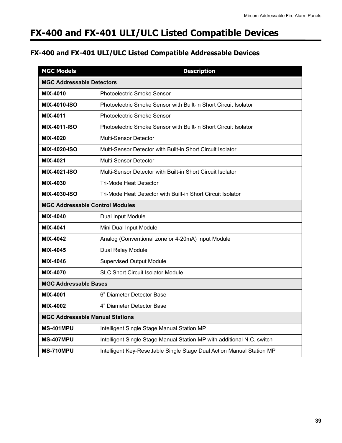# **FX-400 and FX-401 ULI/ULC Listed Compatible Devices**

### **FX-400 and FX-401 ULI/ULC Listed Compatible Addressable Devices**

| <b>MGC Models</b>                      | <b>Description</b>                                                     |  |  |  |
|----------------------------------------|------------------------------------------------------------------------|--|--|--|
| <b>MGC Addressable Detectors</b>       |                                                                        |  |  |  |
| MIX-4010                               | <b>Photoelectric Smoke Sensor</b>                                      |  |  |  |
| <b>MIX-4010-ISO</b>                    | Photoelectric Smoke Sensor with Built-in Short Circuit Isolator        |  |  |  |
| <b>MIX-4011</b>                        | <b>Photoelectric Smoke Sensor</b>                                      |  |  |  |
| <b>MIX-4011-ISO</b>                    | Photoelectric Smoke Sensor with Built-in Short Circuit Isolator        |  |  |  |
| MIX-4020                               | <b>Multi-Sensor Detector</b>                                           |  |  |  |
| <b>MIX-4020-ISO</b>                    | Multi-Sensor Detector with Built-in Short Circuit Isolator             |  |  |  |
| MIX-4021                               | <b>Multi-Sensor Detector</b>                                           |  |  |  |
| <b>MIX-4021-ISO</b>                    | Multi-Sensor Detector with Built-in Short Circuit Isolator             |  |  |  |
| <b>MIX-4030</b>                        | Tri-Mode Heat Detector                                                 |  |  |  |
| <b>MIX-4030-ISO</b>                    | Tri-Mode Heat Detector with Built-in Short Circuit Isolator            |  |  |  |
|                                        | <b>MGC Addressable Control Modules</b>                                 |  |  |  |
| MIX-4040                               | Dual Input Module                                                      |  |  |  |
| MIX-4041                               | Mini Dual Input Module                                                 |  |  |  |
| MIX-4042                               | Analog (Conventional zone or 4-20mA) Input Module                      |  |  |  |
| MIX-4045                               | Dual Relay Module                                                      |  |  |  |
| MIX-4046                               | <b>Supervised Output Module</b>                                        |  |  |  |
| MIX-4070                               | <b>SLC Short Circuit Isolator Module</b>                               |  |  |  |
| <b>MGC Addressable Bases</b>           |                                                                        |  |  |  |
| MIX-4001                               | 6" Diameter Detector Base                                              |  |  |  |
| <b>MIX-4002</b>                        | 4" Diameter Detector Base                                              |  |  |  |
| <b>MGC Addressable Manual Stations</b> |                                                                        |  |  |  |
| MS-401MPU                              | Intelligent Single Stage Manual Station MP                             |  |  |  |
| MS-407MPU                              | Intelligent Single Stage Manual Station MP with additional N.C. switch |  |  |  |
| MS-710MPU                              | Intelligent Key-Resettable Single Stage Dual Action Manual Station MP  |  |  |  |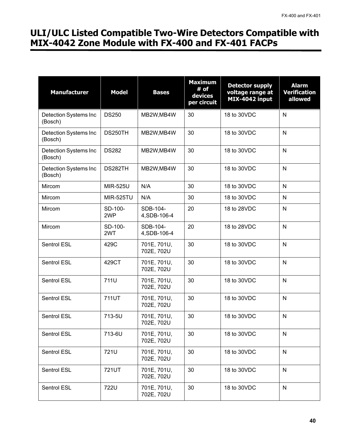# **ULI/ULC Listed Compatible Two-Wire Detectors Compatible with MIX-4042 Zone Module with FX-400 and FX-401 FACPs**

| <b>Manufacturer</b>              | <b>Model</b>     | <b>Bases</b>              | <b>Maximum</b><br># of<br>devices<br>per circuit | <b>Detector supply</b><br>voltage range at<br>MIX-4042 input | <b>Alarm</b><br><b>Verification</b><br>allowed |
|----------------------------------|------------------|---------------------------|--------------------------------------------------|--------------------------------------------------------------|------------------------------------------------|
| Detection Systems Inc<br>(Bosch) | <b>DS250</b>     | MB2W,MB4W                 | 30                                               | 18 to 30VDC                                                  | $\mathsf{N}$                                   |
| Detection Systems Inc<br>(Bosch) | DS250TH          | MB2W,MB4W                 | 30                                               | 18 to 30VDC                                                  | N                                              |
| Detection Systems Inc<br>(Bosch) | <b>DS282</b>     | MB2W,MB4W                 | 30                                               | 18 to 30VDC                                                  | $\mathsf{N}$                                   |
| Detection Systems Inc<br>(Bosch) | DS282TH          | MB2W,MB4W                 | 30                                               | 18 to 30VDC                                                  | $\mathsf{N}$                                   |
| Mircom                           | <b>MIR-525U</b>  | N/A                       | 30                                               | 18 to 30VDC                                                  | $\mathsf{N}$                                   |
| Mircom                           | <b>MIR-525TU</b> | N/A                       | 30                                               | 18 to 30VDC                                                  | $\mathsf{N}$                                   |
| Mircom                           | SD-100-<br>2WP   | SDB-104-<br>4, SDB-106-4  | 20                                               | 18 to 28VDC                                                  | $\mathsf{N}$                                   |
| Mircom                           | SD-100-<br>2WT   | SDB-104-<br>4, SDB-106-4  | 20                                               | 18 to 28VDC                                                  | $\mathsf{N}$                                   |
| Sentrol ESL                      | 429C             | 701E, 701U,<br>702E, 702U | 30                                               | 18 to 30VDC                                                  | $\mathsf{N}$                                   |
| Sentrol ESL                      | 429CT            | 701E, 701U,<br>702E, 702U | 30                                               | 18 to 30VDC                                                  | $\mathsf{N}$                                   |
| Sentrol ESL                      | 711U             | 701E, 701U,<br>702E, 702U | 30                                               | 18 to 30VDC                                                  | $\mathsf{N}$                                   |
| Sentrol ESL                      | 711UT            | 701E, 701U,<br>702E, 702U | 30                                               | 18 to 30VDC                                                  | $\mathsf{N}$                                   |
| Sentrol ESL                      | 713-5U           | 701E, 701U,<br>702E, 702U | 30                                               | 18 to 30VDC                                                  | $\mathsf{N}$                                   |
| Sentrol ESL                      | 713-6U           | 701E, 701U,<br>702E, 702U | 30                                               | 18 to 30VDC                                                  | $\mathsf{N}$                                   |
| Sentrol ESL                      | 721U             | 701E, 701U,<br>702E, 702U | 30                                               | 18 to 30VDC                                                  | $\mathsf{N}$                                   |
| Sentrol ESL                      | 721UT            | 701E, 701U,<br>702E, 702U | 30                                               | 18 to 30VDC                                                  | $\mathsf{N}$                                   |
| Sentrol ESL                      | 722U             | 701E, 701U,<br>702E, 702U | 30                                               | 18 to 30VDC                                                  | $\mathsf{N}$                                   |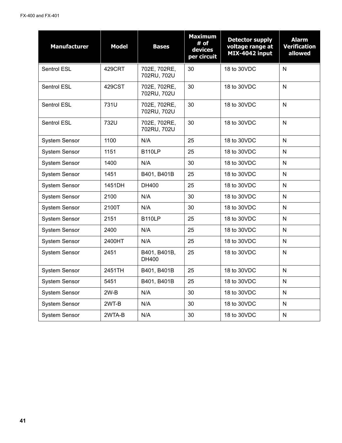| <b>Manufacturer</b>  | <b>Model</b> | <b>Bases</b>                | <b>Maximum</b><br># of<br>devices<br>per circuit | <b>Detector supply</b><br>voltage range at<br>MIX-4042 input | <b>Alarm</b><br><b>Verification</b><br>allowed |
|----------------------|--------------|-----------------------------|--------------------------------------------------|--------------------------------------------------------------|------------------------------------------------|
| Sentrol ESL          | 429CRT       | 702E, 702RE,<br>702RU, 702U | 30                                               | 18 to 30VDC                                                  | N                                              |
| Sentrol ESL          | 429CST       | 702E, 702RE,<br>702RU, 702U | 30                                               | 18 to 30VDC                                                  | $\mathsf{N}$                                   |
| Sentrol ESL          | 731U         | 702E, 702RE,<br>702RU, 702U | 30                                               | 18 to 30VDC                                                  | N                                              |
| Sentrol ESL          | 732U         | 702E, 702RE,<br>702RU, 702U | 30                                               | 18 to 30VDC                                                  | N                                              |
| <b>System Sensor</b> | 1100         | N/A                         | 25                                               | 18 to 30VDC                                                  | $\overline{N}$                                 |
| <b>System Sensor</b> | 1151         | <b>B110LP</b>               | 25                                               | 18 to 30VDC                                                  | $\mathsf{N}$                                   |
| <b>System Sensor</b> | 1400         | N/A                         | 30                                               | 18 to 30VDC                                                  | $\overline{N}$                                 |
| <b>System Sensor</b> | 1451         | B401, B401B                 | 25                                               | 18 to 30VDC                                                  | $\mathsf{N}$                                   |
| <b>System Sensor</b> | 1451DH       | DH400                       | 25                                               | 18 to 30VDC                                                  | N                                              |
| <b>System Sensor</b> | 2100         | N/A                         | 30                                               | 18 to 30VDC                                                  | $\overline{N}$                                 |
| <b>System Sensor</b> | 2100T        | N/A                         | 30                                               | 18 to 30VDC                                                  | $\mathsf{N}$                                   |
| <b>System Sensor</b> | 2151         | <b>B110LP</b>               | 25                                               | 18 to 30VDC                                                  | $\mathsf{N}$                                   |
| <b>System Sensor</b> | 2400         | N/A                         | 25                                               | 18 to 30VDC                                                  | $\overline{N}$                                 |
| <b>System Sensor</b> | 2400HT       | N/A                         | 25                                               | 18 to 30VDC                                                  | $\mathsf{N}$                                   |
| <b>System Sensor</b> | 2451         | B401, B401B,<br>DH400       | 25                                               | 18 to 30VDC                                                  | $\mathsf{N}$                                   |
| <b>System Sensor</b> | 2451TH       | B401, B401B                 | 25                                               | 18 to 30VDC                                                  | N                                              |
| <b>System Sensor</b> | 5451         | B401, B401B                 | 25                                               | 18 to 30VDC                                                  | $\overline{N}$                                 |
| <b>System Sensor</b> | $2W-B$       | N/A                         | 30                                               | 18 to 30VDC                                                  | $\overline{N}$                                 |
| <b>System Sensor</b> | 2WT-B        | N/A                         | 30                                               | 18 to 30VDC                                                  | $\mathsf{N}$                                   |
| <b>System Sensor</b> | 2WTA-B       | N/A                         | 30                                               | 18 to 30VDC                                                  | $\mathsf{N}$                                   |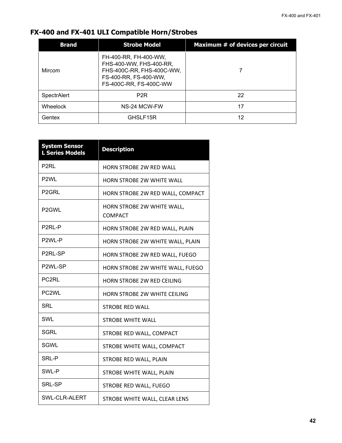# **FX-400 and FX-401 ULI Compatible Horn/Strobes**

| <b>Brand</b>       | <b>Strobe Model</b>                                                                                                              | Maximum # of devices per circuit |
|--------------------|----------------------------------------------------------------------------------------------------------------------------------|----------------------------------|
| Mircom             | FH-400-RR, FH-400-WW,<br>FHS-400-WW, FHS-400-RR,<br>FHS-400C-RR, FHS-400C-WW,<br>FS-400-RR, FS-400-WW,<br>FS-400C-RR, FS-400C-WW |                                  |
| <b>SpectrAlert</b> | P <sub>2</sub> R                                                                                                                 | 22                               |
| Wheelock           | NS-24 MCW-FW                                                                                                                     | 17                               |
| Gentex             | GHSLF15R                                                                                                                         | 12                               |

| <b>System Sensor</b><br><b>L Series Models</b> | <b>Description</b>                           |
|------------------------------------------------|----------------------------------------------|
| P2RL                                           | <b>HORN STROBE 2W RED WALL</b>               |
| P <sub>2</sub> WL                              | <b>HORN STROBE 2W WHITE WALL</b>             |
| P <sub>2</sub> GRL                             | HORN STROBE 2W RED WALL, COMPACT             |
| P <sub>2</sub> GWL                             | HORN STROBE 2W WHITE WALL,<br><b>COMPACT</b> |
| P <sub>2RL-P</sub>                             | HORN STROBE 2W RED WALL, PLAIN               |
| P <sub>2</sub> WL-P                            | HORN STROBE 2W WHITE WALL, PLAIN             |
| P <sub>2RL-SP</sub>                            | HORN STROBE 2W RED WALL, FUEGO               |
| P <sub>2</sub> WL-SP                           | HORN STROBE 2W WHITE WALL, FUEGO             |
| PC2RL                                          | <b>HORN STROBE 2W RED CEILING</b>            |
| PC <sub>2</sub> WL                             | <b>HORN STROBE 2W WHITE CEILING</b>          |
| SRL                                            | STROBE RED WALL                              |
| <b>SWL</b>                                     | <b>STROBE WHITE WALL</b>                     |
| <b>SGRL</b>                                    | STROBE RED WALL, COMPACT                     |
| SGWL                                           | STROBE WHITE WALL, COMPACT                   |
| SRL-P                                          | STROBE RED WALL, PLAIN                       |
| SWL-P                                          | STROBE WHITE WALL, PLAIN                     |
| SRL-SP                                         | STROBE RED WALL, FUEGO                       |
| SWL-CLR-ALERT                                  | STROBE WHITE WALL, CLEAR LENS                |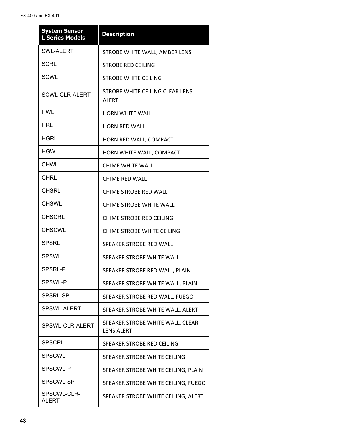| <b>System Sensor</b><br><b>L Series Models</b> | <b>Description</b>                                    |
|------------------------------------------------|-------------------------------------------------------|
| <b>SWL-ALERT</b>                               | STROBE WHITE WALL, AMBER LENS                         |
| <b>SCRL</b>                                    | <b>STROBE RED CEILING</b>                             |
| <b>SCWL</b>                                    | <b>STROBE WHITE CEILING</b>                           |
| SCWL-CLR-ALERT                                 | STROBE WHITE CEILING CLEAR LENS<br><b>ALERT</b>       |
| <b>HWL</b>                                     | <b>HORN WHITE WALL</b>                                |
| HRL                                            | <b>HORN RED WALL</b>                                  |
| <b>HGRL</b>                                    | HORN RED WALL, COMPACT                                |
| <b>HGWL</b>                                    | HORN WHITE WALL, COMPACT                              |
| <b>CHWL</b>                                    | <b>CHIME WHITE WALL</b>                               |
| <b>CHRL</b>                                    | <b>CHIME RED WALL</b>                                 |
| <b>CHSRL</b>                                   | CHIME STROBE RED WALL                                 |
| <b>CHSWL</b>                                   | <b>CHIME STROBE WHITE WALL</b>                        |
| <b>CHSCRL</b>                                  | CHIME STROBE RED CEILING                              |
| <b>CHSCWL</b>                                  | CHIME STROBE WHITE CEILING                            |
| <b>SPSRL</b>                                   | SPEAKER STROBE RED WALL                               |
| <b>SPSWL</b>                                   | SPEAKER STROBE WHITE WALL                             |
| SPSRL-P                                        | SPEAKER STROBE RED WALL, PLAIN                        |
| SPSWL-P                                        | SPEAKER STROBE WHITE WALL, PLAIN                      |
| SPSRL-SP                                       | SPEAKER STROBE RED WALL, FUEGO                        |
| SPSWL-ALERT                                    | SPEAKER STROBE WHITE WALL, ALERT                      |
| SPSWL-CLR-ALERT                                | SPEAKER STROBE WHITE WALL, CLEAR<br><b>LENS ALERT</b> |
| <b>SPSCRL</b>                                  | SPEAKER STROBE RED CEILING                            |
| <b>SPSCWL</b>                                  | SPEAKER STROBE WHITE CEILING                          |
| SPSCWL-P                                       | SPEAKER STROBE WHITE CEILING, PLAIN                   |
| SPSCWL-SP                                      | SPEAKER STROBE WHITE CEILING, FUEGO                   |
| SPSCWL-CLR-<br>ALERT                           | SPEAKER STROBE WHITE CEILING, ALERT                   |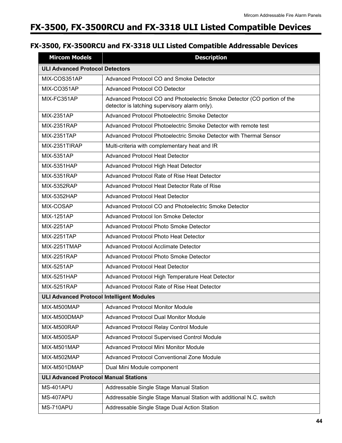# **FX-3500, FX-3500RCU and FX-3318 ULI Listed Compatible Devices**

#### **FX-3500, FX-3500RCU and FX-3318 ULI Listed Compatible Addressable Devices**

| <b>Mircom Models</b>                             | <b>Description</b>                                                                                                        |
|--------------------------------------------------|---------------------------------------------------------------------------------------------------------------------------|
| <b>ULI Advanced Protocol Detectors</b>           |                                                                                                                           |
| MIX-COS351AP                                     | Advanced Protocol CO and Smoke Detector                                                                                   |
| MIX-CO351AP                                      | <b>Advanced Protocol CO Detector</b>                                                                                      |
| MIX-FC351AP                                      | Advanced Protocol CO and Photoelectric Smoke Detector (CO portion of the<br>detector is latching supervisory alarm only). |
| <b>MIX-2351AP</b>                                | Advanced Protocol Photoelectric Smoke Detector                                                                            |
| <b>MIX-2351RAP</b>                               | Advanced Protocol Photoelectric Smoke Detector with remote test                                                           |
| <b>MIX-2351TAP</b>                               | Advanced Protocol Photoelectric Smoke Detector with Thermal Sensor                                                        |
| MIX-2351TIRAP                                    | Multi-criteria with complementary heat and IR                                                                             |
| <b>MIX-5351AP</b>                                | <b>Advanced Protocol Heat Detector</b>                                                                                    |
| <b>MIX-5351HAP</b>                               | Advanced Protocol High Heat Detector                                                                                      |
| <b>MIX-5351RAP</b>                               | Advanced Protocol Rate of Rise Heat Detector                                                                              |
| <b>MIX-5352RAP</b>                               | Advanced Protocol Heat Detector Rate of Rise                                                                              |
| <b>MIX-5352HAP</b>                               | <b>Advanced Protocol Heat Detector</b>                                                                                    |
| MIX-COSAP                                        | Advanced Protocol CO and Photoelectric Smoke Detector                                                                     |
| <b>MIX-1251AP</b>                                | Advanced Protocol Ion Smoke Detector                                                                                      |
| <b>MIX-2251AP</b>                                | Advanced Protocol Photo Smoke Detector                                                                                    |
| <b>MIX-2251TAP</b>                               | Advanced Protocol Photo Heat Detector                                                                                     |
| MIX-2251TMAP                                     | <b>Advanced Protocol Acclimate Detector</b>                                                                               |
| <b>MIX-2251RAP</b>                               | Advanced Protocol Photo Smoke Detector                                                                                    |
| <b>MIX-5251AP</b>                                | <b>Advanced Protocol Heat Detector</b>                                                                                    |
| <b>MIX-5251HAP</b>                               | Advanced Protocol High Temperature Heat Detector                                                                          |
| <b>MIX-5251RAP</b>                               | Advanced Protocol Rate of Rise Heat Detector                                                                              |
| <b>ULI Advanced Protocol Intelligent Modules</b> |                                                                                                                           |
| MIX-M500MAP                                      | <b>Advanced Protocol Monitor Module</b>                                                                                   |
| MIX-M500DMAP                                     | Advanced Protocol Dual Monitor Module                                                                                     |
| MIX-M500RAP                                      | Advanced Protocol Relay Control Module                                                                                    |
| MIX-M500SAP                                      | Advanced Protocol Supervised Control Module                                                                               |
| MIX-M501MAP                                      | Advanced Protocol Mini Monitor Module                                                                                     |
| MIX-M502MAP                                      | Advanced Protocol Conventional Zone Module                                                                                |
| MIX-M501DMAP                                     | Dual Mini Module component                                                                                                |
| <b>ULI Advanced Protocol Manual Stations</b>     |                                                                                                                           |
| MS-401APU                                        | Addressable Single Stage Manual Station                                                                                   |
| MS-407APU                                        | Addressable Single Stage Manual Station with additional N.C. switch                                                       |
| MS-710APU                                        | Addressable Single Stage Dual Action Station                                                                              |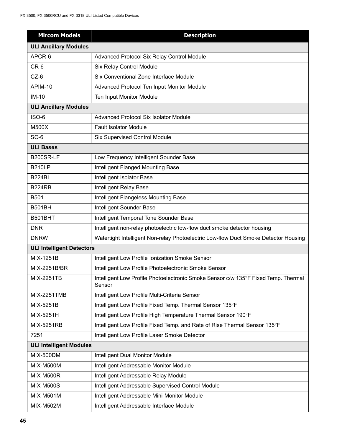| <b>Mircom Models</b>             | <b>Description</b>                                                                           |  |
|----------------------------------|----------------------------------------------------------------------------------------------|--|
| <b>ULI Ancillary Modules</b>     |                                                                                              |  |
| APCR-6                           | Advanced Protocol Six Relay Control Module                                                   |  |
| CR-6                             | Six Relay Control Module                                                                     |  |
| $CZ-6$                           | Six Conventional Zone Interface Module                                                       |  |
| APIM-10                          | Advanced Protocol Ten Input Monitor Module                                                   |  |
| $IM-10$                          | Ten Input Monitor Module                                                                     |  |
| <b>ULI Ancillary Modules</b>     |                                                                                              |  |
| ISO-6                            | Advanced Protocol Six Isolator Module                                                        |  |
| M500X                            | <b>Fault Isolator Module</b>                                                                 |  |
| SC-6                             | <b>Six Supervised Control Module</b>                                                         |  |
| <b>ULI Bases</b>                 |                                                                                              |  |
| B200SR-LF                        | Low Frequency Intelligent Sounder Base                                                       |  |
| <b>B210LP</b>                    | Intelligent Flanged Mounting Base                                                            |  |
| <b>B224BI</b>                    | Intelligent Isolator Base                                                                    |  |
| <b>B224RB</b>                    | Intelligent Relay Base                                                                       |  |
| B501                             | Intelligent Flangeless Mounting Base                                                         |  |
| <b>B501BH</b>                    | Intelligent Sounder Base                                                                     |  |
| B501BHT                          | Intelligent Temporal Tone Sounder Base                                                       |  |
| <b>DNR</b>                       | Intelligent non-relay photoelectric low-flow duct smoke detector housing                     |  |
| <b>DNRW</b>                      | Watertight Intelligent Non-relay Photoelectric Low-flow Duct Smoke Detector Housing          |  |
| <b>ULI Intelligent Detectors</b> |                                                                                              |  |
| MIX-1251B                        | Intelligent Low Profile Ionization Smoke Sensor                                              |  |
| MIX-2251B/BR                     | Intelligent Low Profile Photoelectronic Smoke Sensor                                         |  |
| <b>MIX-2251TB</b>                | Intelligent Low Profile Photoelectronic Smoke Sensor c/w 135°F Fixed Temp. Thermal<br>Sensor |  |
| <b>MIX-2251TMB</b>               | Intelligent Low Profile Multi-Criteria Sensor                                                |  |
| MIX-5251B                        | Intelligent Low Profile Fixed Temp. Thermal Sensor 135°F                                     |  |
| MIX-5251H                        | Intelligent Low Profile High Temperature Thermal Sensor 190°F                                |  |
| MIX-5251RB                       | Intelligent Low Profile Fixed Temp. and Rate of Rise Thermal Sensor 135°F                    |  |
| 7251                             | Intelligent Low Profile Laser Smoke Detector                                                 |  |
| <b>ULI Intelligent Modules</b>   |                                                                                              |  |
| <b>MIX-500DM</b>                 | Intelligent Dual Monitor Module                                                              |  |
| MIX-M500M                        | Intelligent Addressable Monitor Module                                                       |  |
| MIX-M500R                        | Intelligent Addressable Relay Module                                                         |  |
| <b>MIX-M500S</b>                 | Intelligent Addressable Supervised Control Module                                            |  |
| MIX-M501M                        | Intelligent Addressable Mini-Monitor Module                                                  |  |
| MIX-M502M                        | Intelligent Addressable Interface Module                                                     |  |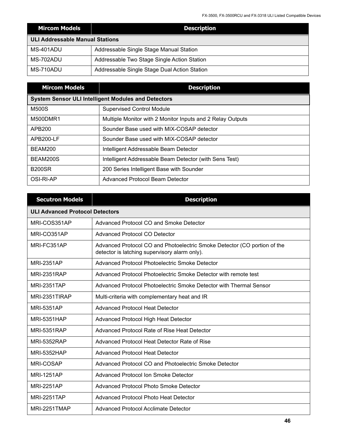| <b>Mircom Models</b>            | <b>Description</b>                           |
|---------------------------------|----------------------------------------------|
| ULI Addressable Manual Stations |                                              |
| MS-401ADU                       | Addressable Single Stage Manual Station      |
| MS-702ADU                       | Addressable Two Stage Single Action Station  |
| MS-710ADU                       | Addressable Single Stage Dual Action Station |

#### **Mircom Models Description**

| <b>System Sensor ULI Intelligent Modules and Detectors</b> |                                                            |  |
|------------------------------------------------------------|------------------------------------------------------------|--|
| M500S                                                      | <b>Supervised Control Module</b>                           |  |
| M500DMR1                                                   | Multiple Monitor with 2 Monitor Inputs and 2 Relay Outputs |  |
| APB200                                                     | Sounder Base used with MIX-COSAP detector                  |  |
| APB200-LF                                                  | Sounder Base used with MIX-COSAP detector                  |  |
| BEAM200                                                    | Intelligent Addressable Beam Detector                      |  |
| BEAM200S                                                   | Intelligent Addressable Beam Detector (with Sens Test)     |  |
| <b>B200SR</b>                                              | 200 Series Intelligent Base with Sounder                   |  |
| OSI-RI-AP                                                  | Advanced Protocol Beam Detector                            |  |

| <b>Secutron Models</b>                 | <b>Description</b>                                                                                                        |  |
|----------------------------------------|---------------------------------------------------------------------------------------------------------------------------|--|
| <b>ULI Advanced Protocol Detectors</b> |                                                                                                                           |  |
| MRI-COS351AP                           | Advanced Protocol CO and Smoke Detector                                                                                   |  |
| MRI-CO351AP                            | Advanced Protocol CO Detector                                                                                             |  |
| MRI-FC351AP                            | Advanced Protocol CO and Photoelectric Smoke Detector (CO portion of the<br>detector is latching supervisory alarm only). |  |
| <b>MRI-2351AP</b>                      | Advanced Protocol Photoelectric Smoke Detector                                                                            |  |
| <b>MRI-2351RAP</b>                     | Advanced Protocol Photoelectric Smoke Detector with remote test                                                           |  |
| <b>MRI-2351TAP</b>                     | Advanced Protocol Photoelectric Smoke Detector with Thermal Sensor                                                        |  |
| MRI-2351TIRAP                          | Multi-criteria with complementary heat and IR                                                                             |  |
| <b>MRI-5351AP</b>                      | Advanced Protocol Heat Detector                                                                                           |  |
| <b>MRI-5351HAP</b>                     | Advanced Protocol High Heat Detector                                                                                      |  |
| <b>MRI-5351RAP</b>                     | Advanced Protocol Rate of Rise Heat Detector                                                                              |  |
| <b>MRI-5352RAP</b>                     | Advanced Protocol Heat Detector Rate of Rise                                                                              |  |
| <b>MRI-5352HAP</b>                     | <b>Advanced Protocol Heat Detector</b>                                                                                    |  |
| <b>MRI-COSAP</b>                       | Advanced Protocol CO and Photoelectric Smoke Detector                                                                     |  |
| <b>MRI-1251AP</b>                      | Advanced Protocol Ion Smoke Detector                                                                                      |  |
| <b>MRI-2251AP</b>                      | Advanced Protocol Photo Smoke Detector                                                                                    |  |
| <b>MRI-2251TAP</b>                     | <b>Advanced Protocol Photo Heat Detector</b>                                                                              |  |
| MRI-2251TMAP                           | <b>Advanced Protocol Acclimate Detector</b>                                                                               |  |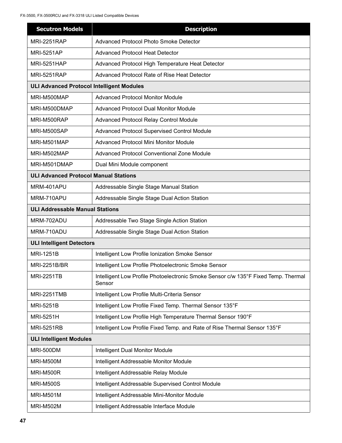| <b>Secutron Models</b>                           | <b>Description</b>                                                                           |  |
|--------------------------------------------------|----------------------------------------------------------------------------------------------|--|
| <b>MRI-2251RAP</b>                               | Advanced Protocol Photo Smoke Detector                                                       |  |
| <b>MRI-5251AP</b>                                | <b>Advanced Protocol Heat Detector</b>                                                       |  |
| <b>MRI-5251HAP</b>                               | Advanced Protocol High Temperature Heat Detector                                             |  |
| <b>MRI-5251RAP</b>                               | Advanced Protocol Rate of Rise Heat Detector                                                 |  |
| <b>ULI Advanced Protocol Intelligent Modules</b> |                                                                                              |  |
| MRI-M500MAP                                      | <b>Advanced Protocol Monitor Module</b>                                                      |  |
| MRI-M500DMAP                                     | <b>Advanced Protocol Dual Monitor Module</b>                                                 |  |
| MRI-M500RAP                                      | Advanced Protocol Relay Control Module                                                       |  |
| MRI-M500SAP                                      | Advanced Protocol Supervised Control Module                                                  |  |
| MRI-M501MAP                                      | Advanced Protocol Mini Monitor Module                                                        |  |
| MRI-M502MAP                                      | Advanced Protocol Conventional Zone Module                                                   |  |
| MRI-M501DMAP                                     | Dual Mini Module component                                                                   |  |
| <b>ULI Advanced Protocol Manual Stations</b>     |                                                                                              |  |
| MRM-401APU                                       | Addressable Single Stage Manual Station                                                      |  |
| MRM-710APU                                       | Addressable Single Stage Dual Action Station                                                 |  |
| <b>ULI Addressable Manual Stations</b>           |                                                                                              |  |
| MRM-702ADU                                       | Addressable Two Stage Single Action Station                                                  |  |
| MRM-710ADU                                       | Addressable Single Stage Dual Action Station                                                 |  |
| <b>ULI Intelligent Detectors</b>                 |                                                                                              |  |
| <b>MRI-1251B</b>                                 | Intelligent Low Profile Ionization Smoke Sensor                                              |  |
| <b>MRI-2251B/BR</b>                              | Intelligent Low Profile Photoelectronic Smoke Sensor                                         |  |
| <b>MRI-2251TB</b>                                | Intelligent Low Profile Photoelectronic Smoke Sensor c/w 135°F Fixed Temp. Thermal<br>Sensor |  |
| <b>MRI-2251TMB</b>                               | Intelligent Low Profile Multi-Criteria Sensor                                                |  |
| <b>MRI-5251B</b>                                 | Intelligent Low Profile Fixed Temp. Thermal Sensor 135°F                                     |  |
| <b>MRI-5251H</b>                                 | Intelligent Low Profile High Temperature Thermal Sensor 190°F                                |  |
| <b>MRI-5251RB</b>                                | Intelligent Low Profile Fixed Temp. and Rate of Rise Thermal Sensor 135°F                    |  |
| <b>ULI Intelligent Modules</b>                   |                                                                                              |  |
| <b>MRI-500DM</b>                                 | Intelligent Dual Monitor Module                                                              |  |
| MRI-M500M                                        | Intelligent Addressable Monitor Module                                                       |  |
| MRI-M500R                                        | Intelligent Addressable Relay Module                                                         |  |
| <b>MRI-M500S</b>                                 | Intelligent Addressable Supervised Control Module                                            |  |
| <b>MRI-M501M</b>                                 | Intelligent Addressable Mini-Monitor Module                                                  |  |
| <b>MRI-M502M</b>                                 | Intelligent Addressable Interface Module                                                     |  |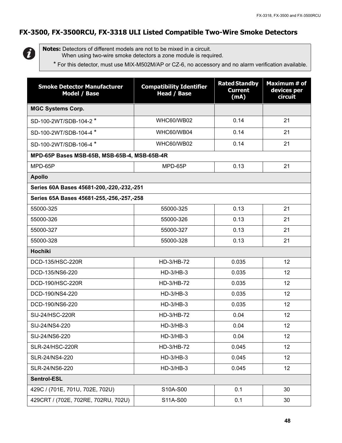### **FX-3500, FX-3500RCU, FX-3318 ULI Listed Compatible Two-Wire Smoke Detectors**



- **Notes:** Detectors of different models are not to be mixed in a circuit.
	- When using two-wire smoke detectors a zone module is required.
	- \* For this detector, must use MIX-M502M/AP or CZ-6, no accessory and no alarm verification available.

| <b>Smoke Detector Manufacturer</b><br>Model / Base | <b>Compatibility Identifier</b><br>Head / Base | <b>Rated Standby</b><br><b>Current</b><br>(mA) | Maximum # of<br>devices per<br>circuit |
|----------------------------------------------------|------------------------------------------------|------------------------------------------------|----------------------------------------|
| <b>MGC Systems Corp.</b>                           |                                                |                                                |                                        |
| SD-100-2WT/SDB-104-2 *                             | <b>WHC60/WB02</b>                              | 0.14                                           | 21                                     |
| SD-100-2WT/SDB-104-4 *                             | <b>WHC60/WB04</b>                              | 0.14                                           | 21                                     |
| SD-100-2WT/SDB-106-4*                              | WHC60/WB02                                     | 0.14                                           | 21                                     |
| MPD-65P Bases MSB-65B, MSB-65B-4, MSB-65B-4R       |                                                |                                                |                                        |
| MPD-65P                                            | MPD-65P                                        | 0.13                                           | 21                                     |
| <b>Apollo</b>                                      |                                                |                                                |                                        |
| Series 60A Bases 45681-200,-220,-232,-251          |                                                |                                                |                                        |
| Series 65A Bases 45681-255,-256,-257,-258          |                                                |                                                |                                        |
| 55000-325                                          | 55000-325                                      | 0.13                                           | 21                                     |
| 55000-326                                          | 55000-326                                      | 0.13                                           | 21                                     |
| 55000-327                                          | 55000-327                                      | 0.13                                           | 21                                     |
| 55000-328                                          | 55000-328                                      | 0.13                                           | 21                                     |
| Hochiki                                            |                                                |                                                |                                        |
| DCD-135/HSC-220R                                   | <b>HD-3/HB-72</b>                              | 0.035                                          | 12                                     |
| DCD-135/NS6-220                                    | $HD-3/HB-3$                                    | 0.035                                          | 12                                     |
| DCD-190/HSC-220R                                   | <b>HD-3/HB-72</b>                              | 0.035                                          | 12                                     |
| DCD-190/NS4-220                                    | $HD-3/HB-3$                                    | 0.035                                          | 12                                     |
| DCD-190/NS6-220                                    | $HD-3/HB-3$                                    | 0.035                                          | 12                                     |
| <b>SIJ-24/HSC-220R</b>                             | <b>HD-3/HB-72</b>                              | 0.04                                           | 12                                     |
| SIJ-24/NS4-220                                     | $HD-3/HB-3$                                    | 0.04                                           | 12                                     |
| SIJ-24/NS6-220                                     | $HD-3/HB-3$                                    | 0.04                                           | 12                                     |
| <b>SLR-24/HSC-220R</b>                             | HD-3/HB-72                                     | 0.045                                          | 12                                     |
| SLR-24/NS4-220                                     | $HD-3/HB-3$                                    | 0.045                                          | 12                                     |
| SLR-24/NS6-220                                     | $HD-3/HB-3$                                    | 0.045                                          | 12                                     |
| Sentrol-ESL                                        |                                                |                                                |                                        |
| 429C / (701E, 701U, 702E, 702U)                    | S10A-S00                                       | 0.1                                            | 30                                     |
| 429CRT / (702E, 702RE, 702RU, 702U)                | S11A-S00                                       | 0.1                                            | 30                                     |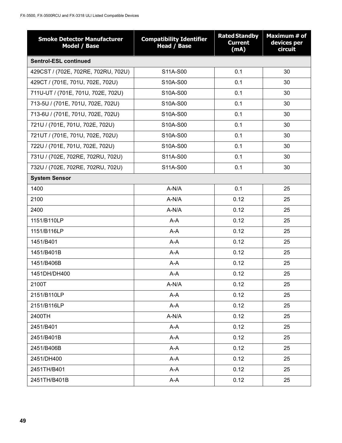| <b>Smoke Detector Manufacturer</b><br>Model / Base | <b>Compatibility Identifier</b><br><b>Head / Base</b> | <b>Rated Standby</b><br><b>Current</b><br>(mA) | Maximum # of<br>devices per<br>circuit |  |
|----------------------------------------------------|-------------------------------------------------------|------------------------------------------------|----------------------------------------|--|
| <b>Sentrol-ESL continued</b>                       |                                                       |                                                |                                        |  |
| 429CST / (702E, 702RE, 702RU, 702U)                | S11A-S00                                              | 0.1                                            | 30                                     |  |
| 429CT / (701E, 701U, 702E, 702U)                   | S10A-S00                                              | 0.1                                            | 30                                     |  |
| 711U-UT / (701E, 701U, 702E, 702U)                 | S10A-S00                                              | 0.1                                            | 30                                     |  |
| 713-5U / (701E, 701U, 702E, 702U)                  | S10A-S00                                              | 0.1                                            | 30                                     |  |
| 713-6U / (701E, 701U, 702E, 702U)                  | S10A-S00                                              | 0.1                                            | 30                                     |  |
| 721U / (701E, 701U, 702E, 702U)                    | S10A-S00                                              | 0.1                                            | 30                                     |  |
| 721UT / (701E, 701U, 702E, 702U)                   | S10A-S00                                              | 0.1                                            | 30                                     |  |
| 722U / (701E, 701U, 702E, 702U)                    | S10A-S00                                              | 0.1                                            | 30                                     |  |
| 731U / (702E, 702RE, 702RU, 702U)                  | S11A-S00                                              | 0.1                                            | 30                                     |  |
| 732U / (702E, 702RE, 702RU, 702U)                  | S11A-S00                                              | 0.1                                            | 30                                     |  |
| <b>System Sensor</b>                               |                                                       |                                                |                                        |  |
| 1400                                               | $A-N/A$                                               | 0.1                                            | 25                                     |  |
| 2100                                               | $A-N/A$                                               | 0.12                                           | 25                                     |  |
| 2400                                               | $A-N/A$                                               | 0.12                                           | 25                                     |  |
| 1151/B110LP                                        | A-A                                                   | 0.12                                           | 25                                     |  |
| 1151/B116LP                                        | A-A                                                   | 0.12                                           | 25                                     |  |
| 1451/B401                                          | A-A                                                   | 0.12                                           | 25                                     |  |
| 1451/B401B                                         | A-A                                                   | 0.12                                           | 25                                     |  |
| 1451/B406B                                         | A-A                                                   | 0.12                                           | 25                                     |  |
| 1451DH/DH400                                       | A-A                                                   | 0.12                                           | 25                                     |  |
| 2100T                                              | $A-N/A$                                               | 0.12                                           | 25                                     |  |
| 2151/B110LP                                        | A-A                                                   | 0.12                                           | 25                                     |  |
| 2151/B116LP                                        | A-A                                                   | 0.12                                           | 25                                     |  |
| 2400TH                                             | $A-N/A$                                               | 0.12                                           | 25                                     |  |
| 2451/B401                                          | A-A                                                   | 0.12                                           | 25                                     |  |
| 2451/B401B                                         | A-A                                                   | 0.12                                           | 25                                     |  |
| 2451/B406B                                         | A-A                                                   | 0.12                                           | 25                                     |  |
| 2451/DH400                                         | A-A                                                   | 0.12                                           | 25                                     |  |
| 2451TH/B401                                        | A-A                                                   | 0.12                                           | 25                                     |  |
| 2451TH/B401B                                       | A-A                                                   | 0.12                                           | 25                                     |  |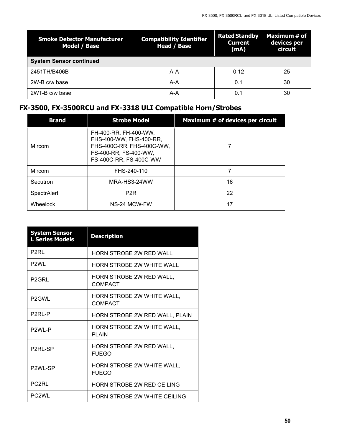| <b>Smoke Detector Manufacturer</b><br>Model / Base | <b>Compatibility Identifier</b><br>Head / Base | <b>Rated Standby</b><br><b>Current</b><br>(mA) | Maximum # of<br>devices per<br>circuit |
|----------------------------------------------------|------------------------------------------------|------------------------------------------------|----------------------------------------|
| <b>System Sensor continued</b>                     |                                                |                                                |                                        |
| 2451TH/B406B                                       | $A-A$                                          | 0.12                                           | 25                                     |
| 2W-B c/w base                                      | A-A                                            | 0.1                                            | 30                                     |
| 2WT-B c/w base                                     | A-A                                            | 0.1                                            | 30                                     |

### **FX-3500, FX-3500RCU and FX-3318 ULI Compatible Horn/Strobes**

| <b>Brand</b> | <b>Strobe Model</b>                                                                                                              | Maximum # of devices per circuit |
|--------------|----------------------------------------------------------------------------------------------------------------------------------|----------------------------------|
| Mircom       | FH-400-RR, FH-400-WW,<br>FHS-400-WW, FHS-400-RR,<br>FHS-400C-RR, FHS-400C-WW,<br>FS-400-RR, FS-400-WW,<br>FS-400C-RR, FS-400C-WW |                                  |
| Mircom       | FHS-240-110                                                                                                                      |                                  |
| Secutron     | MRA-HS3-24WW                                                                                                                     | 16                               |
| SpectrAlert  | P <sub>2</sub> R                                                                                                                 | 22                               |
| Wheelock     | NS-24 MCW-FW                                                                                                                     | 17                               |

| <b>System Sensor</b><br><b>L Series Models</b> | <b>Description</b>                         |
|------------------------------------------------|--------------------------------------------|
| P <sub>2RL</sub>                               | <b>HORN STROBE 2W RED WALL</b>             |
| P <sub>2</sub> WL                              | HORN STROBE 2W WHITE WALL                  |
| P <sub>2GRL</sub>                              | HORN STROBE 2W RED WALL,<br>COMPACT        |
| P <sub>2GWL</sub>                              | HORN STROBE 2W WHITE WALL,<br>COMPACT      |
| P <sub>2RL-P</sub>                             | HORN STROBE 2W RED WALL, PLAIN             |
| P <sub>2</sub> WL-P                            | HORN STROBE 2W WHITE WALL,<br><b>PLAIN</b> |
| P <sub>2RL</sub> -SP                           | HORN STROBE 2W RED WALL,<br><b>FUEGO</b>   |
| P <sub>2</sub> WL-SP                           | HORN STROBE 2W WHITE WALL,<br><b>FUEGO</b> |
| PC <sub>2RL</sub>                              | <b>HORN STROBE 2W RED CEILING</b>          |
| PC <sub>2</sub> WL                             | HORN STROBE 2W WHITE CEILING               |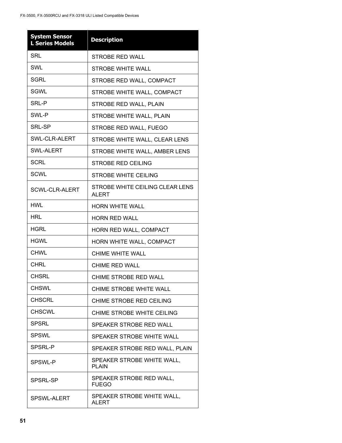| <b>System Sensor</b><br><b>L Series Models</b> | <b>Description</b>                              |
|------------------------------------------------|-------------------------------------------------|
| <b>SRL</b>                                     | <b>STROBE RED WALL</b>                          |
| SWL                                            | <b>STROBE WHITE WALL</b>                        |
| <b>SGRL</b>                                    | STROBE RED WALL, COMPACT                        |
| <b>SGWL</b>                                    | STROBE WHITE WALL, COMPACT                      |
| SRL-P                                          | STROBE RED WALL, PLAIN                          |
| SWL-P                                          | STROBE WHITE WALL, PLAIN                        |
| SRL-SP                                         | STROBE RED WALL, FUEGO                          |
| SWL-CLR-ALERT                                  | STROBE WHITE WALL, CLEAR LENS                   |
| SWL-ALERT                                      | STROBE WHITE WALL, AMBER LENS                   |
| <b>SCRL</b>                                    | <b>STROBE RED CEILING</b>                       |
| <b>SCWL</b>                                    | <b>STROBE WHITE CEILING</b>                     |
| <b>SCWL-CLR-ALERT</b>                          | STROBE WHITE CEILING CLEAR LENS<br><b>ALERT</b> |
| <b>HWL</b>                                     | <b>HORN WHITE WALL</b>                          |
| <b>HRL</b>                                     | <b>HORN RED WALL</b>                            |
| <b>HGRL</b>                                    | HORN RED WALL, COMPACT                          |
| <b>HGWL</b>                                    | HORN WHITE WALL, COMPACT                        |
| <b>CHWL</b>                                    | <b>CHIME WHITE WALL</b>                         |
| <b>CHRL</b>                                    | <b>CHIME RED WALL</b>                           |
| <b>CHSRL</b>                                   | CHIME STROBE RED WALL                           |
| <b>CHSWL</b>                                   | CHIME STROBE WHITE WALL                         |
| <b>CHSCRL</b>                                  | CHIME STROBE RED CEILING                        |
| <b>CHSCWL</b>                                  | CHIME STROBE WHITE CEILING                      |
| <b>SPSRL</b>                                   | SPEAKER STROBE RED WALL                         |
| <b>SPSWL</b>                                   | SPEAKER STROBE WHITE WALL                       |
| SPSRL-P                                        | SPEAKER STROBE RED WALL, PLAIN                  |
| SPSWL-P                                        | SPEAKER STROBE WHITE WALL,<br><b>PLAIN</b>      |
| SPSRL-SP                                       | SPEAKER STROBE RED WALL,<br><b>FUEGO</b>        |
| SPSWL-ALERT                                    | SPEAKER STROBE WHITE WALL,<br><b>ALERT</b>      |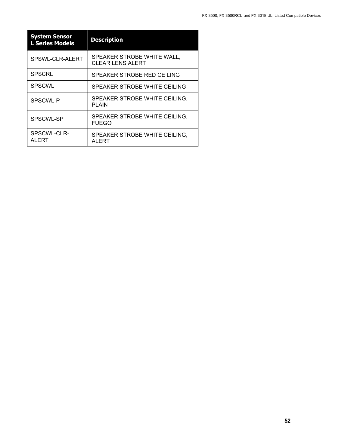| <b>System Sensor</b><br><b>L Series Models</b> | <b>Description</b>                             |
|------------------------------------------------|------------------------------------------------|
| SPSWL-CLR-ALERT                                | SPEAKER STROBE WHITE WALL,<br>CLEAR LENS ALERT |
| <b>SPSCRL</b>                                  | SPEAKER STROBE RED CEILING                     |
| <b>SPSCWL</b>                                  | SPEAKER STROBE WHITE CEILING                   |
| SPSCWL-P                                       | SPEAKER STROBE WHITE CEILING.<br><b>PLAIN</b>  |
| SPSCWL-SP                                      | SPEAKER STROBE WHITE CEILING.<br><b>FUEGO</b>  |
| SPSCWL-CLR-<br>ALERT                           | SPEAKER STROBE WHITE CEILING.<br><b>ALERT</b>  |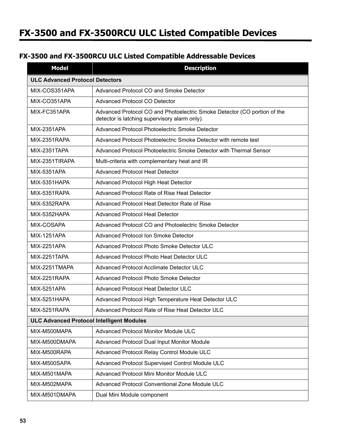# **FX-3500 and FX-3500RCU ULC Listed Compatible Addressable Devices**

| <b>Model</b>                                     | <b>Description</b>                                                                                                        |  |
|--------------------------------------------------|---------------------------------------------------------------------------------------------------------------------------|--|
| <b>ULC Advanced Protocol Detectors</b>           |                                                                                                                           |  |
| MIX-COS351APA                                    | Advanced Protocol CO and Smoke Detector                                                                                   |  |
| MIX-CO351APA                                     | <b>Advanced Protocol CO Detector</b>                                                                                      |  |
| MIX-FC351APA                                     | Advanced Protocol CO and Photoelectric Smoke Detector (CO portion of the<br>detector is latching supervisory alarm only). |  |
| <b>MIX-2351APA</b>                               | Advanced Protocol Photoelectric Smoke Detector                                                                            |  |
| MIX-2351RAPA                                     | Advanced Protocol Photoelectric Smoke Detector with remote test                                                           |  |
| MIX-2351TAPA                                     | Advanced Protocol Photoelectric Smoke Detector with Thermal Sensor                                                        |  |
| MIX-2351TIRAPA                                   | Multi-criteria with complementary heat and IR                                                                             |  |
| <b>MIX-5351APA</b>                               | <b>Advanced Protocol Heat Detector</b>                                                                                    |  |
| MIX-5351HAPA                                     | Advanced Protocol High Heat Detector                                                                                      |  |
| MIX-5351RAPA                                     | Advanced Protocol Rate of Rise Heat Detector                                                                              |  |
| MIX-5352RAPA                                     | Advanced Protocol Heat Detector Rate of Rise                                                                              |  |
| MIX-5352HAPA                                     | <b>Advanced Protocol Heat Detector</b>                                                                                    |  |
| MIX-COSAPA                                       | Advanced Protocol CO and Photoelectric Smoke Detector                                                                     |  |
| <b>MIX-1251APA</b>                               | <b>Advanced Protocol Ion Smoke Detector</b>                                                                               |  |
| <b>MIX-2251APA</b>                               | Advanced Protocol Photo Smoke Detector ULC                                                                                |  |
| MIX-2251TAPA                                     | Advanced Protocol Photo Heat Detector ULC                                                                                 |  |
| MIX-2251TMAPA                                    | Advanced Protocol Acclimate Detector ULC                                                                                  |  |
| MIX-2251RAPA                                     | <b>Advanced Protocol Photo Smoke Detector</b>                                                                             |  |
| <b>MIX-5251APA</b>                               | Advanced Protocol Heat Detector ULC                                                                                       |  |
| MIX-5251HAPA                                     | Advanced Protocol High Temperature Heat Detector ULC                                                                      |  |
| MIX-5251RAPA                                     | Advanced Protocol Rate of Rise Heat Detector ULC                                                                          |  |
| <b>ULC Advanced Protocol Intelligent Modules</b> |                                                                                                                           |  |
| MIX-M500MAPA                                     | Advanced Protocol Monitor Module ULC                                                                                      |  |
| MIX-M500DMAPA                                    | Advanced Protocol Dual Input Monitor Module                                                                               |  |
| MIX-M500RAPA                                     | Advanced Protocol Relay Control Module ULC                                                                                |  |
| MIX-M500SAPA                                     | Advanced Protocol Supervised Control Module ULC                                                                           |  |
| MIX-M501MAPA                                     | Advanced Protocol Mini Monitor Module ULC                                                                                 |  |
| MIX-M502MAPA                                     | Advanced Protocol Conventional Zone Module ULC                                                                            |  |
| MIX-M501DMAPA                                    | Dual Mini Module component                                                                                                |  |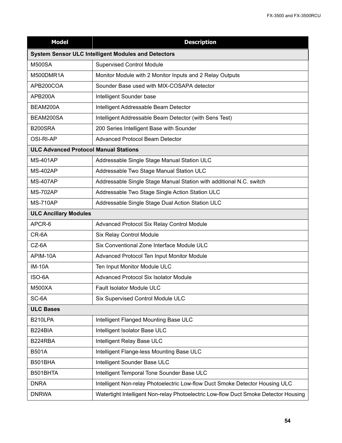| <b>Model</b>                                 | <b>Description</b>                                                                  |  |
|----------------------------------------------|-------------------------------------------------------------------------------------|--|
|                                              | <b>System Sensor ULC Intelligent Modules and Detectors</b>                          |  |
| <b>M500SA</b>                                | <b>Supervised Control Module</b>                                                    |  |
| M500DMR1A                                    | Monitor Module with 2 Monitor Inputs and 2 Relay Outputs                            |  |
| APB200COA                                    | Sounder Base used with MIX-COSAPA detector                                          |  |
| APB200A                                      | Intelligent Sounder base                                                            |  |
| BEAM200A                                     | Intelligent Addressable Beam Detector                                               |  |
| BEAM200SA                                    | Intelligent Addressable Beam Detector (with Sens Test)                              |  |
| B200SRA                                      | 200 Series Intelligent Base with Sounder                                            |  |
| OSI-RI-AP                                    | <b>Advanced Protocol Beam Detector</b>                                              |  |
| <b>ULC Advanced Protocol Manual Stations</b> |                                                                                     |  |
| <b>MS-401AP</b>                              | Addressable Single Stage Manual Station ULC                                         |  |
| <b>MS-402AP</b>                              | Addressable Two Stage Manual Station ULC                                            |  |
| <b>MS-407AP</b>                              | Addressable Single Stage Manual Station with additional N.C. switch                 |  |
| <b>MS-702AP</b>                              | Addressable Two Stage Single Action Station ULC                                     |  |
| <b>MS-710AP</b>                              | Addressable Single Stage Dual Action Station ULC                                    |  |
| <b>ULC Ancillary Modules</b>                 |                                                                                     |  |
| APCR-6                                       | Advanced Protocol Six Relay Control Module                                          |  |
| CR-6A                                        | Six Relay Control Module                                                            |  |
| CZ-6A                                        | Six Conventional Zone Interface Module ULC                                          |  |
| APIM-10A                                     | Advanced Protocol Ten Input Monitor Module                                          |  |
| <b>IM-10A</b>                                | Ten Input Monitor Module ULC                                                        |  |
| ISO-6A                                       | <b>Advanced Protocol Six Isolator Module</b>                                        |  |
| <b>M500XA</b>                                | Fault Isolator Module ULC                                                           |  |
| SC-6A                                        | <b>Six Supervised Control Module ULC</b>                                            |  |
| <b>ULC Bases</b>                             |                                                                                     |  |
| B210LPA                                      | Intelligent Flanged Mounting Base ULC                                               |  |
| B224BIA                                      | Intelligent Isolator Base ULC                                                       |  |
| B224RBA                                      | Intelligent Relay Base ULC                                                          |  |
| <b>B501A</b>                                 | Intelligent Flange-less Mounting Base ULC                                           |  |
| B501BHA                                      | Intelligent Sounder Base ULC                                                        |  |
| B501BHTA                                     | Intelligent Temporal Tone Sounder Base ULC                                          |  |
| <b>DNRA</b>                                  | Intelligent Non-relay Photoelectric Low-flow Duct Smoke Detector Housing ULC        |  |
| <b>DNRWA</b>                                 | Watertight Intelligent Non-relay Photoelectric Low-flow Duct Smoke Detector Housing |  |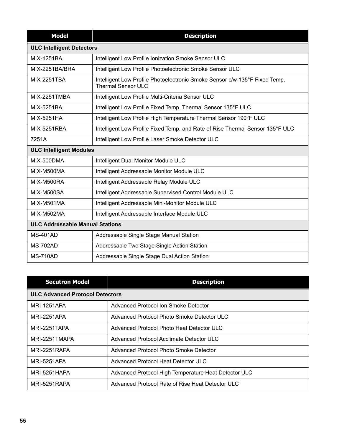| <b>Model</b>                           | <b>Description</b>                                                                                      |  |
|----------------------------------------|---------------------------------------------------------------------------------------------------------|--|
| <b>ULC Intelligent Detectors</b>       |                                                                                                         |  |
| <b>MIX-1251BA</b>                      | Intelligent Low Profile Ionization Smoke Sensor ULC                                                     |  |
| MIX-2251BA/BRA                         | Intelligent Low Profile Photoelectronic Smoke Sensor ULC                                                |  |
| <b>MIX-2251TBA</b>                     | Intelligent Low Profile Photoelectronic Smoke Sensor c/w 135°F Fixed Temp.<br><b>Thermal Sensor ULC</b> |  |
| MIX-2251TMBA                           | Intelligent Low Profile Multi-Criteria Sensor ULC                                                       |  |
| <b>MIX-5251BA</b>                      | Intelligent Low Profile Fixed Temp. Thermal Sensor 135°F ULC                                            |  |
| <b>MIX-5251HA</b>                      | Intelligent Low Profile High Temperature Thermal Sensor 190°F ULC                                       |  |
| <b>MIX-5251RBA</b>                     | Intelligent Low Profile Fixed Temp. and Rate of Rise Thermal Sensor 135°F ULC                           |  |
| 7251A                                  | Intelligent Low Profile Laser Smoke Detector ULC                                                        |  |
| <b>ULC Intelligent Modules</b>         |                                                                                                         |  |
| MIX-500DMA                             | Intelligent Dual Monitor Module ULC                                                                     |  |
| MIX-M500MA                             | Intelligent Addressable Monitor Module ULC                                                              |  |
| MIX-M500RA                             | Intelligent Addressable Relay Module ULC                                                                |  |
| MIX-M500SA                             | Intelligent Addressable Supervised Control Module ULC                                                   |  |
| MIX-M501MA                             | Intelligent Addressable Mini-Monitor Module ULC                                                         |  |
| MIX-M502MA                             | Intelligent Addressable Interface Module ULC                                                            |  |
| <b>ULC Addressable Manual Stations</b> |                                                                                                         |  |
| <b>MS-401AD</b>                        | Addressable Single Stage Manual Station                                                                 |  |
| <b>MS-702AD</b>                        | Addressable Two Stage Single Action Station                                                             |  |
| <b>MS-710AD</b>                        | Addressable Single Stage Dual Action Station                                                            |  |

| <b>Secutron Model</b>                  | <b>Description</b>                                   |  |
|----------------------------------------|------------------------------------------------------|--|
| <b>ULC Advanced Protocol Detectors</b> |                                                      |  |
| <b>MRI-1251APA</b>                     | Advanced Protocol Ion Smoke Detector                 |  |
| <b>MRI-2251APA</b>                     | Advanced Protocol Photo Smoke Detector ULC           |  |
| MRI-2251TAPA                           | Advanced Protocol Photo Heat Detector ULC            |  |
| MRI-2251TMAPA                          | Advanced Protocol Acclimate Detector ULC             |  |
| MRI-2251RAPA                           | Advanced Protocol Photo Smoke Detector               |  |
| <b>MRI-5251APA</b>                     | Advanced Protocol Heat Detector ULC                  |  |
| MRI-5251HAPA                           | Advanced Protocol High Temperature Heat Detector ULC |  |
| MRI-5251RAPA                           | Advanced Protocol Rate of Rise Heat Detector ULC     |  |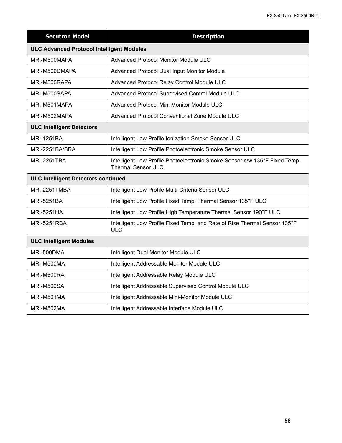| <b>Secutron Model</b>                            | <b>Description</b>                                                                                      |  |
|--------------------------------------------------|---------------------------------------------------------------------------------------------------------|--|
| <b>ULC Advanced Protocol Intelligent Modules</b> |                                                                                                         |  |
| MRI-M500MAPA                                     | Advanced Protocol Monitor Module ULC                                                                    |  |
| MRI-M500DMAPA                                    | Advanced Protocol Dual Input Monitor Module                                                             |  |
| MRI-M500RAPA                                     | Advanced Protocol Relay Control Module ULC                                                              |  |
| MRI-M500SAPA                                     | Advanced Protocol Supervised Control Module ULC                                                         |  |
| MRI-M501MAPA                                     | Advanced Protocol Mini Monitor Module ULC                                                               |  |
| MRI-M502MAPA                                     | Advanced Protocol Conventional Zone Module ULC                                                          |  |
| <b>ULC Intelligent Detectors</b>                 |                                                                                                         |  |
| <b>MRI-1251BA</b>                                | Intelligent Low Profile Ionization Smoke Sensor ULC                                                     |  |
| MRI-2251BA/BRA                                   | Intelligent Low Profile Photoelectronic Smoke Sensor ULC                                                |  |
| MRI-2251TBA                                      | Intelligent Low Profile Photoelectronic Smoke Sensor c/w 135°F Fixed Temp.<br><b>Thermal Sensor ULC</b> |  |
| <b>ULC Intelligent Detectors continued</b>       |                                                                                                         |  |
| MRI-2251TMBA                                     | Intelligent Low Profile Multi-Criteria Sensor ULC                                                       |  |
| <b>MRI-5251BA</b>                                | Intelligent Low Profile Fixed Temp. Thermal Sensor 135°F ULC                                            |  |
| <b>MRI-5251HA</b>                                | Intelligent Low Profile High Temperature Thermal Sensor 190°F ULC                                       |  |
| <b>MRI-5251RBA</b>                               | Intelligent Low Profile Fixed Temp. and Rate of Rise Thermal Sensor 135°F<br><b>ULC</b>                 |  |
| <b>ULC Intelligent Modules</b>                   |                                                                                                         |  |
| MRI-500DMA                                       | Intelligent Dual Monitor Module ULC                                                                     |  |
| MRI-M500MA                                       | Intelligent Addressable Monitor Module ULC                                                              |  |
| MRI-M500RA                                       | Intelligent Addressable Relay Module ULC                                                                |  |
| MRI-M500SA                                       | Intelligent Addressable Supervised Control Module ULC                                                   |  |
| MRI-M501MA                                       | Intelligent Addressable Mini-Monitor Module ULC                                                         |  |
| MRI-M502MA                                       | Intelligent Addressable Interface Module ULC                                                            |  |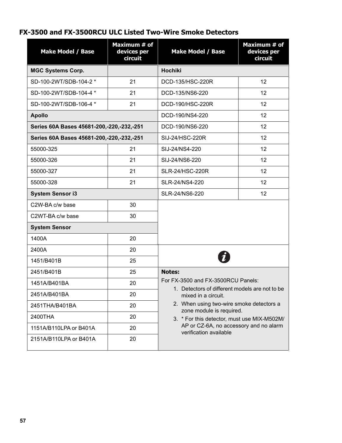### **FX-3500 and FX-3500RCU ULC Listed Two-Wire Smoke Detectors**

| <b>Make Model / Base</b>                  | Maximum # of<br>devices per<br>circuit | <b>Make Model / Base</b>                                                                                                                                                                                                                                                                               | Maximum # of<br>devices per<br>circuit |
|-------------------------------------------|----------------------------------------|--------------------------------------------------------------------------------------------------------------------------------------------------------------------------------------------------------------------------------------------------------------------------------------------------------|----------------------------------------|
| <b>MGC Systems Corp.</b>                  |                                        | <b>Hochiki</b>                                                                                                                                                                                                                                                                                         |                                        |
| SD-100-2WT/SDB-104-2 *                    | 21                                     | DCD-135/HSC-220R                                                                                                                                                                                                                                                                                       | 12                                     |
| SD-100-2WT/SDB-104-4 *                    | 21                                     | DCD-135/NS6-220                                                                                                                                                                                                                                                                                        | 12                                     |
| SD-100-2WT/SDB-106-4 *                    | 21                                     | DCD-190/HSC-220R                                                                                                                                                                                                                                                                                       | 12                                     |
| <b>Apollo</b>                             |                                        | DCD-190/NS4-220                                                                                                                                                                                                                                                                                        | 12                                     |
| Series 60A Bases 45681-200,-220,-232,-251 |                                        | DCD-190/NS6-220                                                                                                                                                                                                                                                                                        | 12                                     |
| Series 60A Bases 45681-200,-220,-232,-251 |                                        | <b>SIJ-24/HSC-220R</b>                                                                                                                                                                                                                                                                                 | 12                                     |
| 55000-325                                 | 21                                     | SIJ-24/NS4-220                                                                                                                                                                                                                                                                                         | 12                                     |
| 55000-326                                 | 21                                     | SIJ-24/NS6-220                                                                                                                                                                                                                                                                                         | 12                                     |
| 55000-327                                 | 21                                     | <b>SLR-24/HSC-220R</b>                                                                                                                                                                                                                                                                                 | 12                                     |
| 55000-328                                 | 21                                     | SLR-24/NS4-220                                                                                                                                                                                                                                                                                         | 12                                     |
| <b>System Sensor i3</b>                   |                                        | SLR-24/NS6-220                                                                                                                                                                                                                                                                                         | 12                                     |
| C2W-BA c/w base                           | 30                                     |                                                                                                                                                                                                                                                                                                        |                                        |
| C2WT-BA c/w base                          | 30                                     |                                                                                                                                                                                                                                                                                                        |                                        |
| <b>System Sensor</b>                      |                                        |                                                                                                                                                                                                                                                                                                        |                                        |
| 1400A                                     | 20                                     |                                                                                                                                                                                                                                                                                                        |                                        |
| 2400A                                     | 20                                     |                                                                                                                                                                                                                                                                                                        |                                        |
| 1451/B401B                                | 25                                     |                                                                                                                                                                                                                                                                                                        |                                        |
| 2451/B401B                                | 25                                     | <b>Notes:</b>                                                                                                                                                                                                                                                                                          |                                        |
| 1451A/B401BA                              | 20                                     | For FX-3500 and FX-3500RCU Panels:<br>1. Detectors of different models are not to be<br>mixed in a circuit.<br>2. When using two-wire smoke detectors a<br>zone module is required.<br>3. * For this detector, must use MIX-M502M/<br>AP or CZ-6A, no accessory and no alarm<br>verification available |                                        |
| 2451A/B401BA                              | 20                                     |                                                                                                                                                                                                                                                                                                        |                                        |
| 2451THA/B401BA                            | 20                                     |                                                                                                                                                                                                                                                                                                        |                                        |
| 2400THA                                   | 20                                     |                                                                                                                                                                                                                                                                                                        |                                        |
| 1151A/B110LPA or B401A                    | 20                                     |                                                                                                                                                                                                                                                                                                        |                                        |
| 2151A/B110LPA or B401A                    | 20                                     |                                                                                                                                                                                                                                                                                                        |                                        |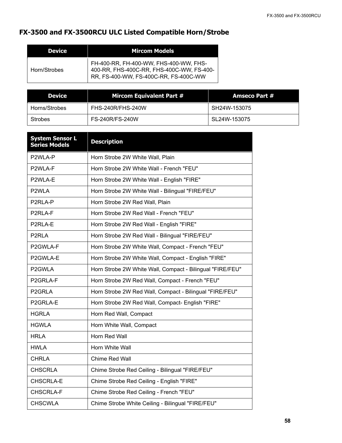# **FX-3500 and FX-3500RCU ULC Listed Compatible Horn/Strobe**

| <b>Device</b> | <b>Mircom Models</b>                                                                                                         |
|---------------|------------------------------------------------------------------------------------------------------------------------------|
| Horn/Strobes  | FH-400-RR, FH-400-WW, FHS-400-WW, FHS-<br>400-RR, FHS-400C-RR, FHS-400C-WW, FS-400-<br>RR, FS-400-WW, FS-400C-RR, FS-400C-WW |

| Device        | <b>Mircom Equivalent Part #</b> | <b>Amseco Part #</b> |
|---------------|---------------------------------|----------------------|
| Horns/Strobes | FHS-240R/FHS-240W               | SH24W-153075         |
| Strobes       | FS-240R/FS-240W                 | SL24W-153075         |

| <b>System Sensor L</b><br><b>Series Models</b> | <b>Description</b>                                        |
|------------------------------------------------|-----------------------------------------------------------|
| P2WLA-P                                        | Horn Strobe 2W White Wall, Plain                          |
| P2WLA-F                                        | Horn Strobe 2W White Wall - French "FEU"                  |
| P2WLA-E                                        | Horn Strobe 2W White Wall - English "FIRE"                |
| P <sub>2</sub> WLA                             | Horn Strobe 2W White Wall - Bilingual "FIRE/FEU"          |
| P2RLA-P                                        | Horn Strobe 2W Red Wall, Plain                            |
| P2RLA-F                                        | Horn Strobe 2W Red Wall - French "FEU"                    |
| P2RLA-E                                        | Horn Strobe 2W Red Wall - English "FIRE"                  |
| P <sub>2</sub> RLA                             | Horn Strobe 2W Red Wall - Bilingual "FIRE/FEU"            |
| P2GWLA-F                                       | Horn Strobe 2W White Wall, Compact - French "FEU"         |
| P2GWLA-E                                       | Horn Strobe 2W White Wall, Compact - English "FIRE"       |
| P <sub>2</sub> GWLA                            | Horn Strobe 2W White Wall, Compact - Bilingual "FIRE/FEU" |
| P2GRLA-F                                       | Horn Strobe 2W Red Wall, Compact - French "FEU"           |
| P <sub>2</sub> GRLA                            | Horn Strobe 2W Red Wall, Compact - Bilingual "FIRE/FEU"   |
| P2GRLA-E                                       | Horn Strobe 2W Red Wall, Compact- English "FIRE"          |
| <b>HGRLA</b>                                   | Horn Red Wall, Compact                                    |
| <b>HGWLA</b>                                   | Horn White Wall, Compact                                  |
| <b>HRLA</b>                                    | Horn Red Wall                                             |
| <b>HWLA</b>                                    | Horn White Wall                                           |
| <b>CHRLA</b>                                   | Chime Red Wall                                            |
| <b>CHSCRLA</b>                                 | Chime Strobe Red Ceiling - Bilingual "FIRE/FEU"           |
| CHSCRLA-E                                      | Chime Strobe Red Ceiling - English "FIRE"                 |
| <b>CHSCRLA-F</b>                               | Chime Strobe Red Ceiling - French "FEU"                   |
| <b>CHSCWLA</b>                                 | Chime Strobe White Ceiling - Bilingual "FIRE/FEU"         |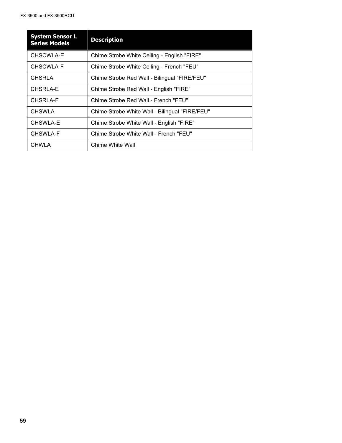| <b>System Sensor L</b><br><b>Series Models</b> | <b>Description</b>                             |
|------------------------------------------------|------------------------------------------------|
| CHSCWLA-E                                      | Chime Strobe White Ceiling - English "FIRE"    |
| CHSCWLA-F                                      | Chime Strobe White Ceiling - French "FEU"      |
| <b>CHSRLA</b>                                  | Chime Strobe Red Wall - Bilingual "FIRE/FEU"   |
| CHSRLA-E                                       | Chime Strobe Red Wall - English "FIRE"         |
| CHSRLA-F                                       | Chime Strobe Red Wall - French "FEU"           |
| <b>CHSWLA</b>                                  | Chime Strobe White Wall - Bilingual "FIRE/FEU" |
| <b>CHSWLA-E</b>                                | Chime Strobe White Wall - English "FIRE"       |
| CHSWLA-F                                       | Chime Strobe White Wall - French "FEU"         |
| <b>CHWLA</b>                                   | Chime White Wall                               |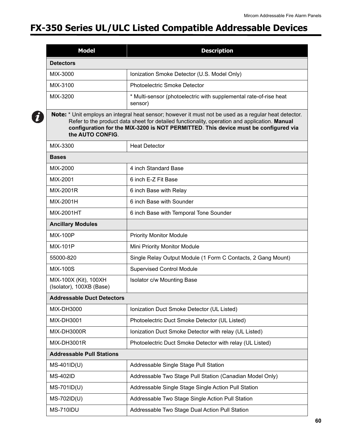# **FX-350 Series UL/ULC Listed Compatible Addressable Devices**

| <b>Model</b>                                      | <b>Description</b>                                                                                                                                                                                                                                                                            |
|---------------------------------------------------|-----------------------------------------------------------------------------------------------------------------------------------------------------------------------------------------------------------------------------------------------------------------------------------------------|
| <b>Detectors</b>                                  |                                                                                                                                                                                                                                                                                               |
| MIX-3000                                          | Ionization Smoke Detector (U.S. Model Only)                                                                                                                                                                                                                                                   |
| MIX-3100                                          | <b>Photoelectric Smoke Detector</b>                                                                                                                                                                                                                                                           |
| MIX-3200                                          | * Multi-sensor (photoelectric with supplemental rate-of-rise heat<br>sensor)                                                                                                                                                                                                                  |
| the AUTO CONFIG.                                  | Note: * Unit employs an integral heat sensor; however it must not be used as a regular heat detector.<br>Refer to the product data sheet for detailed functionality, operation and application. Manual<br>configuration for the MIX-3200 is NOT PERMITTED. This device must be configured via |
| MIX-3300                                          | <b>Heat Detector</b>                                                                                                                                                                                                                                                                          |
| <b>Bases</b>                                      |                                                                                                                                                                                                                                                                                               |
| MIX-2000                                          | 4 inch Standard Base                                                                                                                                                                                                                                                                          |
| MIX-2001                                          | 6 inch E-Z Fit Base                                                                                                                                                                                                                                                                           |
| MIX-2001R                                         | 6 inch Base with Relay                                                                                                                                                                                                                                                                        |
| MIX-2001H                                         | 6 inch Base with Sounder                                                                                                                                                                                                                                                                      |
| MIX-2001HT                                        | 6 inch Base with Temporal Tone Sounder                                                                                                                                                                                                                                                        |
| <b>Ancillary Modules</b>                          |                                                                                                                                                                                                                                                                                               |
| <b>MIX-100P</b>                                   | <b>Priority Monitor Module</b>                                                                                                                                                                                                                                                                |
| <b>MIX-101P</b>                                   | Mini Priority Monitor Module                                                                                                                                                                                                                                                                  |
| 55000-820                                         | Single Relay Output Module (1 Form C Contacts, 2 Gang Mount)                                                                                                                                                                                                                                  |
| <b>MIX-100S</b>                                   | <b>Supervised Control Module</b>                                                                                                                                                                                                                                                              |
| MIX-100X (Kit), 100XH<br>(Isolator), 100XB (Base) | <b>Isolator c/w Mounting Base</b>                                                                                                                                                                                                                                                             |
| <b>Addressable Duct Detectors</b>                 |                                                                                                                                                                                                                                                                                               |
| MIX-DH3000                                        | Ionization Duct Smoke Detector (UL Listed)                                                                                                                                                                                                                                                    |
| <b>MIX-DH3001</b>                                 | Photoelectric Duct Smoke Detector (UL Listed)                                                                                                                                                                                                                                                 |
| MIX-DH3000R                                       | Ionization Duct Smoke Detector with relay (UL Listed)                                                                                                                                                                                                                                         |
| <b>MIX-DH3001R</b>                                | Photoelectric Duct Smoke Detector with relay (UL Listed)                                                                                                                                                                                                                                      |
| <b>Addressable Pull Stations</b>                  |                                                                                                                                                                                                                                                                                               |
| $MS-401ID(U)$                                     | Addressable Single Stage Pull Station                                                                                                                                                                                                                                                         |
| <b>MS-402ID</b>                                   | Addressable Two Stage Pull Station (Canadian Model Only)                                                                                                                                                                                                                                      |
| $MS-701ID(U)$                                     | Addressable Single Stage Single Action Pull Station                                                                                                                                                                                                                                           |
| MS-702ID(U)                                       | Addressable Two Stage Single Action Pull Station                                                                                                                                                                                                                                              |
| <b>MS-710IDU</b>                                  | Addressable Two Stage Dual Action Pull Station                                                                                                                                                                                                                                                |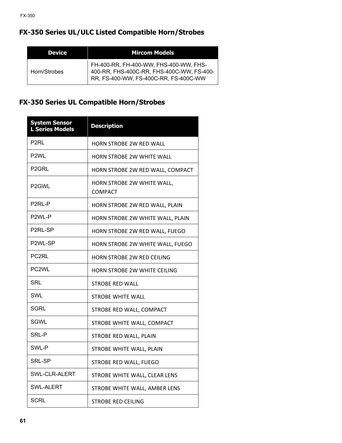# **FX-350 Series UL/ULC Listed Compatible Horn/Strobes**

| <b>Device</b> | Mircom Models                                                                                                                |
|---------------|------------------------------------------------------------------------------------------------------------------------------|
| Horn/Strobes  | FH-400-RR, FH-400-WW, FHS-400-WW, FHS-<br>400-RR, FHS-400C-RR, FHS-400C-WW, FS-400-<br>RR, FS-400-WW, FS-400C-RR, FS-400C-WW |

### **FX-350 Series UL Compatible Horn/Strobes**

| <b>System Sensor</b><br><b>L Series Models</b> | <b>Description</b>                           |  |  |
|------------------------------------------------|----------------------------------------------|--|--|
| P <sub>2</sub> RL                              | HORN STROBE 2W RED WALL                      |  |  |
| P <sub>2</sub> WL                              | <b>HORN STROBE 2W WHITE WALL</b>             |  |  |
| P <sub>2GRL</sub>                              | HORN STROBE 2W RED WALL, COMPACT             |  |  |
| P <sub>2</sub> GWL                             | HORN STROBE 2W WHITE WALL,<br><b>COMPACT</b> |  |  |
| P <sub>2RL-P</sub>                             | HORN STROBE 2W RED WALL, PLAIN               |  |  |
| P2WL-P                                         | HORN STROBE 2W WHITE WALL, PLAIN             |  |  |
| P2RL-SP                                        | HORN STROBE 2W RED WALL, FUEGO               |  |  |
| P2WL-SP                                        | HORN STROBE 2W WHITE WALL, FUEGO             |  |  |
| PC <sub>2</sub> RL                             | <b>HORN STROBE 2W RED CEILING</b>            |  |  |
| PC <sub>2</sub> WL                             | HORN STROBE 2W WHITE CEILING                 |  |  |
| SRL                                            | <b>STROBE RED WALL</b>                       |  |  |
| SWL                                            | <b>STROBE WHITE WALL</b>                     |  |  |
| SGRL                                           | STROBE RED WALL, COMPACT                     |  |  |
| SGWL                                           | STROBE WHITE WALL, COMPACT                   |  |  |
| SRL-P                                          | STROBE RED WALL, PLAIN                       |  |  |
| SWL-P                                          | STROBE WHITE WALL, PLAIN                     |  |  |
| SRL-SP                                         | STROBE RED WALL, FUEGO                       |  |  |
| SWL-CLR-ALERT                                  | STROBE WHITE WALL, CLEAR LENS                |  |  |
| SWL-ALERT                                      | STROBE WHITE WALL, AMBER LENS                |  |  |
| SCRL                                           | STROBE RED CEILING                           |  |  |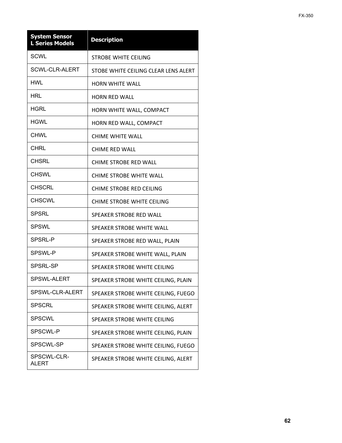| <b>System Sensor</b><br><b>L Series Models</b> | <b>Description</b>                   |
|------------------------------------------------|--------------------------------------|
| <b>SCWL</b>                                    | <b>STROBE WHITE CEILING</b>          |
| <b>SCWL-CLR-ALERT</b>                          | STOBE WHITE CEILING CLEAR LENS ALERT |
| <b>HWL</b>                                     | <b>HORN WHITE WALL</b>               |
| HRL                                            | <b>HORN RED WALL</b>                 |
| HGRL                                           | HORN WHITE WALL, COMPACT             |
| <b>HGWL</b>                                    | HORN RED WALL, COMPACT               |
| <b>CHWL</b>                                    | <b>CHIME WHITE WALL</b>              |
| <b>CHRL</b>                                    | CHIME RED WALL                       |
| <b>CHSRL</b>                                   | CHIME STROBE RED WALL                |
| <b>CHSWL</b>                                   | <b>CHIME STROBE WHITE WALL</b>       |
| <b>CHSCRL</b>                                  | CHIME STROBE RED CEILING             |
| <b>CHSCWL</b>                                  | CHIME STROBE WHITE CEILING           |
| SPSRL                                          | SPEAKER STROBE RED WALL              |
| <b>SPSWL</b>                                   | SPEAKER STROBE WHITE WALL            |
| SPSRL-P                                        | SPEAKER STROBE RED WALL, PLAIN       |
| SPSWL-P                                        | SPEAKER STROBE WHITE WALL, PLAIN     |
| SPSRL-SP                                       | SPEAKER STROBE WHITE CEILING         |
| SPSWL-ALERT                                    | SPEAKER STROBE WHITE CEILING, PLAIN  |
| SPSWL-CLR-ALERT                                | SPEAKER STROBE WHITE CEILING, FUEGO  |
| <b>SPSCRL</b>                                  | SPEAKER STROBE WHITE CEILING, ALERT  |
| <b>SPSCWL</b>                                  | SPEAKER STROBE WHITE CEILING         |
| SPSCWL-P                                       | SPEAKER STROBE WHITE CEILING, PLAIN  |
| SPSCWL-SP                                      | SPEAKER STROBE WHITE CEILING, FUEGO  |
| SPSCWL-CLR-<br><b>ALERT</b>                    | SPEAKER STROBE WHITE CEILING, ALERT  |

**The State** 

┓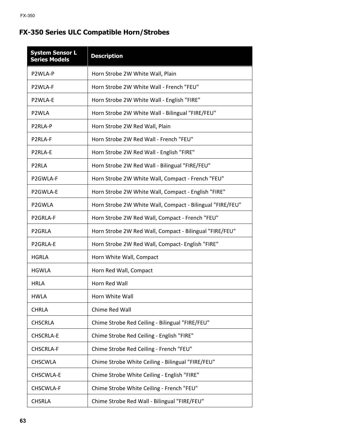# **FX-350 Series ULC Compatible Horn/Strobes**

| <b>System Sensor L</b><br><b>Series Models</b> | <b>Description</b>                                        |  |
|------------------------------------------------|-----------------------------------------------------------|--|
| P2WLA-P                                        | Horn Strobe 2W White Wall, Plain                          |  |
| P2WLA-F                                        | Horn Strobe 2W White Wall - French "FEU"                  |  |
| P2WLA-E                                        | Horn Strobe 2W White Wall - English "FIRE"                |  |
| P <sub>2</sub> WLA                             | Horn Strobe 2W White Wall - Bilingual "FIRE/FEU"          |  |
| P2RLA-P                                        | Horn Strobe 2W Red Wall, Plain                            |  |
| P2RLA-F                                        | Horn Strobe 2W Red Wall - French "FEU"                    |  |
| P2RLA-E                                        | Horn Strobe 2W Red Wall - English "FIRE"                  |  |
| P <sub>2</sub> RLA                             | Horn Strobe 2W Red Wall - Bilingual "FIRE/FEU"            |  |
| P2GWLA-F                                       | Horn Strobe 2W White Wall, Compact - French "FEU"         |  |
| P2GWLA-E                                       | Horn Strobe 2W White Wall, Compact - English "FIRE"       |  |
| P2GWLA                                         | Horn Strobe 2W White Wall, Compact - Bilingual "FIRE/FEU" |  |
| P2GRLA-F                                       | Horn Strobe 2W Red Wall, Compact - French "FEU"           |  |
| P2GRLA                                         | Horn Strobe 2W Red Wall, Compact - Bilingual "FIRE/FEU"   |  |
| P2GRLA-E                                       | Horn Strobe 2W Red Wall, Compact- English "FIRE"          |  |
| <b>HGRLA</b>                                   | Horn White Wall, Compact                                  |  |
| <b>HGWLA</b>                                   | Horn Red Wall, Compact                                    |  |
| <b>HRLA</b>                                    | Horn Red Wall                                             |  |
| <b>HWLA</b>                                    | Horn White Wall                                           |  |
| <b>CHRLA</b>                                   | Chime Red Wall                                            |  |
| <b>CHSCRLA</b>                                 | Chime Strobe Red Ceiling - Bilingual "FIRE/FEU"           |  |
| CHSCRLA-E                                      | Chime Strobe Red Ceiling - English "FIRE"                 |  |
| <b>CHSCRLA-F</b>                               | Chime Strobe Red Ceiling - French "FEU"                   |  |
| <b>CHSCWLA</b>                                 | Chime Strobe White Ceiling - Bilingual "FIRE/FEU"         |  |
| CHSCWLA-E                                      | Chime Strobe White Ceiling - English "FIRE"               |  |
| CHSCWLA-F                                      | Chime Strobe White Ceiling - French "FEU"                 |  |
| <b>CHSRLA</b>                                  | Chime Strobe Red Wall - Bilingual "FIRE/FEU"              |  |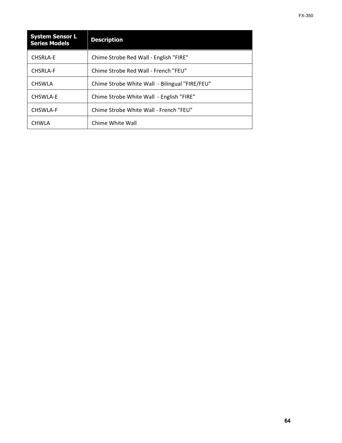| <b>System Sensor L</b><br><b>Series Models</b> | <b>Description</b>                             |  |
|------------------------------------------------|------------------------------------------------|--|
| <b>CHSRLA-E</b>                                | Chime Strobe Red Wall - English "FIRE"         |  |
| <b>CHSRLA-F</b>                                | Chime Strobe Red Wall - French "FEU"           |  |
| <b>CHSWLA</b>                                  | Chime Strobe White Wall - Bilingual "FIRE/FEU" |  |
| <b>CHSWLA-E</b>                                | Chime Strobe White Wall - English "FIRE"       |  |
| <b>CHSWLA-F</b>                                | Chime Strobe White Wall - French "FEU"         |  |
| CHWLA                                          | Chime White Wall                               |  |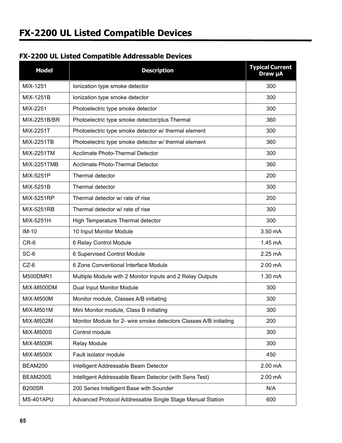| <b>Model</b>       | <b>Description</b>                                                | <b>Typical Current</b><br>Draw µA |
|--------------------|-------------------------------------------------------------------|-----------------------------------|
| MIX-1251           | Ionization type smoke detector                                    | 300                               |
| MIX-1251B          | Ionization type smoke detector                                    | 300                               |
| MIX-2251           | Photoelectric type smoke detector                                 | 300                               |
| MIX-2251B/BR       | Photoelectric type smoke detector/plus Thermal                    | 360                               |
| MIX-2251T          | Photoelectric type smoke detector w/ thermal element              | 300                               |
| <b>MIX-2251TB</b>  | Photoelectric type smoke detector w/ thermal element              | 360                               |
| <b>MIX-2251TM</b>  | <b>Acclimate Photo-Thermal Detector</b>                           | 300                               |
| <b>MIX-2251TMB</b> | Acclimate Photo-Thermal Detector                                  | 360                               |
| MIX-5251P          | Thermal detector                                                  | 200                               |
| MIX-5251B          | Thermal detector                                                  | 300                               |
| <b>MIX-5251RP</b>  | Thermal detector w/ rate of rise                                  | 200                               |
| <b>MIX-5251RB</b>  | Thermal detector w/ rate of rise                                  | 300                               |
| MIX-5251H          | High Temperature Thermal detector                                 | 300                               |
| $IM-10$            | 10 Input Monitor Module                                           | 3.50 mA                           |
| CR-6               | 6 Relay Control Module                                            | 1.45 mA                           |
| SC-6               | 6 Supervised Control Module                                       | $2.25 \text{ mA}$                 |
| $CZ-6$             | 6 Zone Conventional Interface Module                              | 2.00 mA                           |
| M500DMR1           | Multiple Module with 2 Monitor Inputs and 2 Relay Outputs         | 1.30 mA                           |
| MIX-M500DM         | Dual Input Monitor Module                                         | 300                               |
| <b>MIX-M500M</b>   | Monitor module, Classes A/B initiating                            | 300                               |
| MIX-M501M          | Mini Monitor module, Class B initiating                           | 300                               |
| MIX-M502M          | Monitor Module for 2- wire smoke detectors Classes A/B initiating | 200                               |
| <b>MIX-M500S</b>   | Control module                                                    | 300                               |
| <b>MIX-M500R</b>   | Relay Module                                                      | 300                               |
| <b>MIX-M500X</b>   | Fault isolator module                                             | 450                               |
| BEAM200            | Intelligent Addressable Beam Detector                             | 2.00 mA                           |
| BEAM200S           | Intelligent Addressable Beam Detector (with Sens Test)            | 2.00 mA                           |
| <b>B200SR</b>      | 200 Series Intelligent Base with Sounder                          | N/A                               |
| MS-401APU          | Advanced Protocol Addressable Single Stage Manual Station         | 600                               |

# **FX-2200 UL Listed Compatible Addressable Devices**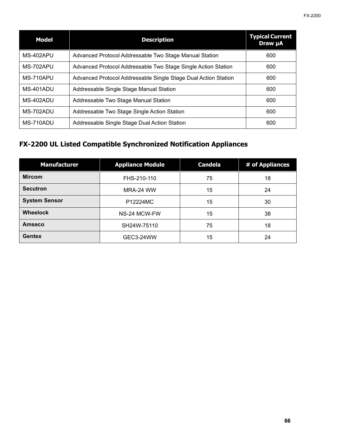| Model     | <b>Description</b>                                             | <b>Typical Current</b><br>Draw µA |
|-----------|----------------------------------------------------------------|-----------------------------------|
| MS-402APU | Advanced Protocol Addressable Two Stage Manual Station         | 600                               |
| MS-702APU | Advanced Protocol Addressable Two Stage Single Action Station  | 600                               |
| MS-710APU | Advanced Protocol Addressable Single Stage Dual Action Station | 600                               |
| MS-401ADU | Addressable Single Stage Manual Station                        | 600                               |
| MS-402ADU | Addressable Two Stage Manual Station                           | 600                               |
| MS-702ADU | Addressable Two Stage Single Action Station                    | 600                               |
| MS-710ADU | Addressable Single Stage Dual Action Station                   | 600                               |

# **FX-2200 UL Listed Compatible Synchronized Notification Appliances**

| <b>Manufacturer</b>  | <b>Appliance Module</b> | <b>Candela</b> | # of Appliances |
|----------------------|-------------------------|----------------|-----------------|
| <b>Mircom</b>        | FHS-210-110             | 75             | 18              |
| <b>Secutron</b>      | MRA-24 WW               | 15             | 24              |
| <b>System Sensor</b> | P12224MC                | 15             | 30              |
| <b>Wheelock</b>      | NS-24 MCW-FW            | 15             | 38              |
| <b>Amseco</b>        | SH24W-75110             | 75             | 18              |
| <b>Gentex</b>        | GEC3-24WW               | 15             | 24              |